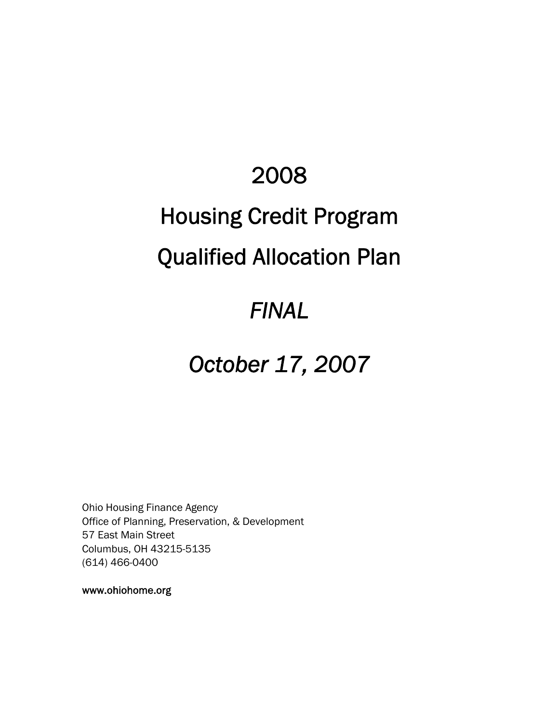# 2008

# Housing Credit Program

# Qualified Allocation Plan

## *FINAL*

# *October 17, 2007*

Ohio Housing Finance Agency Office of Planning, Preservation, & Development 57 East Main Street Columbus, OH 43215-5135 (614) 466-0400

www.ohiohome.org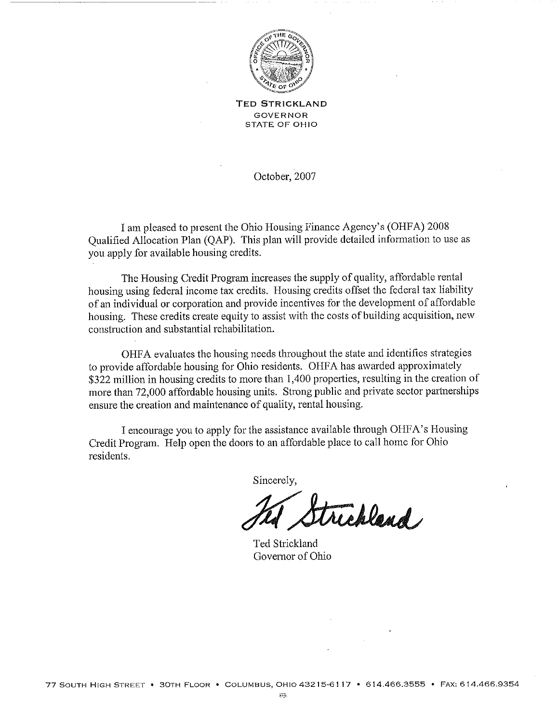

**TED STRICKLAND GOVERNOR STATE OF OHIO** 

October, 2007

I am pleased to present the Ohio Housing Finance Agency's (OHFA) 2008 Qualified Allocation Plan (QAP). This plan will provide detailed information to use as you apply for available housing credits.

The Housing Credit Program increases the supply of quality, affordable rental housing using federal income tax credits. Housing credits offset the federal tax liability of an individual or corporation and provide incentives for the development of affordable housing. These credits create equity to assist with the costs of building acquisition, new construction and substantial rehabilitation.

OHFA evaluates the housing needs throughout the state and identifies strategies to provide affordable housing for Ohio residents. OHFA has awarded approximately \$322 million in housing credits to more than 1,400 properties, resulting in the creation of more than 72,000 affordable housing units. Strong public and private sector partnerships ensure the creation and maintenance of quality, rental housing.

I encourage you to apply for the assistance available through OHFA's Housing Credit Program. Help open the doors to an affordable place to call home for Ohio residents.

Sincerely.

trickland

Ted Strickland Governor of Ohio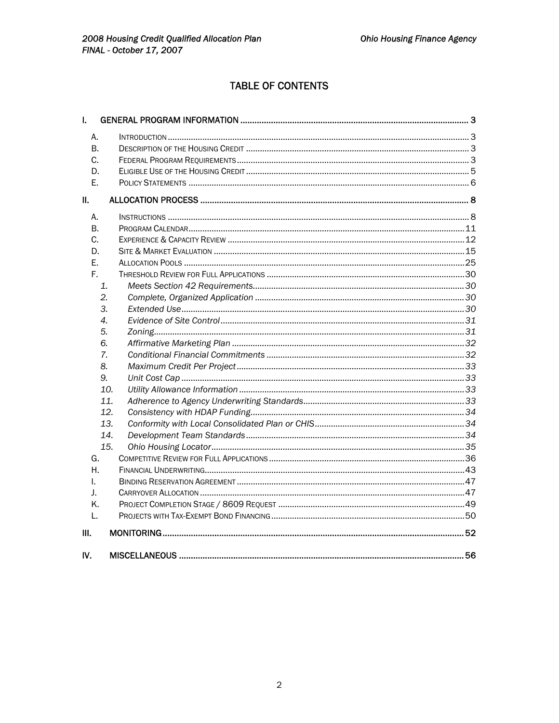## **TABLE OF CONTENTS**

| I.  |  |  |
|-----|--|--|
| А.  |  |  |
| В.  |  |  |
| C.  |  |  |
| D.  |  |  |
| Е.  |  |  |
| II. |  |  |
| А.  |  |  |
| В.  |  |  |
| C.  |  |  |
| D.  |  |  |
| E.  |  |  |
| F.  |  |  |
| 1.  |  |  |
| 2.  |  |  |
| 3.  |  |  |
| 4.  |  |  |
| 5.  |  |  |
| 6.  |  |  |
| 7.  |  |  |
| 8.  |  |  |
| 9.  |  |  |
| 10. |  |  |
| 11. |  |  |
| 12. |  |  |
| 13. |  |  |
| 14. |  |  |
| 15. |  |  |
| G.  |  |  |
| Η.  |  |  |
| L.  |  |  |
| J.  |  |  |
| K.  |  |  |
| L.  |  |  |
| Ш.  |  |  |
| IV. |  |  |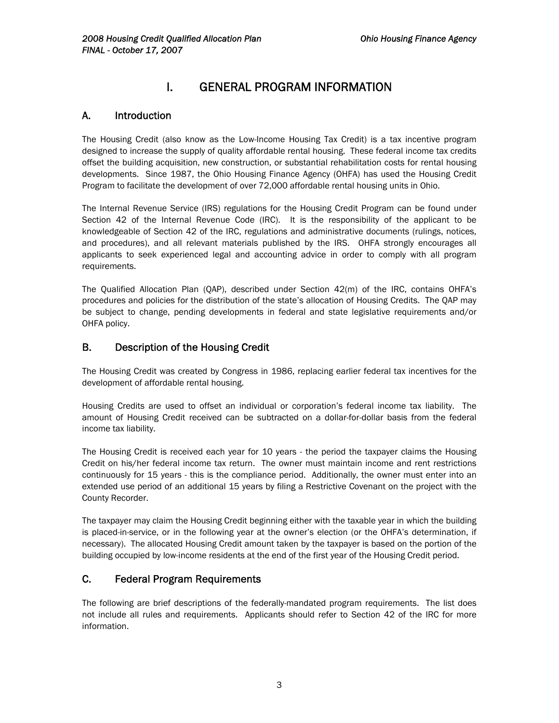## I. GENERAL PROGRAM INFORMATION

## A. Introduction

The Housing Credit (also know as the Low-Income Housing Tax Credit) is a tax incentive program designed to increase the supply of quality affordable rental housing. These federal income tax credits offset the building acquisition, new construction, or substantial rehabilitation costs for rental housing developments. Since 1987, the Ohio Housing Finance Agency (OHFA) has used the Housing Credit Program to facilitate the development of over 72,000 affordable rental housing units in Ohio.

The Internal Revenue Service (IRS) regulations for the Housing Credit Program can be found under Section 42 of the Internal Revenue Code (IRC). It is the responsibility of the applicant to be knowledgeable of Section 42 of the IRC, regulations and administrative documents (rulings, notices, and procedures), and all relevant materials published by the IRS. OHFA strongly encourages all applicants to seek experienced legal and accounting advice in order to comply with all program requirements.

The Qualified Allocation Plan (QAP), described under Section 42(m) of the IRC, contains OHFA's procedures and policies for the distribution of the state's allocation of Housing Credits. The QAP may be subject to change, pending developments in federal and state legislative requirements and/or OHFA policy.

## B. Description of the Housing Credit

The Housing Credit was created by Congress in 1986, replacing earlier federal tax incentives for the development of affordable rental housing.

Housing Credits are used to offset an individual or corporation's federal income tax liability. The amount of Housing Credit received can be subtracted on a dollar-for-dollar basis from the federal income tax liability.

The Housing Credit is received each year for 10 years - the period the taxpayer claims the Housing Credit on his/her federal income tax return. The owner must maintain income and rent restrictions continuously for 15 years - this is the compliance period. Additionally, the owner must enter into an extended use period of an additional 15 years by filing a Restrictive Covenant on the project with the County Recorder.

The taxpayer may claim the Housing Credit beginning either with the taxable year in which the building is placed-in-service, or in the following year at the owner's election (or the OHFA's determination, if necessary). The allocated Housing Credit amount taken by the taxpayer is based on the portion of the building occupied by low-income residents at the end of the first year of the Housing Credit period.

## C. Federal Program Requirements

The following are brief descriptions of the federally-mandated program requirements. The list does not include all rules and requirements. Applicants should refer to Section 42 of the IRC for more information.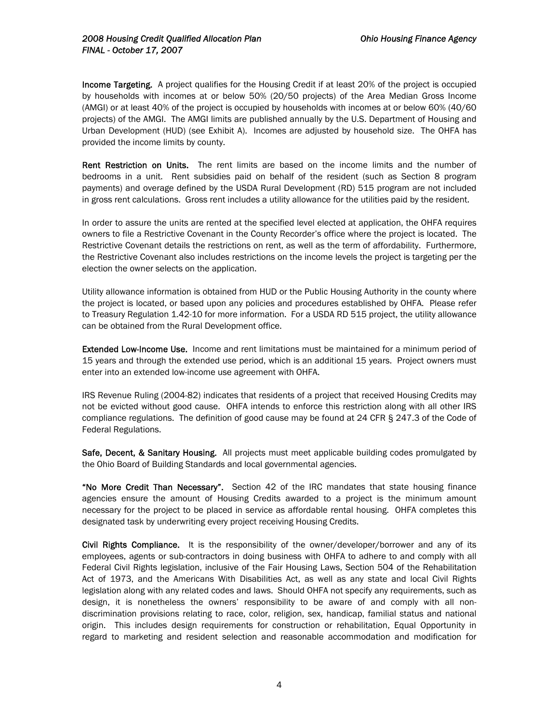Income Targeting. A project qualifies for the Housing Credit if at least 20% of the project is occupied by households with incomes at or below 50% (20/50 projects) of the Area Median Gross Income (AMGI) or at least 40% of the project is occupied by households with incomes at or below 60% (40/60 projects) of the AMGI. The AMGI limits are published annually by the U.S. Department of Housing and Urban Development (HUD) (see Exhibit A). Incomes are adjusted by household size. The OHFA has provided the income limits by county.

Rent Restriction on Units. The rent limits are based on the income limits and the number of bedrooms in a unit. Rent subsidies paid on behalf of the resident (such as Section 8 program payments) and overage defined by the USDA Rural Development (RD) 515 program are not included in gross rent calculations. Gross rent includes a utility allowance for the utilities paid by the resident.

In order to assure the units are rented at the specified level elected at application, the OHFA requires owners to file a Restrictive Covenant in the County Recorder's office where the project is located. The Restrictive Covenant details the restrictions on rent, as well as the term of affordability. Furthermore, the Restrictive Covenant also includes restrictions on the income levels the project is targeting per the election the owner selects on the application.

Utility allowance information is obtained from HUD or the Public Housing Authority in the county where the project is located, or based upon any policies and procedures established by OHFA. Please refer to Treasury Regulation 1.42-10 for more information. For a USDA RD 515 project, the utility allowance can be obtained from the Rural Development office.

Extended Low-Income Use. Income and rent limitations must be maintained for a minimum period of 15 years and through the extended use period, which is an additional 15 years. Project owners must enter into an extended low-income use agreement with OHFA.

IRS Revenue Ruling (2004-82) indicates that residents of a project that received Housing Credits may not be evicted without good cause. OHFA intends to enforce this restriction along with all other IRS compliance regulations. The definition of good cause may be found at 24 CFR § 247.3 of the Code of Federal Regulations.

Safe, Decent, & Sanitary Housing. All projects must meet applicable building codes promulgated by the Ohio Board of Building Standards and local governmental agencies.

"No More Credit Than Necessary". Section 42 of the IRC mandates that state housing finance agencies ensure the amount of Housing Credits awarded to a project is the minimum amount necessary for the project to be placed in service as affordable rental housing. OHFA completes this designated task by underwriting every project receiving Housing Credits.

Civil Rights Compliance. It is the responsibility of the owner/developer/borrower and any of its employees, agents or sub-contractors in doing business with OHFA to adhere to and comply with all Federal Civil Rights legislation, inclusive of the Fair Housing Laws, Section 504 of the Rehabilitation Act of 1973, and the Americans With Disabilities Act, as well as any state and local Civil Rights legislation along with any related codes and laws. Should OHFA not specify any requirements, such as design, it is nonetheless the owners' responsibility to be aware of and comply with all nondiscrimination provisions relating to race, color, religion, sex, handicap, familial status and national origin. This includes design requirements for construction or rehabilitation, Equal Opportunity in regard to marketing and resident selection and reasonable accommodation and modification for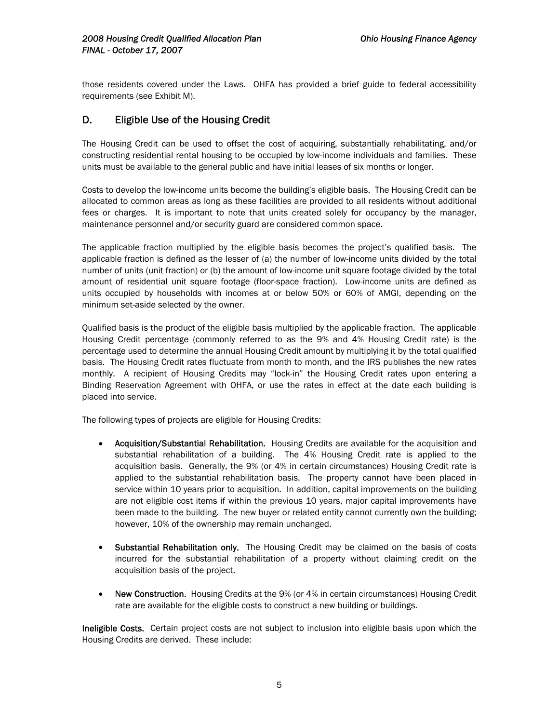those residents covered under the Laws. OHFA has provided a brief guide to federal accessibility requirements (see Exhibit M).

## D. Eligible Use of the Housing Credit

The Housing Credit can be used to offset the cost of acquiring, substantially rehabilitating, and/or constructing residential rental housing to be occupied by low-income individuals and families. These units must be available to the general public and have initial leases of six months or longer.

Costs to develop the low-income units become the building's eligible basis. The Housing Credit can be allocated to common areas as long as these facilities are provided to all residents without additional fees or charges. It is important to note that units created solely for occupancy by the manager, maintenance personnel and/or security guard are considered common space.

The applicable fraction multiplied by the eligible basis becomes the project's qualified basis. The applicable fraction is defined as the lesser of (a) the number of low-income units divided by the total number of units (unit fraction) or (b) the amount of low-income unit square footage divided by the total amount of residential unit square footage (floor-space fraction). Low-income units are defined as units occupied by households with incomes at or below 50% or 60% of AMGI, depending on the minimum set-aside selected by the owner.

Qualified basis is the product of the eligible basis multiplied by the applicable fraction. The applicable Housing Credit percentage (commonly referred to as the 9% and 4% Housing Credit rate) is the percentage used to determine the annual Housing Credit amount by multiplying it by the total qualified basis. The Housing Credit rates fluctuate from month to month, and the IRS publishes the new rates monthly. A recipient of Housing Credits may "lock-in" the Housing Credit rates upon entering a Binding Reservation Agreement with OHFA, or use the rates in effect at the date each building is placed into service.

The following types of projects are eligible for Housing Credits:

- Acquisition/Substantial Rehabilitation. Housing Credits are available for the acquisition and substantial rehabilitation of a building. The 4% Housing Credit rate is applied to the acquisition basis. Generally, the 9% (or 4% in certain circumstances) Housing Credit rate is applied to the substantial rehabilitation basis. The property cannot have been placed in service within 10 years prior to acquisition. In addition, capital improvements on the building are not eligible cost items if within the previous 10 years, major capital improvements have been made to the building. The new buyer or related entity cannot currently own the building; however, 10% of the ownership may remain unchanged.
- Substantial Rehabilitation only. The Housing Credit may be claimed on the basis of costs incurred for the substantial rehabilitation of a property without claiming credit on the acquisition basis of the project.
- New Construction. Housing Credits at the 9% (or 4% in certain circumstances) Housing Credit rate are available for the eligible costs to construct a new building or buildings.

Ineligible Costs. Certain project costs are not subject to inclusion into eligible basis upon which the Housing Credits are derived. These include: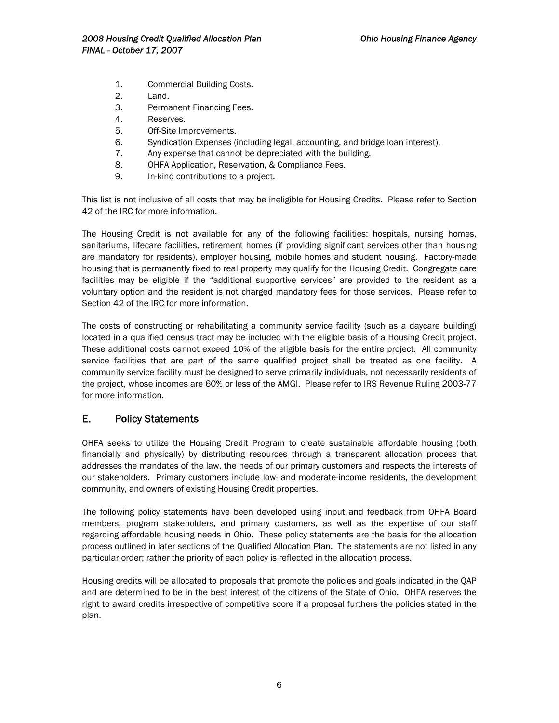- 1. Commercial Building Costs.
- 2. Land.
- 3. Permanent Financing Fees.
- 4. Reserves.
- 5. Off-Site Improvements.
- 6. Syndication Expenses (including legal, accounting, and bridge loan interest).
- 7. Any expense that cannot be depreciated with the building.
- 8. OHFA Application, Reservation, & Compliance Fees.
- 9. In-kind contributions to a project.

This list is not inclusive of all costs that may be ineligible for Housing Credits. Please refer to Section 42 of the IRC for more information.

The Housing Credit is not available for any of the following facilities: hospitals, nursing homes, sanitariums, lifecare facilities, retirement homes (if providing significant services other than housing are mandatory for residents), employer housing, mobile homes and student housing. Factory-made housing that is permanently fixed to real property may qualify for the Housing Credit. Congregate care facilities may be eligible if the "additional supportive services" are provided to the resident as a voluntary option and the resident is not charged mandatory fees for those services. Please refer to Section 42 of the IRC for more information.

The costs of constructing or rehabilitating a community service facility (such as a daycare building) located in a qualified census tract may be included with the eligible basis of a Housing Credit project. These additional costs cannot exceed 10% of the eligible basis for the entire project. All community service facilities that are part of the same qualified project shall be treated as one facility. A community service facility must be designed to serve primarily individuals, not necessarily residents of the project, whose incomes are 60% or less of the AMGI. Please refer to IRS Revenue Ruling 2003-77 for more information.

## E. Policy Statements

OHFA seeks to utilize the Housing Credit Program to create sustainable affordable housing (both financially and physically) by distributing resources through a transparent allocation process that addresses the mandates of the law, the needs of our primary customers and respects the interests of our stakeholders. Primary customers include low- and moderate-income residents, the development community, and owners of existing Housing Credit properties.

The following policy statements have been developed using input and feedback from OHFA Board members, program stakeholders, and primary customers, as well as the expertise of our staff regarding affordable housing needs in Ohio. These policy statements are the basis for the allocation process outlined in later sections of the Qualified Allocation Plan. The statements are not listed in any particular order; rather the priority of each policy is reflected in the allocation process.

Housing credits will be allocated to proposals that promote the policies and goals indicated in the QAP and are determined to be in the best interest of the citizens of the State of Ohio. OHFA reserves the right to award credits irrespective of competitive score if a proposal furthers the policies stated in the plan.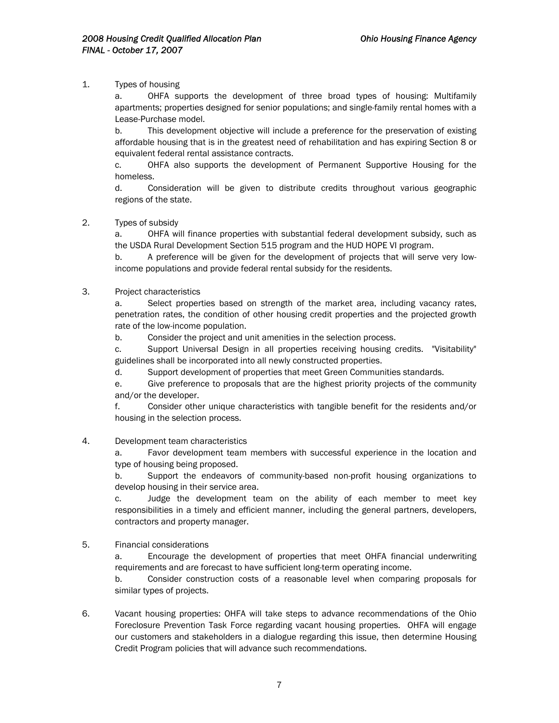## 1. Types of housing

OHFA supports the development of three broad types of housing: Multifamily apartments; properties designed for senior populations; and single-family rental homes with a Lease-Purchase model.

b. This development objective will include a preference for the preservation of existing affordable housing that is in the greatest need of rehabilitation and has expiring Section 8 or equivalent federal rental assistance contracts.

c. OHFA also supports the development of Permanent Supportive Housing for the homeless.

d. Consideration will be given to distribute credits throughout various geographic regions of the state.

## 2. Types of subsidy

a. OHFA will finance properties with substantial federal development subsidy, such as the USDA Rural Development Section 515 program and the HUD HOPE VI program.

b. A preference will be given for the development of projects that will serve very lowincome populations and provide federal rental subsidy for the residents.

## 3. Project characteristics

a. Select properties based on strength of the market area, including vacancy rates, penetration rates, the condition of other housing credit properties and the projected growth rate of the low-income population.

b. Consider the project and unit amenities in the selection process.

c. Support Universal Design in all properties receiving housing credits. "Visitability" guidelines shall be incorporated into all newly constructed properties.

d. Support development of properties that meet Green Communities standards.

e. Give preference to proposals that are the highest priority projects of the community and/or the developer.

f. Consider other unique characteristics with tangible benefit for the residents and/or housing in the selection process.

### 4. Development team characteristics

a. Favor development team members with successful experience in the location and type of housing being proposed.

b. Support the endeavors of community-based non-profit housing organizations to develop housing in their service area.

c. Judge the development team on the ability of each member to meet key responsibilities in a timely and efficient manner, including the general partners, developers, contractors and property manager.

### 5. Financial considerations

a. Encourage the development of properties that meet OHFA financial underwriting requirements and are forecast to have sufficient long-term operating income.

b. Consider construction costs of a reasonable level when comparing proposals for similar types of projects.

6. Vacant housing properties: OHFA will take steps to advance recommendations of the Ohio Foreclosure Prevention Task Force regarding vacant housing properties. OHFA will engage our customers and stakeholders in a dialogue regarding this issue, then determine Housing Credit Program policies that will advance such recommendations.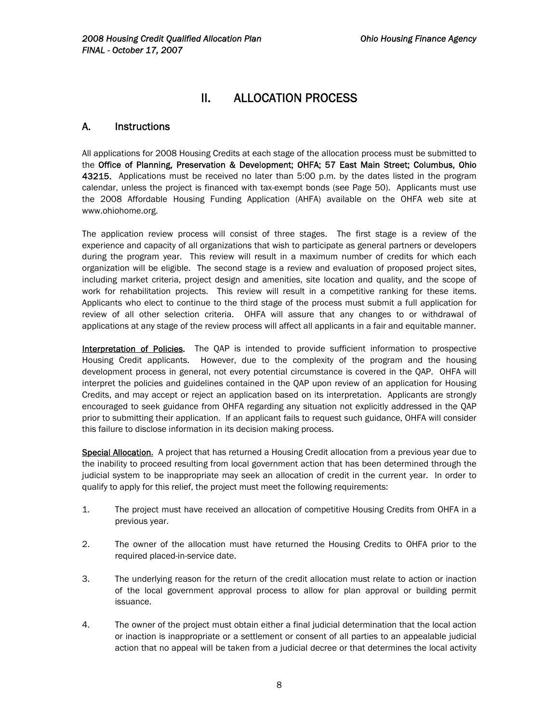## II. ALLOCATION PROCESS

## A. Instructions

All applications for 2008 Housing Credits at each stage of the allocation process must be submitted to the Office of Planning, Preservation & Development; OHFA; 57 East Main Street; Columbus, Ohio 43215. Applications must be received no later than 5:00 p.m. by the dates listed in the program calendar, unless the project is financed with tax-exempt bonds (see Page 50). Applicants must use the 2008 Affordable Housing Funding Application (AHFA) available on the OHFA web site at www.ohiohome.org.

The application review process will consist of three stages. The first stage is a review of the experience and capacity of all organizations that wish to participate as general partners or developers during the program year. This review will result in a maximum number of credits for which each organization will be eligible. The second stage is a review and evaluation of proposed project sites, including market criteria, project design and amenities, site location and quality, and the scope of work for rehabilitation projects. This review will result in a competitive ranking for these items. Applicants who elect to continue to the third stage of the process must submit a full application for review of all other selection criteria. OHFA will assure that any changes to or withdrawal of applications at any stage of the review process will affect all applicants in a fair and equitable manner.

Interpretation of Policies. The QAP is intended to provide sufficient information to prospective Housing Credit applicants. However, due to the complexity of the program and the housing development process in general, not every potential circumstance is covered in the QAP. OHFA will interpret the policies and guidelines contained in the QAP upon review of an application for Housing Credits, and may accept or reject an application based on its interpretation. Applicants are strongly encouraged to seek guidance from OHFA regarding any situation not explicitly addressed in the QAP prior to submitting their application. If an applicant fails to request such guidance, OHFA will consider this failure to disclose information in its decision making process.

Special Allocation. A project that has returned a Housing Credit allocation from a previous year due to the inability to proceed resulting from local government action that has been determined through the judicial system to be inappropriate may seek an allocation of credit in the current year. In order to qualify to apply for this relief, the project must meet the following requirements:

- 1. The project must have received an allocation of competitive Housing Credits from OHFA in a previous year.
- 2. The owner of the allocation must have returned the Housing Credits to OHFA prior to the required placed-in-service date.
- 3. The underlying reason for the return of the credit allocation must relate to action or inaction of the local government approval process to allow for plan approval or building permit issuance.
- 4. The owner of the project must obtain either a final judicial determination that the local action or inaction is inappropriate or a settlement or consent of all parties to an appealable judicial action that no appeal will be taken from a judicial decree or that determines the local activity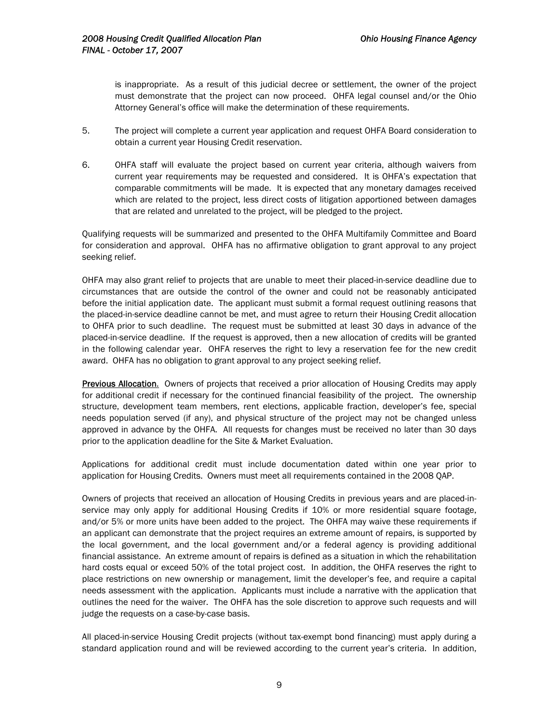is inappropriate. As a result of this judicial decree or settlement, the owner of the project must demonstrate that the project can now proceed. OHFA legal counsel and/or the Ohio Attorney General's office will make the determination of these requirements.

- 5. The project will complete a current year application and request OHFA Board consideration to obtain a current year Housing Credit reservation.
- 6. OHFA staff will evaluate the project based on current year criteria, although waivers from current year requirements may be requested and considered. It is OHFA's expectation that comparable commitments will be made. It is expected that any monetary damages received which are related to the project, less direct costs of litigation apportioned between damages that are related and unrelated to the project, will be pledged to the project.

Qualifying requests will be summarized and presented to the OHFA Multifamily Committee and Board for consideration and approval. OHFA has no affirmative obligation to grant approval to any project seeking relief.

OHFA may also grant relief to projects that are unable to meet their placed-in-service deadline due to circumstances that are outside the control of the owner and could not be reasonably anticipated before the initial application date. The applicant must submit a formal request outlining reasons that the placed-in-service deadline cannot be met, and must agree to return their Housing Credit allocation to OHFA prior to such deadline. The request must be submitted at least 30 days in advance of the placed-in-service deadline. If the request is approved, then a new allocation of credits will be granted in the following calendar year. OHFA reserves the right to levy a reservation fee for the new credit award. OHFA has no obligation to grant approval to any project seeking relief.

Previous Allocation. Owners of projects that received a prior allocation of Housing Credits may apply for additional credit if necessary for the continued financial feasibility of the project. The ownership structure, development team members, rent elections, applicable fraction, developer's fee, special needs population served (if any), and physical structure of the project may not be changed unless approved in advance by the OHFA. All requests for changes must be received no later than 30 days prior to the application deadline for the Site & Market Evaluation.

Applications for additional credit must include documentation dated within one year prior to application for Housing Credits. Owners must meet all requirements contained in the 2008 QAP.

Owners of projects that received an allocation of Housing Credits in previous years and are placed-inservice may only apply for additional Housing Credits if 10% or more residential square footage, and/or 5% or more units have been added to the project. The OHFA may waive these requirements if an applicant can demonstrate that the project requires an extreme amount of repairs, is supported by the local government, and the local government and/or a federal agency is providing additional financial assistance. An extreme amount of repairs is defined as a situation in which the rehabilitation hard costs equal or exceed 50% of the total project cost. In addition, the OHFA reserves the right to place restrictions on new ownership or management, limit the developer's fee, and require a capital needs assessment with the application. Applicants must include a narrative with the application that outlines the need for the waiver. The OHFA has the sole discretion to approve such requests and will judge the requests on a case-by-case basis.

All placed-in-service Housing Credit projects (without tax-exempt bond financing) must apply during a standard application round and will be reviewed according to the current year's criteria. In addition,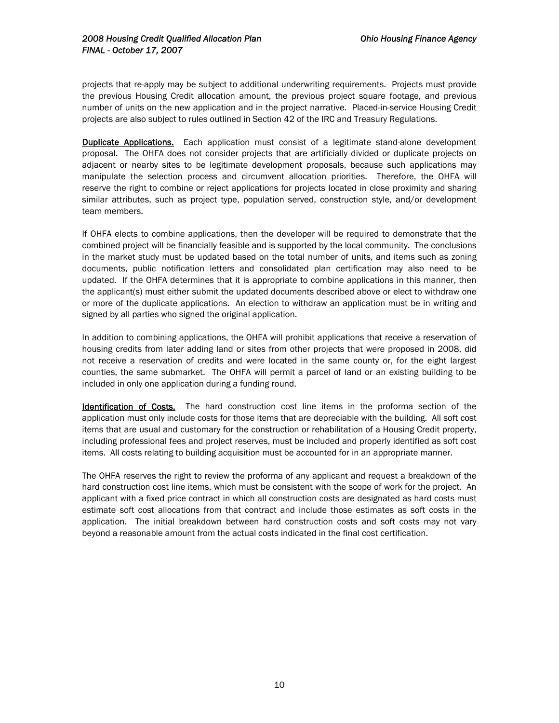projects that re-apply may be subject to additional underwriting requirements. Projects must provide the previous Housing Credit allocation amount, the previous project square footage, and previous number of units on the new application and in the project narrative. Placed-in-service Housing Credit projects are also subject to rules outlined in Section 42 of the IRC and Treasury Regulations.

Duplicate Applications. Each application must consist of a legitimate stand-alone development proposal. The OHFA does not consider projects that are artificially divided or duplicate projects on adjacent or nearby sites to be legitimate development proposals, because such applications may manipulate the selection process and circumvent allocation priorities. Therefore, the OHFA will reserve the right to combine or reject applications for projects located in close proximity and sharing similar attributes, such as project type, population served, construction style, and/or development team members.

If OHFA elects to combine applications, then the developer will be required to demonstrate that the combined project will be financially feasible and is supported by the local community. The conclusions in the market study must be updated based on the total number of units, and items such as zoning documents, public notification letters and consolidated plan certification may also need to be updated. If the OHFA determines that it is appropriate to combine applications in this manner, then the applicant(s) must either submit the updated documents described above or elect to withdraw one or more of the duplicate applications. An election to withdraw an application must be in writing and signed by all parties who signed the original application.

In addition to combining applications, the OHFA will prohibit applications that receive a reservation of housing credits from later adding land or sites from other projects that were proposed in 2008, did not receive a reservation of credits and were located in the same county or, for the eight largest counties, the same submarket. The OHFA will permit a parcel of land or an existing building to be included in only one application during a funding round.

**Identification of Costs.** The hard construction cost line items in the proforma section of the application must only include costs for those items that are depreciable with the building. All soft cost items that are usual and customary for the construction or rehabilitation of a Housing Credit property, including professional fees and project reserves, must be included and properly identified as soft cost items. All costs relating to building acquisition must be accounted for in an appropriate manner.

The OHFA reserves the right to review the proforma of any applicant and request a breakdown of the hard construction cost line items, which must be consistent with the scope of work for the project. An applicant with a fixed price contract in which all construction costs are designated as hard costs must estimate soft cost allocations from that contract and include those estimates as soft costs in the application. The initial breakdown between hard construction costs and soft costs may not vary beyond a reasonable amount from the actual costs indicated in the final cost certification.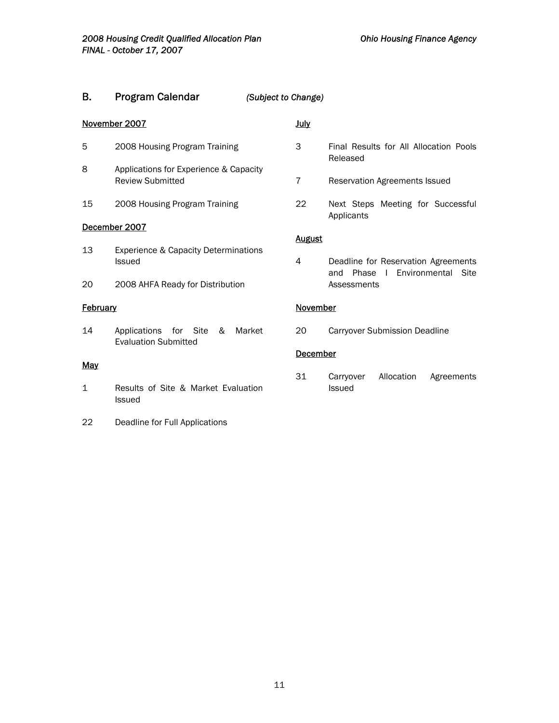## B. Program Calendar *(Subject to Change)*

## November 2007

- 5 2008 Housing Program Training
- 8 Applications for Experience & Capacity Review Submitted
- 15 2008 Housing Program Training

## December 2007

- 13 Experience & Capacity Determinations Issued
- 20 2008 AHFA Ready for Distribution

## **February**

14 Applications for Site & Market Evaluation Submitted

### **May**

- 1 Results of Site & Market Evaluation Issued
- 22 Deadline for Full Applications

## July

- 3 Final Results for All Allocation Pools Released
- 7 Reservation Agreements Issued
- 22 Next Steps Meeting for Successful Applicants

### **August**

4 Deadline for Reservation Agreements and Phase I Environmental Site **Assessments** 

## **November**

20 Carryover Submission Deadline

## **December**

31 Carryover Allocation Agreements Issued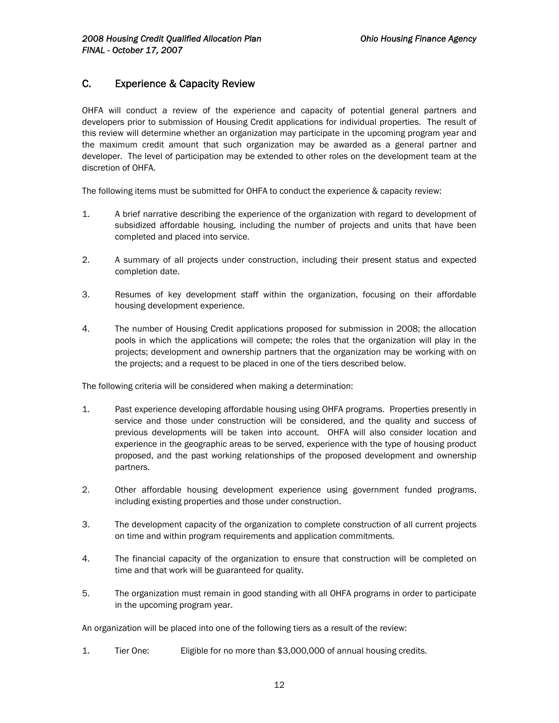## C. Experience & Capacity Review

OHFA will conduct a review of the experience and capacity of potential general partners and developers prior to submission of Housing Credit applications for individual properties. The result of this review will determine whether an organization may participate in the upcoming program year and the maximum credit amount that such organization may be awarded as a general partner and developer. The level of participation may be extended to other roles on the development team at the discretion of OHFA.

The following items must be submitted for OHFA to conduct the experience & capacity review:

- 1. A brief narrative describing the experience of the organization with regard to development of subsidized affordable housing, including the number of projects and units that have been completed and placed into service.
- 2. A summary of all projects under construction, including their present status and expected completion date.
- 3. Resumes of key development staff within the organization, focusing on their affordable housing development experience.
- 4. The number of Housing Credit applications proposed for submission in 2008; the allocation pools in which the applications will compete; the roles that the organization will play in the projects; development and ownership partners that the organization may be working with on the projects; and a request to be placed in one of the tiers described below.

The following criteria will be considered when making a determination:

- 1. Past experience developing affordable housing using OHFA programs. Properties presently in service and those under construction will be considered, and the quality and success of previous developments will be taken into account. OHFA will also consider location and experience in the geographic areas to be served, experience with the type of housing product proposed, and the past working relationships of the proposed development and ownership partners.
- 2. Other affordable housing development experience using government funded programs, including existing properties and those under construction.
- 3. The development capacity of the organization to complete construction of all current projects on time and within program requirements and application commitments.
- 4. The financial capacity of the organization to ensure that construction will be completed on time and that work will be guaranteed for quality.
- 5. The organization must remain in good standing with all OHFA programs in order to participate in the upcoming program year.

An organization will be placed into one of the following tiers as a result of the review:

1. Tier One: Eligible for no more than \$3,000,000 of annual housing credits.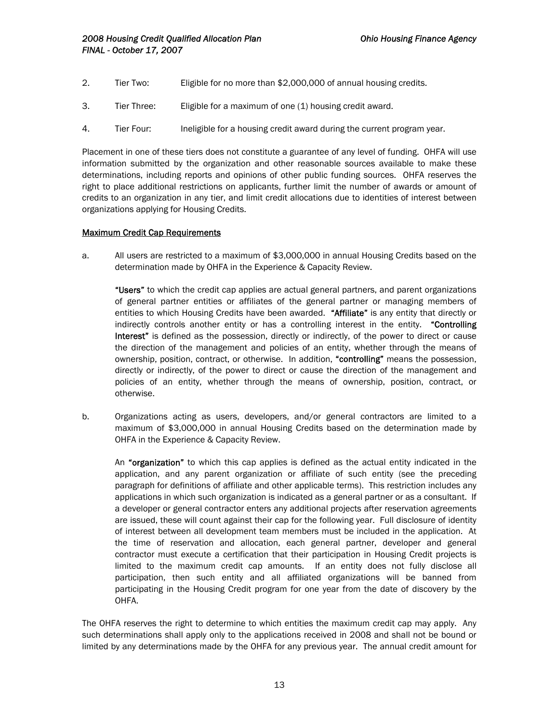- 2. Tier Two: Eligible for no more than \$2,000,000 of annual housing credits.
- 3. Tier Three: Eligible for a maximum of one (1) housing credit award.
- 4. Tier Four: Ineligible for a housing credit award during the current program year.

Placement in one of these tiers does not constitute a guarantee of any level of funding. OHFA will use information submitted by the organization and other reasonable sources available to make these determinations, including reports and opinions of other public funding sources. OHFA reserves the right to place additional restrictions on applicants, further limit the number of awards or amount of credits to an organization in any tier, and limit credit allocations due to identities of interest between organizations applying for Housing Credits.

## Maximum Credit Cap Requirements

a. All users are restricted to a maximum of \$3,000,000 in annual Housing Credits based on the determination made by OHFA in the Experience & Capacity Review.

"Users" to which the credit cap applies are actual general partners, and parent organizations of general partner entities or affiliates of the general partner or managing members of entities to which Housing Credits have been awarded. "Affiliate" is any entity that directly or indirectly controls another entity or has a controlling interest in the entity. "Controlling Interest" is defined as the possession, directly or indirectly, of the power to direct or cause the direction of the management and policies of an entity, whether through the means of ownership, position, contract, or otherwise. In addition, "controlling" means the possession, directly or indirectly, of the power to direct or cause the direction of the management and policies of an entity, whether through the means of ownership, position, contract, or otherwise.

b. Organizations acting as users, developers, and/or general contractors are limited to a maximum of \$3,000,000 in annual Housing Credits based on the determination made by OHFA in the Experience & Capacity Review.

An "organization" to which this cap applies is defined as the actual entity indicated in the application, and any parent organization or affiliate of such entity (see the preceding paragraph for definitions of affiliate and other applicable terms). This restriction includes any applications in which such organization is indicated as a general partner or as a consultant. If a developer or general contractor enters any additional projects after reservation agreements are issued, these will count against their cap for the following year. Full disclosure of identity of interest between all development team members must be included in the application. At the time of reservation and allocation, each general partner, developer and general contractor must execute a certification that their participation in Housing Credit projects is limited to the maximum credit cap amounts. If an entity does not fully disclose all participation, then such entity and all affiliated organizations will be banned from participating in the Housing Credit program for one year from the date of discovery by the OHFA.

The OHFA reserves the right to determine to which entities the maximum credit cap may apply. Any such determinations shall apply only to the applications received in 2008 and shall not be bound or limited by any determinations made by the OHFA for any previous year. The annual credit amount for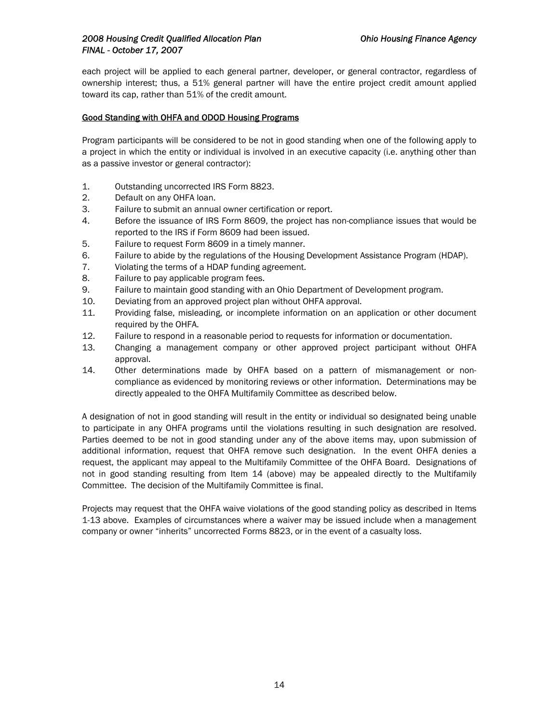## *2008 Housing Credit Qualified Allocation Plan Ohio Housing Finance Agency FINAL - October 17, 2007*

each project will be applied to each general partner, developer, or general contractor, regardless of ownership interest; thus, a 51% general partner will have the entire project credit amount applied toward its cap, rather than 51% of the credit amount.

## Good Standing with OHFA and ODOD Housing Programs

Program participants will be considered to be not in good standing when one of the following apply to a project in which the entity or individual is involved in an executive capacity (i.e. anything other than as a passive investor or general contractor):

- 1. Outstanding uncorrected IRS Form 8823.
- 2. Default on any OHFA loan.
- 3. Failure to submit an annual owner certification or report.
- 4. Before the issuance of IRS Form 8609, the project has non-compliance issues that would be reported to the IRS if Form 8609 had been issued.
- 5. Failure to request Form 8609 in a timely manner.
- 6. Failure to abide by the regulations of the Housing Development Assistance Program (HDAP).
- 7. Violating the terms of a HDAP funding agreement.
- 8. Failure to pay applicable program fees.
- 9. Failure to maintain good standing with an Ohio Department of Development program.
- 10. Deviating from an approved project plan without OHFA approval.
- 11. Providing false, misleading, or incomplete information on an application or other document required by the OHFA.
- 12. Failure to respond in a reasonable period to requests for information or documentation.
- 13. Changing a management company or other approved project participant without OHFA approval.
- 14. Other determinations made by OHFA based on a pattern of mismanagement or noncompliance as evidenced by monitoring reviews or other information. Determinations may be directly appealed to the OHFA Multifamily Committee as described below.

A designation of not in good standing will result in the entity or individual so designated being unable to participate in any OHFA programs until the violations resulting in such designation are resolved. Parties deemed to be not in good standing under any of the above items may, upon submission of additional information, request that OHFA remove such designation. In the event OHFA denies a request, the applicant may appeal to the Multifamily Committee of the OHFA Board. Designations of not in good standing resulting from Item 14 (above) may be appealed directly to the Multifamily Committee. The decision of the Multifamily Committee is final.

Projects may request that the OHFA waive violations of the good standing policy as described in Items 1-13 above. Examples of circumstances where a waiver may be issued include when a management company or owner "inherits" uncorrected Forms 8823, or in the event of a casualty loss.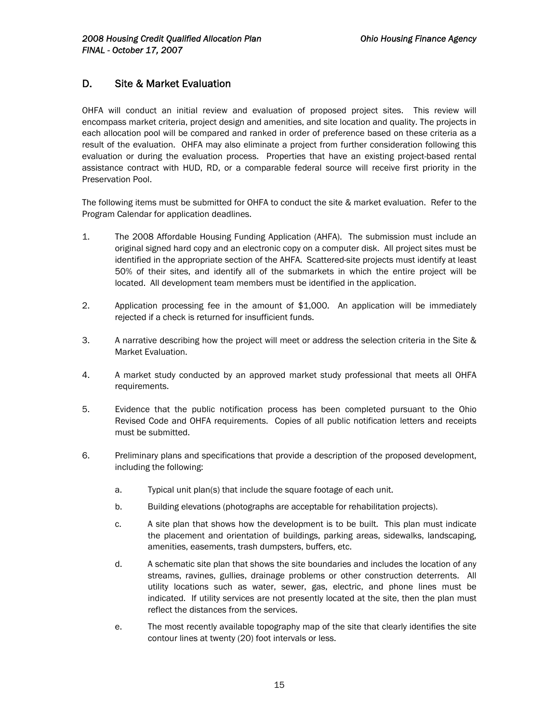## D. Site & Market Evaluation

OHFA will conduct an initial review and evaluation of proposed project sites. This review will encompass market criteria, project design and amenities, and site location and quality. The projects in each allocation pool will be compared and ranked in order of preference based on these criteria as a result of the evaluation. OHFA may also eliminate a project from further consideration following this evaluation or during the evaluation process. Properties that have an existing project-based rental assistance contract with HUD, RD, or a comparable federal source will receive first priority in the Preservation Pool.

The following items must be submitted for OHFA to conduct the site & market evaluation. Refer to the Program Calendar for application deadlines.

- 1. The 2008 Affordable Housing Funding Application (AHFA). The submission must include an original signed hard copy and an electronic copy on a computer disk. All project sites must be identified in the appropriate section of the AHFA. Scattered-site projects must identify at least 50% of their sites, and identify all of the submarkets in which the entire project will be located. All development team members must be identified in the application.
- 2. Application processing fee in the amount of \$1,000. An application will be immediately rejected if a check is returned for insufficient funds.
- 3. A narrative describing how the project will meet or address the selection criteria in the Site & Market Evaluation.
- 4. A market study conducted by an approved market study professional that meets all OHFA requirements.
- 5. Evidence that the public notification process has been completed pursuant to the Ohio Revised Code and OHFA requirements. Copies of all public notification letters and receipts must be submitted.
- 6. Preliminary plans and specifications that provide a description of the proposed development, including the following:
	- a. Typical unit plan(s) that include the square footage of each unit.
	- b. Building elevations (photographs are acceptable for rehabilitation projects).
	- c. A site plan that shows how the development is to be built. This plan must indicate the placement and orientation of buildings, parking areas, sidewalks, landscaping, amenities, easements, trash dumpsters, buffers, etc.
	- d. A schematic site plan that shows the site boundaries and includes the location of any streams, ravines, gullies, drainage problems or other construction deterrents. All utility locations such as water, sewer, gas, electric, and phone lines must be indicated. If utility services are not presently located at the site, then the plan must reflect the distances from the services.
	- e. The most recently available topography map of the site that clearly identifies the site contour lines at twenty (20) foot intervals or less.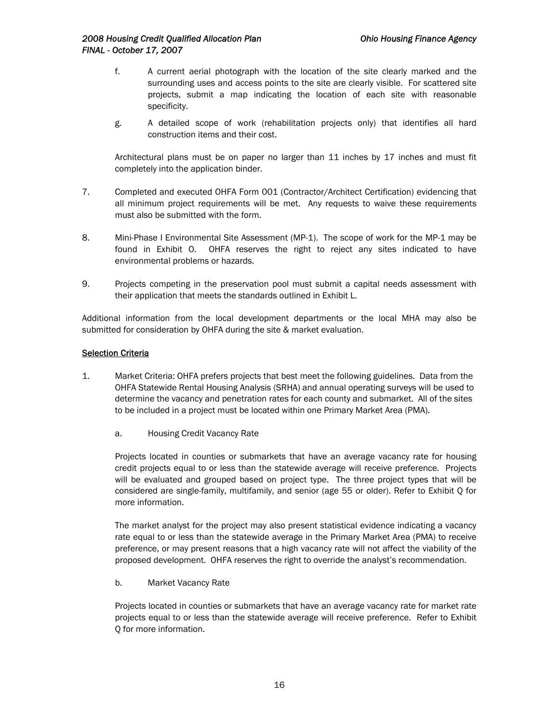- f. A current aerial photograph with the location of the site clearly marked and the surrounding uses and access points to the site are clearly visible. For scattered site projects, submit a map indicating the location of each site with reasonable specificity.
- g. A detailed scope of work (rehabilitation projects only) that identifies all hard construction items and their cost.

Architectural plans must be on paper no larger than 11 inches by 17 inches and must fit completely into the application binder.

- 7. Completed and executed OHFA Form 001 (Contractor/Architect Certification) evidencing that all minimum project requirements will be met. Any requests to waive these requirements must also be submitted with the form.
- 8. Mini-Phase I Environmental Site Assessment (MP-1). The scope of work for the MP-1 may be found in Exhibit O. OHFA reserves the right to reject any sites indicated to have environmental problems or hazards.
- 9. Projects competing in the preservation pool must submit a capital needs assessment with their application that meets the standards outlined in Exhibit L.

Additional information from the local development departments or the local MHA may also be submitted for consideration by OHFA during the site & market evaluation.

### Selection Criteria

- 1. Market Criteria: OHFA prefers projects that best meet the following guidelines. Data from the OHFA Statewide Rental Housing Analysis (SRHA) and annual operating surveys will be used to determine the vacancy and penetration rates for each county and submarket. All of the sites to be included in a project must be located within one Primary Market Area (PMA).
	- a. Housing Credit Vacancy Rate

Projects located in counties or submarkets that have an average vacancy rate for housing credit projects equal to or less than the statewide average will receive preference. Projects will be evaluated and grouped based on project type. The three project types that will be considered are single-family, multifamily, and senior (age 55 or older). Refer to Exhibit Q for more information.

The market analyst for the project may also present statistical evidence indicating a vacancy rate equal to or less than the statewide average in the Primary Market Area (PMA) to receive preference, or may present reasons that a high vacancy rate will not affect the viability of the proposed development. OHFA reserves the right to override the analyst's recommendation.

b. Market Vacancy Rate

Projects located in counties or submarkets that have an average vacancy rate for market rate projects equal to or less than the statewide average will receive preference. Refer to Exhibit Q for more information.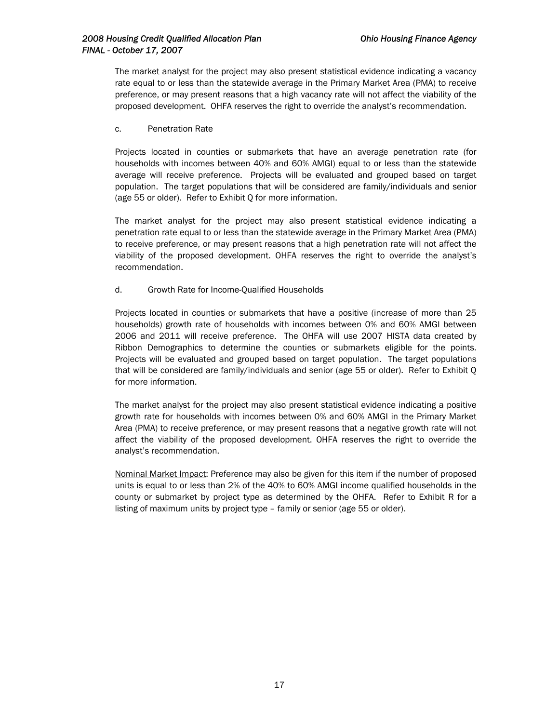The market analyst for the project may also present statistical evidence indicating a vacancy rate equal to or less than the statewide average in the Primary Market Area (PMA) to receive preference, or may present reasons that a high vacancy rate will not affect the viability of the proposed development. OHFA reserves the right to override the analyst's recommendation.

c. Penetration Rate

Projects located in counties or submarkets that have an average penetration rate (for households with incomes between 40% and 60% AMGI) equal to or less than the statewide average will receive preference. Projects will be evaluated and grouped based on target population. The target populations that will be considered are family/individuals and senior (age 55 or older). Refer to Exhibit Q for more information.

The market analyst for the project may also present statistical evidence indicating a penetration rate equal to or less than the statewide average in the Primary Market Area (PMA) to receive preference, or may present reasons that a high penetration rate will not affect the viability of the proposed development. OHFA reserves the right to override the analyst's recommendation.

d. Growth Rate for Income-Qualified Households

Projects located in counties or submarkets that have a positive (increase of more than 25 households) growth rate of households with incomes between 0% and 60% AMGI between 2006 and 2011 will receive preference. The OHFA will use 2007 HISTA data created by Ribbon Demographics to determine the counties or submarkets eligible for the points. Projects will be evaluated and grouped based on target population. The target populations that will be considered are family/individuals and senior (age 55 or older). Refer to Exhibit Q for more information.

The market analyst for the project may also present statistical evidence indicating a positive growth rate for households with incomes between 0% and 60% AMGI in the Primary Market Area (PMA) to receive preference, or may present reasons that a negative growth rate will not affect the viability of the proposed development. OHFA reserves the right to override the analyst's recommendation.

Nominal Market Impact: Preference may also be given for this item if the number of proposed units is equal to or less than 2% of the 40% to 60% AMGI income qualified households in the county or submarket by project type as determined by the OHFA. Refer to Exhibit R for a listing of maximum units by project type – family or senior (age 55 or older).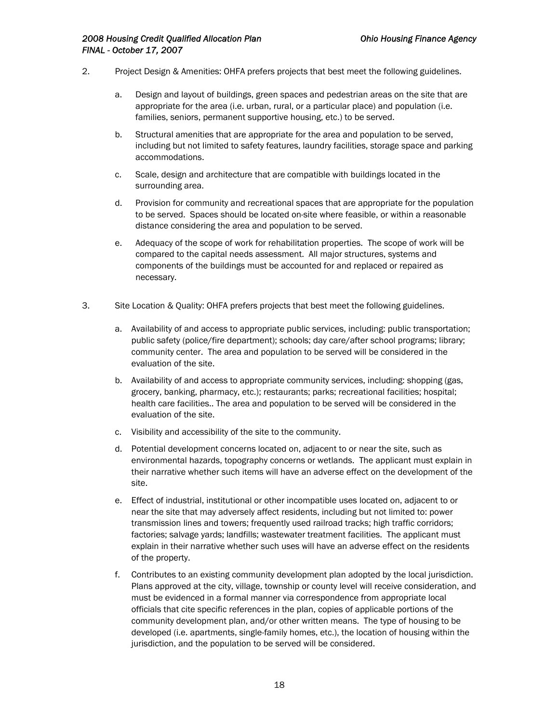- 2. Project Design & Amenities: OHFA prefers projects that best meet the following guidelines.
	- a. Design and layout of buildings, green spaces and pedestrian areas on the site that are appropriate for the area (i.e. urban, rural, or a particular place) and population (i.e. families, seniors, permanent supportive housing, etc.) to be served.
	- b. Structural amenities that are appropriate for the area and population to be served, including but not limited to safety features, laundry facilities, storage space and parking accommodations.
	- c. Scale, design and architecture that are compatible with buildings located in the surrounding area.
	- d. Provision for community and recreational spaces that are appropriate for the population to be served. Spaces should be located on-site where feasible, or within a reasonable distance considering the area and population to be served.
	- e. Adequacy of the scope of work for rehabilitation properties. The scope of work will be compared to the capital needs assessment. All major structures, systems and components of the buildings must be accounted for and replaced or repaired as necessary.
- 3. Site Location & Quality: OHFA prefers projects that best meet the following guidelines.
	- a. Availability of and access to appropriate public services, including: public transportation; public safety (police/fire department); schools; day care/after school programs; library; community center. The area and population to be served will be considered in the evaluation of the site.
	- b. Availability of and access to appropriate community services, including: shopping (gas, grocery, banking, pharmacy, etc.); restaurants; parks; recreational facilities; hospital; health care facilities.. The area and population to be served will be considered in the evaluation of the site.
	- c. Visibility and accessibility of the site to the community.
	- d. Potential development concerns located on, adjacent to or near the site, such as environmental hazards, topography concerns or wetlands. The applicant must explain in their narrative whether such items will have an adverse effect on the development of the site.
	- e. Effect of industrial, institutional or other incompatible uses located on, adjacent to or near the site that may adversely affect residents, including but not limited to: power transmission lines and towers; frequently used railroad tracks; high traffic corridors; factories; salvage yards; landfills; wastewater treatment facilities. The applicant must explain in their narrative whether such uses will have an adverse effect on the residents of the property.
	- f. Contributes to an existing community development plan adopted by the local jurisdiction. Plans approved at the city, village, township or county level will receive consideration, and must be evidenced in a formal manner via correspondence from appropriate local officials that cite specific references in the plan, copies of applicable portions of the community development plan, and/or other written means. The type of housing to be developed (i.e. apartments, single-family homes, etc.), the location of housing within the jurisdiction, and the population to be served will be considered.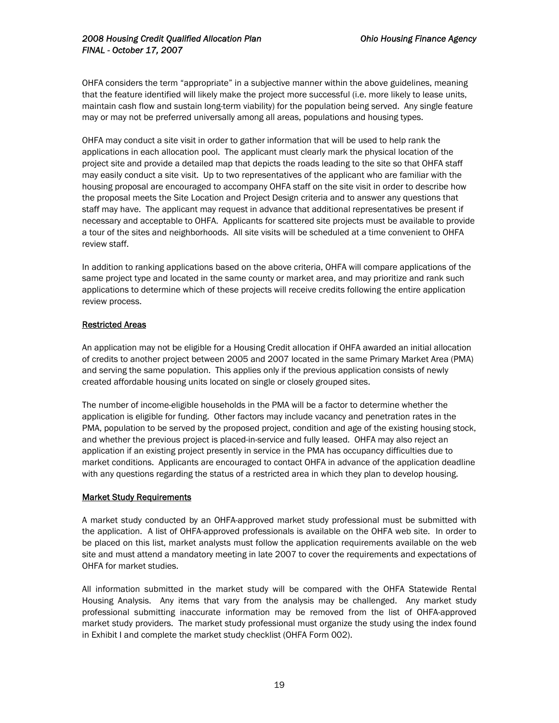OHFA considers the term "appropriate" in a subjective manner within the above guidelines, meaning that the feature identified will likely make the project more successful (i.e. more likely to lease units, maintain cash flow and sustain long-term viability) for the population being served. Any single feature may or may not be preferred universally among all areas, populations and housing types.

OHFA may conduct a site visit in order to gather information that will be used to help rank the applications in each allocation pool. The applicant must clearly mark the physical location of the project site and provide a detailed map that depicts the roads leading to the site so that OHFA staff may easily conduct a site visit. Up to two representatives of the applicant who are familiar with the housing proposal are encouraged to accompany OHFA staff on the site visit in order to describe how the proposal meets the Site Location and Project Design criteria and to answer any questions that staff may have. The applicant may request in advance that additional representatives be present if necessary and acceptable to OHFA. Applicants for scattered site projects must be available to provide a tour of the sites and neighborhoods. All site visits will be scheduled at a time convenient to OHFA review staff.

In addition to ranking applications based on the above criteria, OHFA will compare applications of the same project type and located in the same county or market area, and may prioritize and rank such applications to determine which of these projects will receive credits following the entire application review process.

## Restricted Areas

An application may not be eligible for a Housing Credit allocation if OHFA awarded an initial allocation of credits to another project between 2005 and 2007 located in the same Primary Market Area (PMA) and serving the same population. This applies only if the previous application consists of newly created affordable housing units located on single or closely grouped sites.

The number of income-eligible households in the PMA will be a factor to determine whether the application is eligible for funding. Other factors may include vacancy and penetration rates in the PMA, population to be served by the proposed project, condition and age of the existing housing stock, and whether the previous project is placed-in-service and fully leased. OHFA may also reject an application if an existing project presently in service in the PMA has occupancy difficulties due to market conditions. Applicants are encouraged to contact OHFA in advance of the application deadline with any questions regarding the status of a restricted area in which they plan to develop housing.

### Market Study Requirements

A market study conducted by an OHFA-approved market study professional must be submitted with the application. A list of OHFA-approved professionals is available on the OHFA web site. In order to be placed on this list, market analysts must follow the application requirements available on the web site and must attend a mandatory meeting in late 2007 to cover the requirements and expectations of OHFA for market studies.

All information submitted in the market study will be compared with the OHFA Statewide Rental Housing Analysis. Any items that vary from the analysis may be challenged. Any market study professional submitting inaccurate information may be removed from the list of OHFA-approved market study providers. The market study professional must organize the study using the index found in Exhibit I and complete the market study checklist (OHFA Form 002).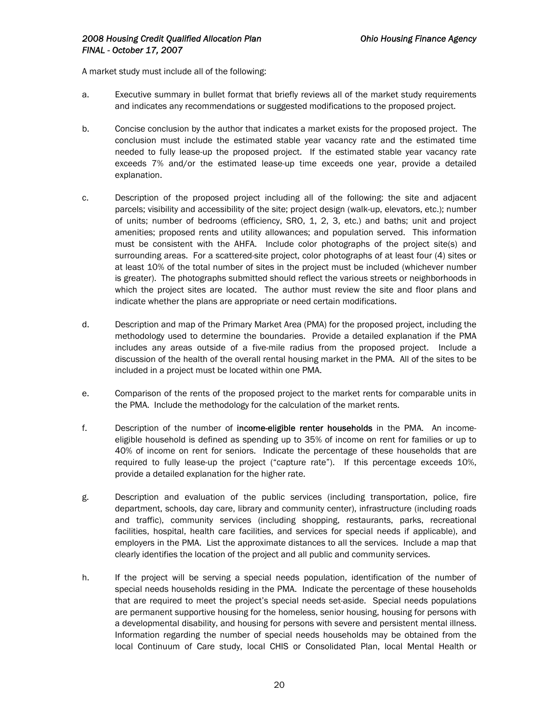A market study must include all of the following:

- a. Executive summary in bullet format that briefly reviews all of the market study requirements and indicates any recommendations or suggested modifications to the proposed project.
- b. Concise conclusion by the author that indicates a market exists for the proposed project. The conclusion must include the estimated stable year vacancy rate and the estimated time needed to fully lease-up the proposed project. If the estimated stable year vacancy rate exceeds 7% and/or the estimated lease-up time exceeds one year, provide a detailed explanation.
- c. Description of the proposed project including all of the following: the site and adjacent parcels; visibility and accessibility of the site; project design (walk-up, elevators, etc.); number of units; number of bedrooms (efficiency, SRO, 1, 2, 3, etc.) and baths; unit and project amenities; proposed rents and utility allowances; and population served. This information must be consistent with the AHFA. Include color photographs of the project site(s) and surrounding areas. For a scattered-site project, color photographs of at least four (4) sites or at least 10% of the total number of sites in the project must be included (whichever number is greater). The photographs submitted should reflect the various streets or neighborhoods in which the project sites are located. The author must review the site and floor plans and indicate whether the plans are appropriate or need certain modifications.
- d. Description and map of the Primary Market Area (PMA) for the proposed project, including the methodology used to determine the boundaries. Provide a detailed explanation if the PMA includes any areas outside of a five-mile radius from the proposed project. Include a discussion of the health of the overall rental housing market in the PMA. All of the sites to be included in a project must be located within one PMA.
- e. Comparison of the rents of the proposed project to the market rents for comparable units in the PMA. Include the methodology for the calculation of the market rents.
- f. Description of the number of income-eligible renter households in the PMA. An incomeeligible household is defined as spending up to 35% of income on rent for families or up to 40% of income on rent for seniors. Indicate the percentage of these households that are required to fully lease-up the project ("capture rate"). If this percentage exceeds 10%, provide a detailed explanation for the higher rate.
- g. Description and evaluation of the public services (including transportation, police, fire department, schools, day care, library and community center), infrastructure (including roads and traffic), community services (including shopping, restaurants, parks, recreational facilities, hospital, health care facilities, and services for special needs if applicable), and employers in the PMA. List the approximate distances to all the services. Include a map that clearly identifies the location of the project and all public and community services.
- h. If the project will be serving a special needs population, identification of the number of special needs households residing in the PMA. Indicate the percentage of these households that are required to meet the project's special needs set-aside. Special needs populations are permanent supportive housing for the homeless, senior housing, housing for persons with a developmental disability, and housing for persons with severe and persistent mental illness. Information regarding the number of special needs households may be obtained from the local Continuum of Care study, local CHIS or Consolidated Plan, local Mental Health or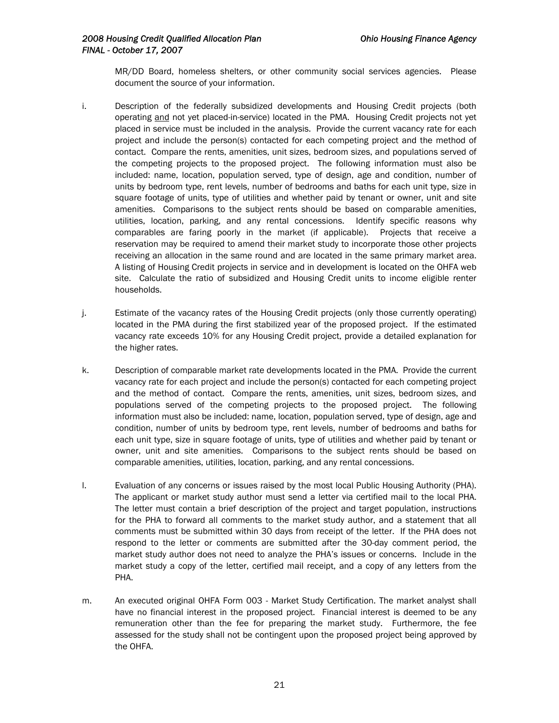MR/DD Board, homeless shelters, or other community social services agencies. Please document the source of your information.

- i. Description of the federally subsidized developments and Housing Credit projects (both operating and not yet placed-in-service) located in the PMA. Housing Credit projects not yet placed in service must be included in the analysis. Provide the current vacancy rate for each project and include the person(s) contacted for each competing project and the method of contact. Compare the rents, amenities, unit sizes, bedroom sizes, and populations served of the competing projects to the proposed project. The following information must also be included: name, location, population served, type of design, age and condition, number of units by bedroom type, rent levels, number of bedrooms and baths for each unit type, size in square footage of units, type of utilities and whether paid by tenant or owner, unit and site amenities. Comparisons to the subject rents should be based on comparable amenities, utilities, location, parking, and any rental concessions. Identify specific reasons why comparables are faring poorly in the market (if applicable). Projects that receive a reservation may be required to amend their market study to incorporate those other projects receiving an allocation in the same round and are located in the same primary market area. A listing of Housing Credit projects in service and in development is located on the OHFA web site. Calculate the ratio of subsidized and Housing Credit units to income eligible renter households.
- j. Estimate of the vacancy rates of the Housing Credit projects (only those currently operating) located in the PMA during the first stabilized year of the proposed project. If the estimated vacancy rate exceeds 10% for any Housing Credit project, provide a detailed explanation for the higher rates.
- k. Description of comparable market rate developments located in the PMA. Provide the current vacancy rate for each project and include the person(s) contacted for each competing project and the method of contact. Compare the rents, amenities, unit sizes, bedroom sizes, and populations served of the competing projects to the proposed project. The following information must also be included: name, location, population served, type of design, age and condition, number of units by bedroom type, rent levels, number of bedrooms and baths for each unit type, size in square footage of units, type of utilities and whether paid by tenant or owner, unit and site amenities. Comparisons to the subject rents should be based on comparable amenities, utilities, location, parking, and any rental concessions.
- l. Evaluation of any concerns or issues raised by the most local Public Housing Authority (PHA). The applicant or market study author must send a letter via certified mail to the local PHA. The letter must contain a brief description of the project and target population, instructions for the PHA to forward all comments to the market study author, and a statement that all comments must be submitted within 30 days from receipt of the letter. If the PHA does not respond to the letter or comments are submitted after the 30-day comment period, the market study author does not need to analyze the PHA's issues or concerns. Include in the market study a copy of the letter, certified mail receipt, and a copy of any letters from the PHA.
- m. An executed original OHFA Form 003 Market Study Certification. The market analyst shall have no financial interest in the proposed project. Financial interest is deemed to be any remuneration other than the fee for preparing the market study. Furthermore, the fee assessed for the study shall not be contingent upon the proposed project being approved by the OHFA.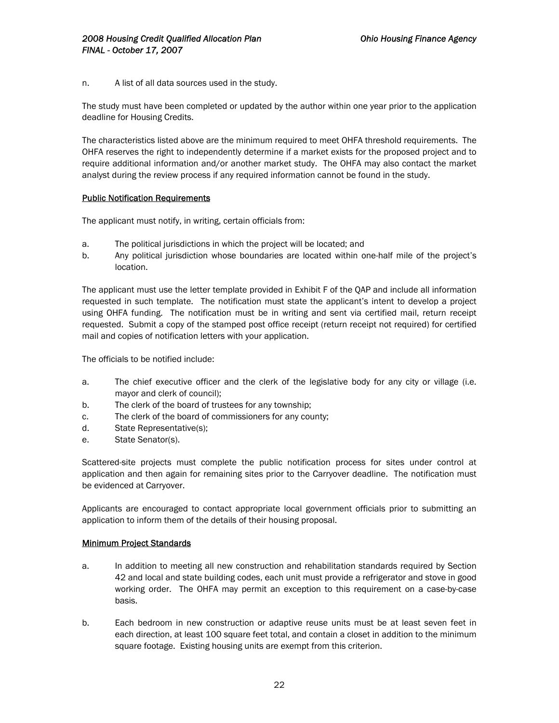n. A list of all data sources used in the study.

The study must have been completed or updated by the author within one year prior to the application deadline for Housing Credits.

The characteristics listed above are the minimum required to meet OHFA threshold requirements. The OHFA reserves the right to independently determine if a market exists for the proposed project and to require additional information and/or another market study. The OHFA may also contact the market analyst during the review process if any required information cannot be found in the study.

## Public Notification Requirements

The applicant must notify, in writing, certain officials from:

- a. The political jurisdictions in which the project will be located; and
- b. Any political jurisdiction whose boundaries are located within one-half mile of the project's location.

The applicant must use the letter template provided in Exhibit F of the QAP and include all information requested in such template.The notification must state the applicant's intent to develop a project using OHFA funding. The notification must be in writing and sent via certified mail, return receipt requested. Submit a copy of the stamped post office receipt (return receipt not required) for certified mail and copies of notification letters with your application.

The officials to be notified include:

- a. The chief executive officer and the clerk of the legislative body for any city or village (i.e. mayor and clerk of council);
- b. The clerk of the board of trustees for any township;
- c. The clerk of the board of commissioners for any county;
- d. State Representative(s);
- e. State Senator(s).

Scattered-site projects must complete the public notification process for sites under control at application and then again for remaining sites prior to the Carryover deadline. The notification must be evidenced at Carryover.

Applicants are encouraged to contact appropriate local government officials prior to submitting an application to inform them of the details of their housing proposal.

### Minimum Project Standards

- a. In addition to meeting all new construction and rehabilitation standards required by Section 42 and local and state building codes, each unit must provide a refrigerator and stove in good working order. The OHFA may permit an exception to this requirement on a case-by-case basis.
- b. Each bedroom in new construction or adaptive reuse units must be at least seven feet in each direction, at least 100 square feet total, and contain a closet in addition to the minimum square footage. Existing housing units are exempt from this criterion.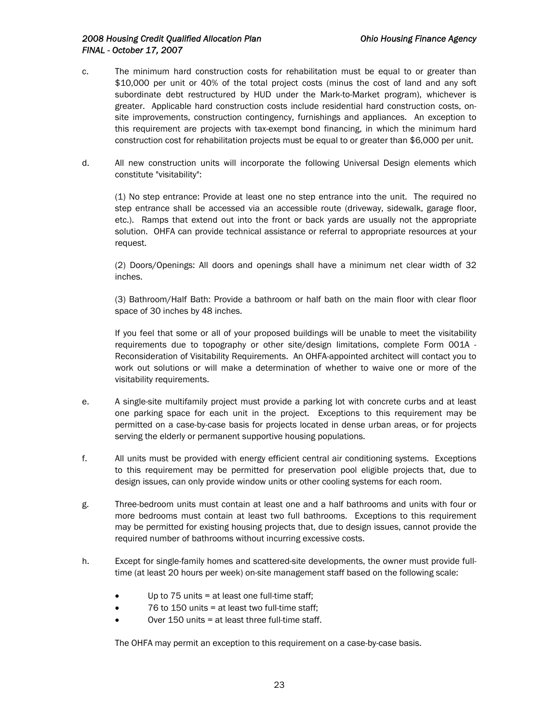- c. The minimum hard construction costs for rehabilitation must be equal to or greater than \$10,000 per unit or 40% of the total project costs (minus the cost of land and any soft subordinate debt restructured by HUD under the Mark-to-Market program), whichever is greater. Applicable hard construction costs include residential hard construction costs, onsite improvements, construction contingency, furnishings and appliances. An exception to this requirement are projects with tax-exempt bond financing, in which the minimum hard construction cost for rehabilitation projects must be equal to or greater than \$6,000 per unit.
- d. All new construction units will incorporate the following Universal Design elements which constitute "visitability":

(1) No step entrance: Provide at least one no step entrance into the unit. The required no step entrance shall be accessed via an accessible route (driveway, sidewalk, garage floor, etc.). Ramps that extend out into the front or back yards are usually not the appropriate solution. OHFA can provide technical assistance or referral to appropriate resources at your request.

(2) Doors/Openings: All doors and openings shall have a minimum net clear width of 32 inches.

(3) Bathroom/Half Bath: Provide a bathroom or half bath on the main floor with clear floor space of 30 inches by 48 inches.

If you feel that some or all of your proposed buildings will be unable to meet the visitability requirements due to topography or other site/design limitations, complete Form 001A - Reconsideration of Visitability Requirements. An OHFA-appointed architect will contact you to work out solutions or will make a determination of whether to waive one or more of the visitability requirements.

- e. A single-site multifamily project must provide a parking lot with concrete curbs and at least one parking space for each unit in the project. Exceptions to this requirement may be permitted on a case-by-case basis for projects located in dense urban areas, or for projects serving the elderly or permanent supportive housing populations.
- f. All units must be provided with energy efficient central air conditioning systems. Exceptions to this requirement may be permitted for preservation pool eligible projects that, due to design issues, can only provide window units or other cooling systems for each room.
- g. Three-bedroom units must contain at least one and a half bathrooms and units with four or more bedrooms must contain at least two full bathrooms. Exceptions to this requirement may be permitted for existing housing projects that, due to design issues, cannot provide the required number of bathrooms without incurring excessive costs.
- h. Except for single-family homes and scattered-site developments, the owner must provide fulltime (at least 20 hours per week) on-site management staff based on the following scale:
	- Up to 75 units = at least one full-time staff;
	- 76 to 150 units = at least two full-time staff;
	- Over 150 units = at least three full-time staff.

The OHFA may permit an exception to this requirement on a case-by-case basis.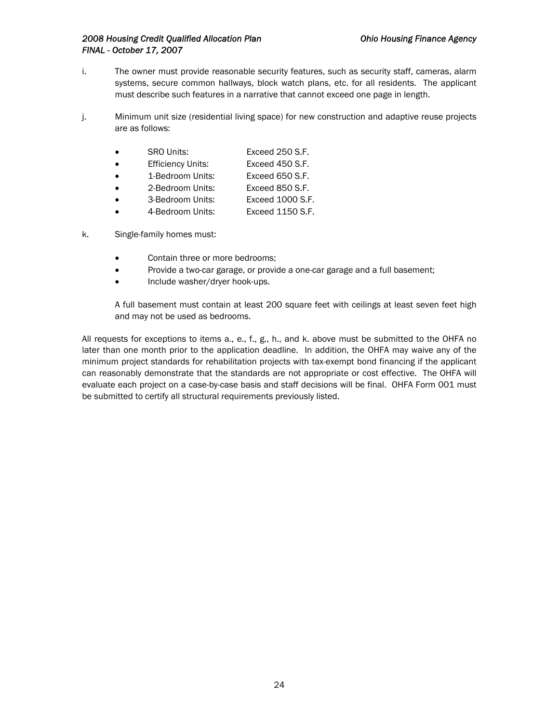- i. The owner must provide reasonable security features, such as security staff, cameras, alarm systems, secure common hallways, block watch plans, etc. for all residents. The applicant must describe such features in a narrative that cannot exceed one page in length.
- j. Minimum unit size (residential living space) for new construction and adaptive reuse projects are as follows:

| <b>SRO Units:</b>        | Exceed 250 S.F.  |
|--------------------------|------------------|
| <b>Efficiency Units:</b> | Exceed 450 S.F.  |
| 1-Bedroom Units:         | Exceed 650 S.F.  |
| 2-Bedroom Units:         | Exceed 850 S.F.  |
| 3-Bedroom Units:         | Exceed 1000 S.F. |
|                          |                  |

- 4-Bedroom Units: Exceed 1150 S.F.
- k. Single-family homes must:
	- Contain three or more bedrooms;
	- Provide a two-car garage, or provide a one-car garage and a full basement;
	- Include washer/dryer hook-ups.

A full basement must contain at least 200 square feet with ceilings at least seven feet high and may not be used as bedrooms.

All requests for exceptions to items a., e., f., g., h., and k. above must be submitted to the OHFA no later than one month prior to the application deadline. In addition, the OHFA may waive any of the minimum project standards for rehabilitation projects with tax-exempt bond financing if the applicant can reasonably demonstrate that the standards are not appropriate or cost effective. The OHFA will evaluate each project on a case-by-case basis and staff decisions will be final. OHFA Form 001 must be submitted to certify all structural requirements previously listed.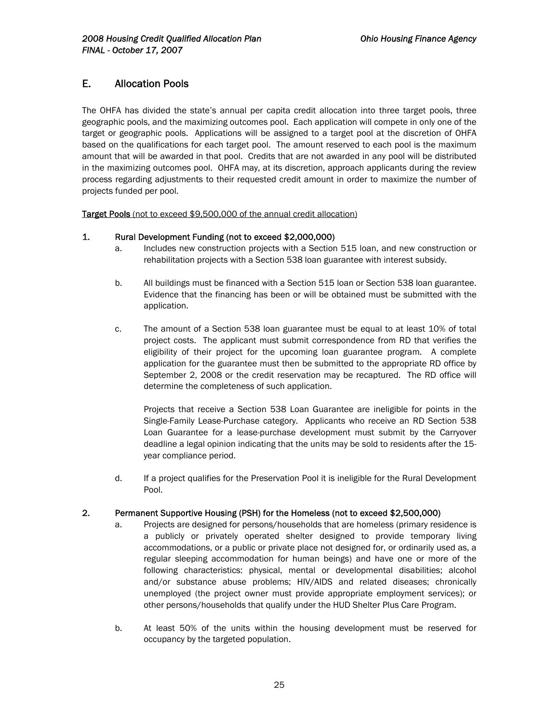## E. Allocation Pools

The OHFA has divided the state's annual per capita credit allocation into three target pools, three geographic pools, and the maximizing outcomes pool. Each application will compete in only one of the target or geographic pools. Applications will be assigned to a target pool at the discretion of OHFA based on the qualifications for each target pool. The amount reserved to each pool is the maximum amount that will be awarded in that pool. Credits that are not awarded in any pool will be distributed in the maximizing outcomes pool. OHFA may, at its discretion, approach applicants during the review process regarding adjustments to their requested credit amount in order to maximize the number of projects funded per pool.

Target Pools (not to exceed \$9,500,000 of the annual credit allocation)

## 1. Rural Development Funding (not to exceed \$2,000,000)

- a. Includes new construction projects with a Section 515 loan, and new construction or rehabilitation projects with a Section 538 loan guarantee with interest subsidy.
- b. All buildings must be financed with a Section 515 loan or Section 538 loan guarantee. Evidence that the financing has been or will be obtained must be submitted with the application.
- c. The amount of a Section 538 loan guarantee must be equal to at least 10% of total project costs. The applicant must submit correspondence from RD that verifies the eligibility of their project for the upcoming loan guarantee program. A complete application for the guarantee must then be submitted to the appropriate RD office by September 2, 2008 or the credit reservation may be recaptured. The RD office will determine the completeness of such application.

Projects that receive a Section 538 Loan Guarantee are ineligible for points in the Single-Family Lease-Purchase category. Applicants who receive an RD Section 538 Loan Guarantee for a lease-purchase development must submit by the Carryover deadline a legal opinion indicating that the units may be sold to residents after the 15 year compliance period.

d. If a project qualifies for the Preservation Pool it is ineligible for the Rural Development Pool.

### 2. Permanent Supportive Housing (PSH) for the Homeless (not to exceed \$2,500,000)

- a. Projects are designed for persons/households that are homeless (primary residence is a publicly or privately operated shelter designed to provide temporary living accommodations, or a public or private place not designed for, or ordinarily used as, a regular sleeping accommodation for human beings) and have one or more of the following characteristics: physical, mental or developmental disabilities; alcohol and/or substance abuse problems; HIV/AIDS and related diseases; chronically unemployed (the project owner must provide appropriate employment services); or other persons/households that qualify under the HUD Shelter Plus Care Program.
- b. At least 50% of the units within the housing development must be reserved for occupancy by the targeted population.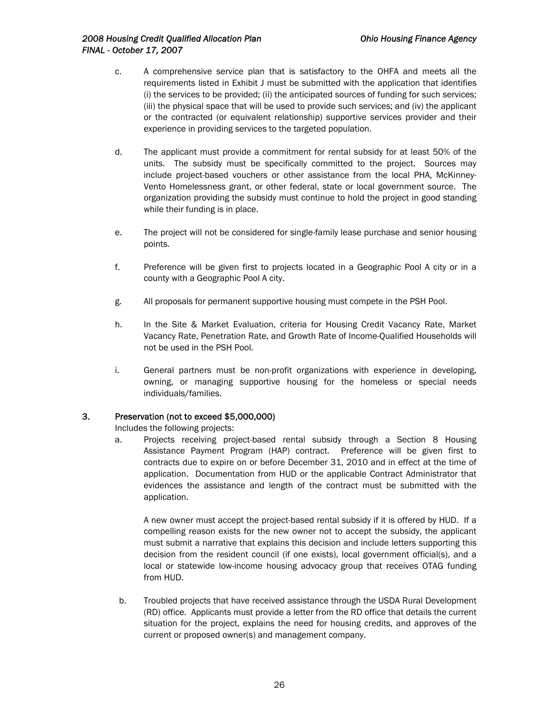- c. A comprehensive service plan that is satisfactory to the OHFA and meets all the requirements listed in Exhibit J must be submitted with the application that identifies (i) the services to be provided; (ii) the anticipated sources of funding for such services; (iii) the physical space that will be used to provide such services; and (iv) the applicant or the contracted (or equivalent relationship) supportive services provider and their experience in providing services to the targeted population.
- d. The applicant must provide a commitment for rental subsidy for at least 50% of the units. The subsidy must be specifically committed to the project. Sources may include project-based vouchers or other assistance from the local PHA, McKinney-Vento Homelessness grant, or other federal, state or local government source. The organization providing the subsidy must continue to hold the project in good standing while their funding is in place.
- e. The project will not be considered for single-family lease purchase and senior housing points.
- f. Preference will be given first to projects located in a Geographic Pool A city or in a county with a Geographic Pool A city.
- g. All proposals for permanent supportive housing must compete in the PSH Pool.
- h. In the Site & Market Evaluation, criteria for Housing Credit Vacancy Rate, Market Vacancy Rate, Penetration Rate, and Growth Rate of Income-Qualified Households will not be used in the PSH Pool.
- i. General partners must be non-profit organizations with experience in developing, owning, or managing supportive housing for the homeless or special needs individuals/families.

## 3. Preservation (not to exceed \$5,000,000)

Includes the following projects:

a. Projects receiving project-based rental subsidy through a Section 8 Housing Assistance Payment Program (HAP) contract. Preference will be given first to contracts due to expire on or before December 31, 2010 and in effect at the time of application. Documentation from HUD or the applicable Contract Administrator that evidences the assistance and length of the contract must be submitted with the application.

A new owner must accept the project-based rental subsidy if it is offered by HUD. If a compelling reason exists for the new owner not to accept the subsidy, the applicant must submit a narrative that explains this decision and include letters supporting this decision from the resident council (if one exists), local government official(s), and a local or statewide low-income housing advocacy group that receives OTAG funding from HUD.

b. Troubled projects that have received assistance through the USDA Rural Development (RD) office. Applicants must provide a letter from the RD office that details the current situation for the project, explains the need for housing credits, and approves of the current or proposed owner(s) and management company.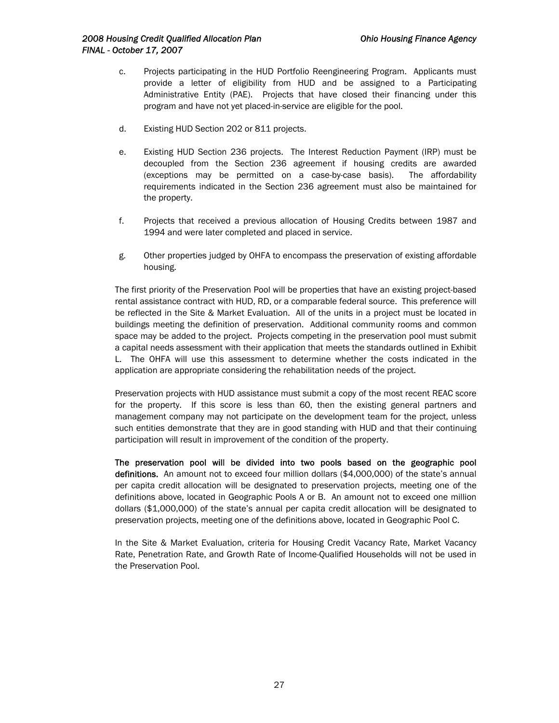- c. Projects participating in the HUD Portfolio Reengineering Program. Applicants must provide a letter of eligibility from HUD and be assigned to a Participating Administrative Entity (PAE). Projects that have closed their financing under this program and have not yet placed-in-service are eligible for the pool.
- d. Existing HUD Section 202 or 811 projects.
- e. Existing HUD Section 236 projects. The Interest Reduction Payment (IRP) must be decoupled from the Section 236 agreement if housing credits are awarded (exceptions may be permitted on a case-by-case basis). The affordability requirements indicated in the Section 236 agreement must also be maintained for the property.
- f. Projects that received a previous allocation of Housing Credits between 1987 and 1994 and were later completed and placed in service.
- g. Other properties judged by OHFA to encompass the preservation of existing affordable housing.

The first priority of the Preservation Pool will be properties that have an existing project-based rental assistance contract with HUD, RD, or a comparable federal source. This preference will be reflected in the Site & Market Evaluation. All of the units in a project must be located in buildings meeting the definition of preservation. Additional community rooms and common space may be added to the project. Projects competing in the preservation pool must submit a capital needs assessment with their application that meets the standards outlined in Exhibit L. The OHFA will use this assessment to determine whether the costs indicated in the application are appropriate considering the rehabilitation needs of the project.

Preservation projects with HUD assistance must submit a copy of the most recent REAC score for the property. If this score is less than 60, then the existing general partners and management company may not participate on the development team for the project, unless such entities demonstrate that they are in good standing with HUD and that their continuing participation will result in improvement of the condition of the property.

The preservation pool will be divided into two pools based on the geographic pool definitions. An amount not to exceed four million dollars (\$4,000,000) of the state's annual per capita credit allocation will be designated to preservation projects, meeting one of the definitions above, located in Geographic Pools A or B. An amount not to exceed one million dollars (\$1,000,000) of the state's annual per capita credit allocation will be designated to preservation projects, meeting one of the definitions above, located in Geographic Pool C.

In the Site & Market Evaluation, criteria for Housing Credit Vacancy Rate, Market Vacancy Rate, Penetration Rate, and Growth Rate of Income-Qualified Households will not be used in the Preservation Pool.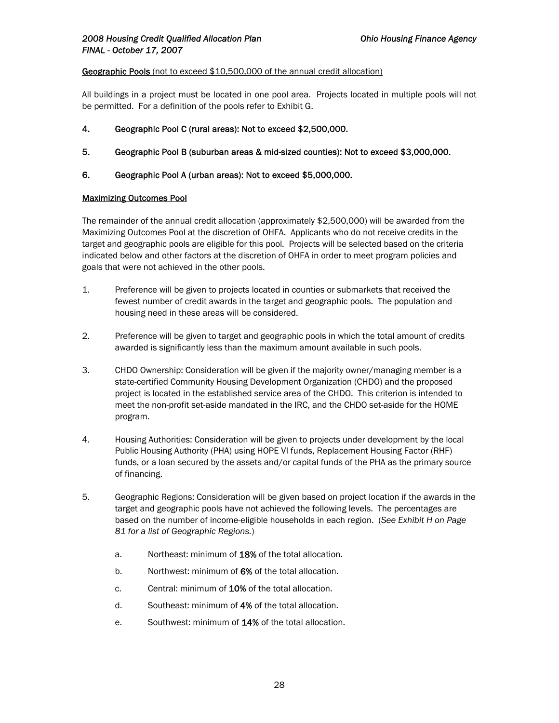#### Geographic Pools (not to exceed \$10,500,000 of the annual credit allocation)

All buildings in a project must be located in one pool area. Projects located in multiple pools will not be permitted. For a definition of the pools refer to Exhibit G.

- 4. Geographic Pool C (rural areas): Not to exceed \$2,500,000.
- 5. Geographic Pool B (suburban areas & mid-sized counties): Not to exceed \$3,000,000.
- 6. Geographic Pool A (urban areas): Not to exceed \$5,000,000.

## Maximizing Outcomes Pool

The remainder of the annual credit allocation (approximately \$2,500,000) will be awarded from the Maximizing Outcomes Pool at the discretion of OHFA. Applicants who do not receive credits in the target and geographic pools are eligible for this pool. Projects will be selected based on the criteria indicated below and other factors at the discretion of OHFA in order to meet program policies and goals that were not achieved in the other pools.

- 1. Preference will be given to projects located in counties or submarkets that received the fewest number of credit awards in the target and geographic pools. The population and housing need in these areas will be considered.
- 2. Preference will be given to target and geographic pools in which the total amount of credits awarded is significantly less than the maximum amount available in such pools.
- 3. CHDO Ownership: Consideration will be given if the majority owner/managing member is a state-certified Community Housing Development Organization (CHDO) and the proposed project is located in the established service area of the CHDO. This criterion is intended to meet the non-profit set-aside mandated in the IRC, and the CHDO set-aside for the HOME program.
- 4. Housing Authorities: Consideration will be given to projects under development by the local Public Housing Authority (PHA) using HOPE VI funds, Replacement Housing Factor (RHF) funds, or a loan secured by the assets and/or capital funds of the PHA as the primary source of financing.
- 5. Geographic Regions: Consideration will be given based on project location if the awards in the target and geographic pools have not achieved the following levels. The percentages are based on the number of income-eligible households in each region. (*See Exhibit H on Page 81 for a list of Geographic Regions.*)
	- a. Northeast: minimum of 18% of the total allocation.
	- b. Northwest: minimum of 6% of the total allocation.
	- c. Central: minimum of 10% of the total allocation.
	- d. Southeast: minimum of 4% of the total allocation.
	- e. Southwest: minimum of 14% of the total allocation.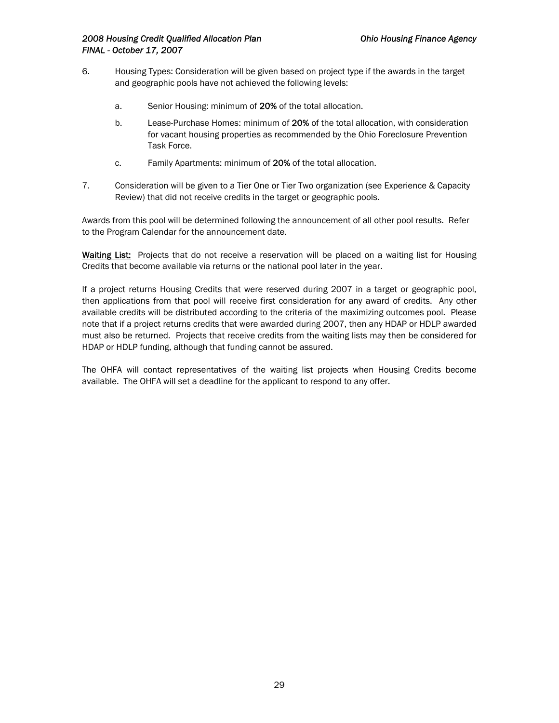- 6. Housing Types: Consideration will be given based on project type if the awards in the target and geographic pools have not achieved the following levels:
	- a. Senior Housing: minimum of 20% of the total allocation.
	- b. Lease-Purchase Homes: minimum of 20% of the total allocation, with consideration for vacant housing properties as recommended by the Ohio Foreclosure Prevention Task Force.
	- c. Family Apartments: minimum of 20% of the total allocation.
- 7. Consideration will be given to a Tier One or Tier Two organization (see Experience & Capacity Review) that did not receive credits in the target or geographic pools.

Awards from this pool will be determined following the announcement of all other pool results. Refer to the Program Calendar for the announcement date.

Waiting List: Projects that do not receive a reservation will be placed on a waiting list for Housing Credits that become available via returns or the national pool later in the year.

If a project returns Housing Credits that were reserved during 2007 in a target or geographic pool, then applications from that pool will receive first consideration for any award of credits. Any other available credits will be distributed according to the criteria of the maximizing outcomes pool. Please note that if a project returns credits that were awarded during 2007, then any HDAP or HDLP awarded must also be returned. Projects that receive credits from the waiting lists may then be considered for HDAP or HDLP funding, although that funding cannot be assured.

The OHFA will contact representatives of the waiting list projects when Housing Credits become available. The OHFA will set a deadline for the applicant to respond to any offer.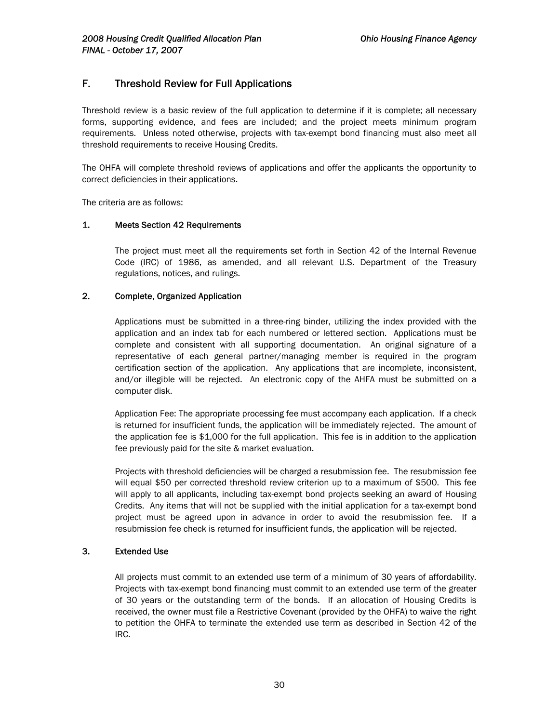## F. Threshold Review for Full Applications

Threshold review is a basic review of the full application to determine if it is complete; all necessary forms, supporting evidence, and fees are included; and the project meets minimum program requirements. Unless noted otherwise, projects with tax-exempt bond financing must also meet all threshold requirements to receive Housing Credits.

The OHFA will complete threshold reviews of applications and offer the applicants the opportunity to correct deficiencies in their applications.

The criteria are as follows:

## 1. Meets Section 42 Requirements

The project must meet all the requirements set forth in Section 42 of the Internal Revenue Code (IRC) of 1986, as amended, and all relevant U.S. Department of the Treasury regulations, notices, and rulings.

## 2. Complete, Organized Application

Applications must be submitted in a three-ring binder, utilizing the index provided with the application and an index tab for each numbered or lettered section. Applications must be complete and consistent with all supporting documentation. An original signature of a representative of each general partner/managing member is required in the program certification section of the application. Any applications that are incomplete, inconsistent, and/or illegible will be rejected. An electronic copy of the AHFA must be submitted on a computer disk.

Application Fee: The appropriate processing fee must accompany each application. If a check is returned for insufficient funds, the application will be immediately rejected. The amount of the application fee is \$1,000 for the full application. This fee is in addition to the application fee previously paid for the site & market evaluation.

Projects with threshold deficiencies will be charged a resubmission fee. The resubmission fee will equal \$50 per corrected threshold review criterion up to a maximum of \$500. This fee will apply to all applicants, including tax-exempt bond projects seeking an award of Housing Credits. Any items that will not be supplied with the initial application for a tax-exempt bond project must be agreed upon in advance in order to avoid the resubmission fee. If a resubmission fee check is returned for insufficient funds, the application will be rejected.

### 3. Extended Use

All projects must commit to an extended use term of a minimum of 30 years of affordability. Projects with tax-exempt bond financing must commit to an extended use term of the greater of 30 years or the outstanding term of the bonds. If an allocation of Housing Credits is received, the owner must file a Restrictive Covenant (provided by the OHFA) to waive the right to petition the OHFA to terminate the extended use term as described in Section 42 of the IRC.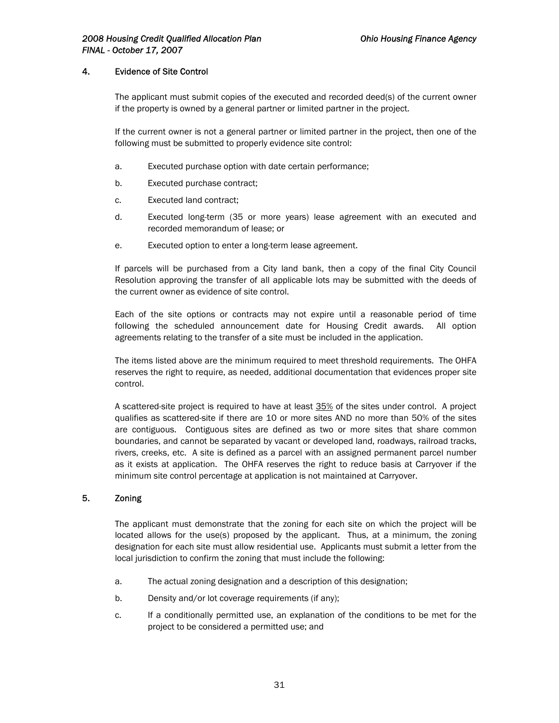## 4. Evidence of Site Control

The applicant must submit copies of the executed and recorded deed(s) of the current owner if the property is owned by a general partner or limited partner in the project.

If the current owner is not a general partner or limited partner in the project, then one of the following must be submitted to properly evidence site control:

- a. Executed purchase option with date certain performance;
- b. Executed purchase contract;
- c. Executed land contract;
- d. Executed long-term (35 or more years) lease agreement with an executed and recorded memorandum of lease; or
- e. Executed option to enter a long-term lease agreement.

If parcels will be purchased from a City land bank, then a copy of the final City Council Resolution approving the transfer of all applicable lots may be submitted with the deeds of the current owner as evidence of site control.

Each of the site options or contracts may not expire until a reasonable period of time following the scheduled announcement date for Housing Credit awards. All option agreements relating to the transfer of a site must be included in the application.

The items listed above are the minimum required to meet threshold requirements. The OHFA reserves the right to require, as needed, additional documentation that evidences proper site control.

A scattered-site project is required to have at least 35% of the sites under control. A project qualifies as scattered-site if there are 10 or more sites AND no more than 50% of the sites are contiguous. Contiguous sites are defined as two or more sites that share common boundaries, and cannot be separated by vacant or developed land, roadways, railroad tracks, rivers, creeks, etc. A site is defined as a parcel with an assigned permanent parcel number as it exists at application. The OHFA reserves the right to reduce basis at Carryover if the minimum site control percentage at application is not maintained at Carryover.

## 5. Zoning

The applicant must demonstrate that the zoning for each site on which the project will be located allows for the use(s) proposed by the applicant. Thus, at a minimum, the zoning designation for each site must allow residential use. Applicants must submit a letter from the local jurisdiction to confirm the zoning that must include the following:

- a. The actual zoning designation and a description of this designation;
- b. Density and/or lot coverage requirements (if any);
- c. If a conditionally permitted use, an explanation of the conditions to be met for the project to be considered a permitted use; and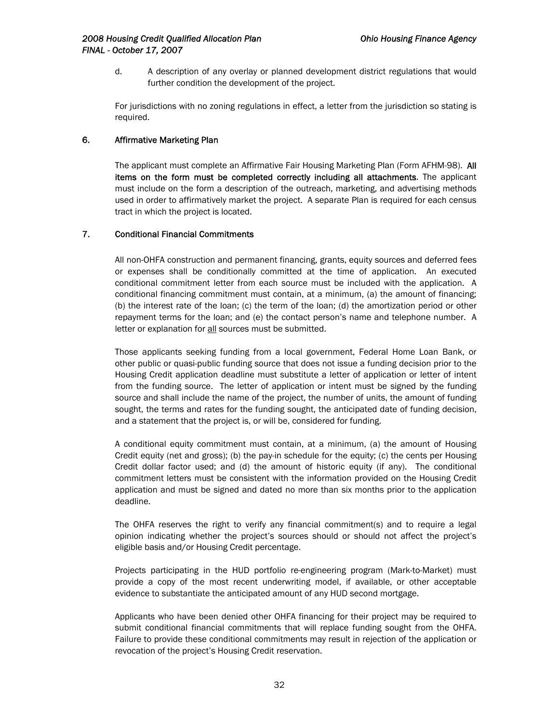d. A description of any overlay or planned development district regulations that would further condition the development of the project.

For jurisdictions with no zoning regulations in effect, a letter from the jurisdiction so stating is required.

### 6. Affirmative Marketing Plan

The applicant must complete an Affirmative Fair Housing Marketing Plan (Form AFHM-98). All items on the form must be completed correctly including all attachments. The applicant must include on the form a description of the outreach, marketing, and advertising methods used in order to affirmatively market the project. A separate Plan is required for each census tract in which the project is located.

#### 7. Conditional Financial Commitments

All non-OHFA construction and permanent financing, grants, equity sources and deferred fees or expenses shall be conditionally committed at the time of application. An executed conditional commitment letter from each source must be included with the application. A conditional financing commitment must contain, at a minimum, (a) the amount of financing; (b) the interest rate of the loan; (c) the term of the loan; (d) the amortization period or other repayment terms for the loan; and (e) the contact person's name and telephone number. A letter or explanation for all sources must be submitted.

Those applicants seeking funding from a local government, Federal Home Loan Bank, or other public or quasi-public funding source that does not issue a funding decision prior to the Housing Credit application deadline must substitute a letter of application or letter of intent from the funding source. The letter of application or intent must be signed by the funding source and shall include the name of the project, the number of units, the amount of funding sought, the terms and rates for the funding sought, the anticipated date of funding decision, and a statement that the project is, or will be, considered for funding.

A conditional equity commitment must contain, at a minimum, (a) the amount of Housing Credit equity (net and gross); (b) the pay-in schedule for the equity; (c) the cents per Housing Credit dollar factor used; and (d) the amount of historic equity (if any). The conditional commitment letters must be consistent with the information provided on the Housing Credit application and must be signed and dated no more than six months prior to the application deadline.

The OHFA reserves the right to verify any financial commitment(s) and to require a legal opinion indicating whether the project's sources should or should not affect the project's eligible basis and/or Housing Credit percentage.

Projects participating in the HUD portfolio re-engineering program (Mark-to-Market) must provide a copy of the most recent underwriting model, if available, or other acceptable evidence to substantiate the anticipated amount of any HUD second mortgage.

Applicants who have been denied other OHFA financing for their project may be required to submit conditional financial commitments that will replace funding sought from the OHFA. Failure to provide these conditional commitments may result in rejection of the application or revocation of the project's Housing Credit reservation.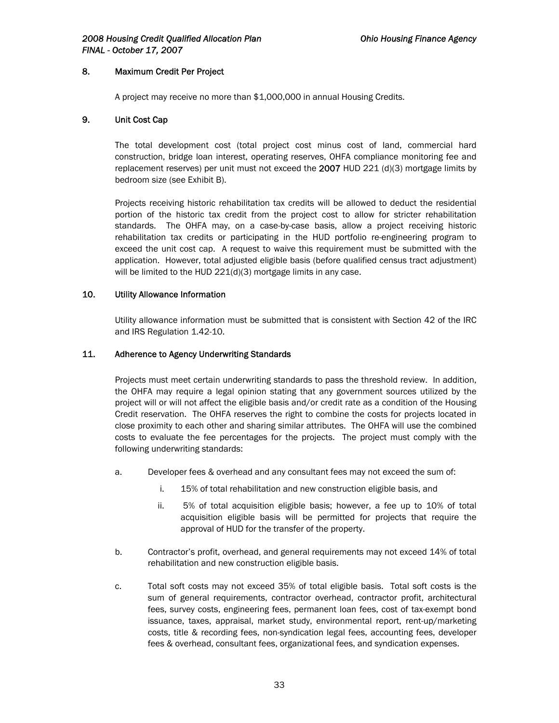## 8. Maximum Credit Per Project

A project may receive no more than \$1,000,000 in annual Housing Credits.

## 9. Unit Cost Cap

The total development cost (total project cost minus cost of land, commercial hard construction, bridge loan interest, operating reserves, OHFA compliance monitoring fee and replacement reserves) per unit must not exceed the  $2007$  HUD 221 (d)(3) mortgage limits by bedroom size (see Exhibit B).

Projects receiving historic rehabilitation tax credits will be allowed to deduct the residential portion of the historic tax credit from the project cost to allow for stricter rehabilitation standards. The OHFA may, on a case-by-case basis, allow a project receiving historic rehabilitation tax credits or participating in the HUD portfolio re-engineering program to exceed the unit cost cap. A request to waive this requirement must be submitted with the application. However, total adjusted eligible basis (before qualified census tract adjustment) will be limited to the HUD 221(d)(3) mortgage limits in any case.

## 10. Utility Allowance Information

Utility allowance information must be submitted that is consistent with Section 42 of the IRC and IRS Regulation 1.42-10.

## 11. Adherence to Agency Underwriting Standards

Projects must meet certain underwriting standards to pass the threshold review. In addition, the OHFA may require a legal opinion stating that any government sources utilized by the project will or will not affect the eligible basis and/or credit rate as a condition of the Housing Credit reservation. The OHFA reserves the right to combine the costs for projects located in close proximity to each other and sharing similar attributes. The OHFA will use the combined costs to evaluate the fee percentages for the projects. The project must comply with the following underwriting standards:

- a. Developer fees & overhead and any consultant fees may not exceed the sum of:
	- i. 15% of total rehabilitation and new construction eligible basis, and
	- ii. 5% of total acquisition eligible basis; however, a fee up to 10% of total acquisition eligible basis will be permitted for projects that require the approval of HUD for the transfer of the property.
- b. Contractor's profit, overhead, and general requirements may not exceed 14% of total rehabilitation and new construction eligible basis.
- c. Total soft costs may not exceed 35% of total eligible basis. Total soft costs is the sum of general requirements, contractor overhead, contractor profit, architectural fees, survey costs, engineering fees, permanent loan fees, cost of tax-exempt bond issuance, taxes, appraisal, market study, environmental report, rent-up/marketing costs, title & recording fees, non-syndication legal fees, accounting fees, developer fees & overhead, consultant fees, organizational fees, and syndication expenses.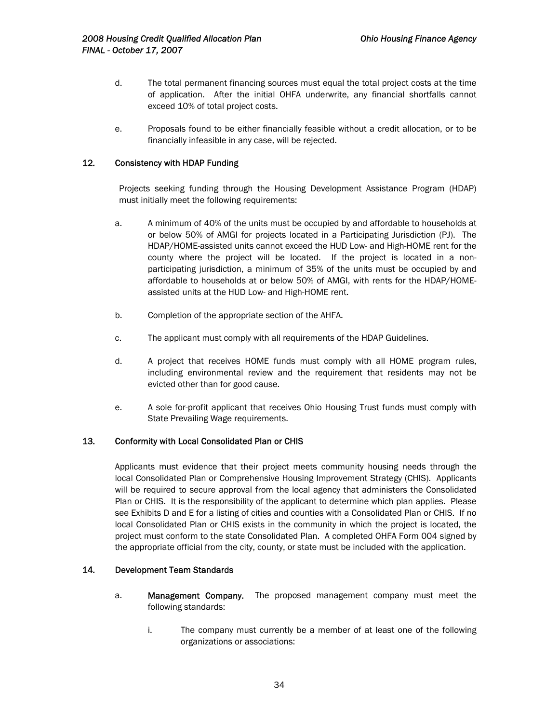- d. The total permanent financing sources must equal the total project costs at the time of application. After the initial OHFA underwrite, any financial shortfalls cannot exceed 10% of total project costs.
- e. Proposals found to be either financially feasible without a credit allocation, or to be financially infeasible in any case, will be rejected.

## 12*.* Consistency with HDAP Funding

Projects seeking funding through the Housing Development Assistance Program (HDAP) must initially meet the following requirements:

- a. A minimum of 40% of the units must be occupied by and affordable to households at or below 50% of AMGI for projects located in a Participating Jurisdiction (PJ). The HDAP/HOME-assisted units cannot exceed the HUD Low- and High-HOME rent for the county where the project will be located. If the project is located in a nonparticipating jurisdiction, a minimum of 35% of the units must be occupied by and affordable to households at or below 50% of AMGI, with rents for the HDAP/HOMEassisted units at the HUD Low- and High-HOME rent.
- b. Completion of the appropriate section of the AHFA.
- c. The applicant must comply with all requirements of the HDAP Guidelines.
- d. A project that receives HOME funds must comply with all HOME program rules, including environmental review and the requirement that residents may not be evicted other than for good cause.
- e. A sole for-profit applicant that receives Ohio Housing Trust funds must comply with State Prevailing Wage requirements.

### 13*.* Conformity with Local Consolidated Plan or CHIS

Applicants must evidence that their project meets community housing needs through the local Consolidated Plan or Comprehensive Housing Improvement Strategy (CHIS). Applicants will be required to secure approval from the local agency that administers the Consolidated Plan or CHIS. It is the responsibility of the applicant to determine which plan applies. Please see Exhibits D and E for a listing of cities and counties with a Consolidated Plan or CHIS. If no local Consolidated Plan or CHIS exists in the community in which the project is located, the project must conform to the state Consolidated Plan. A completed OHFA Form 004 signed by the appropriate official from the city, county, or state must be included with the application.

## 14*.* Development Team Standards

- a. Management Company. The proposed management company must meet the following standards:
	- i. The company must currently be a member of at least one of the following organizations or associations: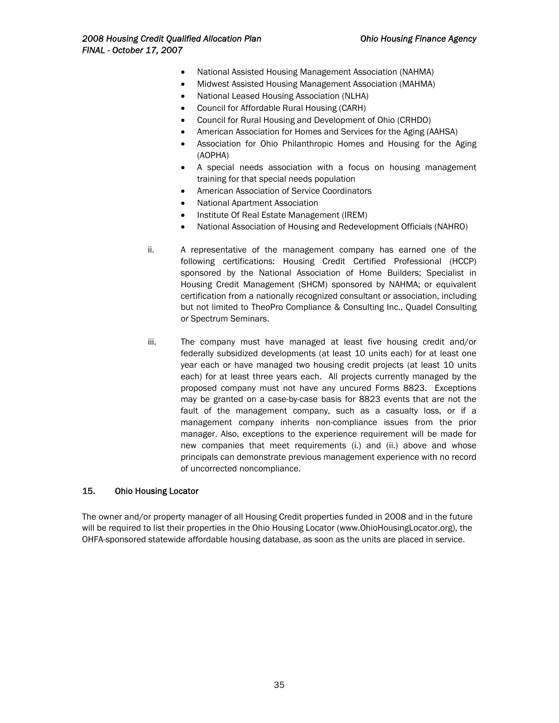- National Assisted Housing Management Association (NAHMA)
- Midwest Assisted Housing Management Association (MAHMA)
- National Leased Housing Association (NLHA)
- Council for Affordable Rural Housing (CARH)
- Council for Rural Housing and Development of Ohio (CRHDO)
- American Association for Homes and Services for the Aging (AAHSA)
- Association for Ohio Philanthropic Homes and Housing for the Aging (AOPHA)
- A special needs association with a focus on housing management training for that special needs population
- American Association of Service Coordinators
- National Apartment Association
- Institute Of Real Estate Management (IREM)
- National Association of Housing and Redevelopment Officials (NAHRO)
- ii. A representative of the management company has earned one of the following certifications: Housing Credit Certified Professional (HCCP) sponsored by the National Association of Home Builders; Specialist in Housing Credit Management (SHCM) sponsored by NAHMA; or equivalent certification from a nationally recognized consultant or association, including but not limited to TheoPro Compliance & Consulting Inc., Quadel Consulting or Spectrum Seminars.
- iii. The company must have managed at least five housing credit and/or federally subsidized developments (at least 10 units each) for at least one year each or have managed two housing credit projects (at least 10 units each) for at least three years each. All projects currently managed by the proposed company must not have any uncured Forms 8823. Exceptions may be granted on a case-by-case basis for 8823 events that are not the fault of the management company, such as a casualty loss, or if a management company inherits non-compliance issues from the prior manager. Also, exceptions to the experience requirement will be made for new companies that meet requirements (i.) and (ii.) above and whose principals can demonstrate previous management experience with no record of uncorrected noncompliance.

### 15. Ohio Housing Locator

The owner and/or property manager of all Housing Credit properties funded in 2008 and in the future will be required to list their properties in the Ohio Housing Locator (www.OhioHousingLocator.org), the OHFA-sponsored statewide affordable housing database, as soon as the units are placed in service.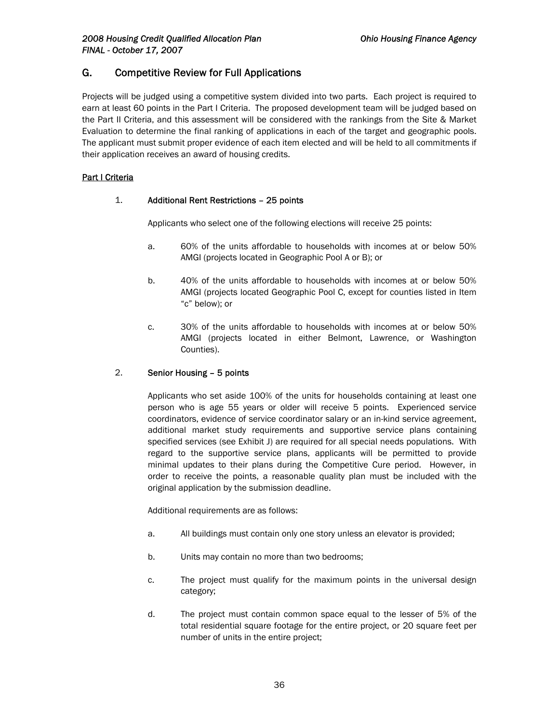# G. Competitive Review for Full Applications

Projects will be judged using a competitive system divided into two parts. Each project is required to earn at least 60 points in the Part I Criteria. The proposed development team will be judged based on the Part II Criteria, and this assessment will be considered with the rankings from the Site & Market Evaluation to determine the final ranking of applications in each of the target and geographic pools. The applicant must submit proper evidence of each item elected and will be held to all commitments if their application receives an award of housing credits.

### Part I Criteria

#### 1. Additional Rent Restrictions – 25 points

Applicants who select one of the following elections will receive 25 points:

- a. 60% of the units affordable to households with incomes at or below 50% AMGI (projects located in Geographic Pool A or B); or
- b. 40% of the units affordable to households with incomes at or below 50% AMGI (projects located Geographic Pool C, except for counties listed in Item "c" below); or
- c. 30% of the units affordable to households with incomes at or below 50% AMGI (projects located in either Belmont, Lawrence, or Washington Counties).

#### 2. Senior Housing – 5 points

Applicants who set aside 100% of the units for households containing at least one person who is age 55 years or older will receive 5 points. Experienced service coordinators, evidence of service coordinator salary or an in-kind service agreement, additional market study requirements and supportive service plans containing specified services (see Exhibit J) are required for all special needs populations. With regard to the supportive service plans, applicants will be permitted to provide minimal updates to their plans during the Competitive Cure period. However, in order to receive the points, a reasonable quality plan must be included with the original application by the submission deadline.

Additional requirements are as follows:

- a. All buildings must contain only one story unless an elevator is provided;
- b. Units may contain no more than two bedrooms;
- c. The project must qualify for the maximum points in the universal design category;
- d. The project must contain common space equal to the lesser of 5% of the total residential square footage for the entire project, or 20 square feet per number of units in the entire project;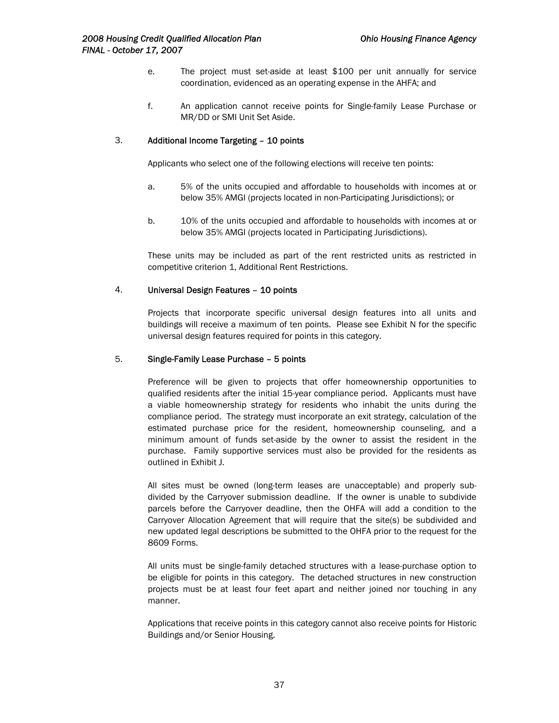- e. The project must set-aside at least \$100 per unit annually for service coordination, evidenced as an operating expense in the AHFA; and
- f. An application cannot receive points for Single-family Lease Purchase or MR/DD or SMI Unit Set Aside.

#### 3. Additional Income Targeting – 10 points

Applicants who select one of the following elections will receive ten points:

- a. 5% of the units occupied and affordable to households with incomes at or below 35% AMGI (projects located in non-Participating Jurisdictions); or
- b. 10% of the units occupied and affordable to households with incomes at or below 35% AMGI (projects located in Participating Jurisdictions).

These units may be included as part of the rent restricted units as restricted in competitive criterion 1, Additional Rent Restrictions.

#### 4. Universal Design Features – 10 points

Projects that incorporate specific universal design features into all units and buildings will receive a maximum of ten points. Please see Exhibit N for the specific universal design features required for points in this category.

#### 5. Single-Family Lease Purchase – 5 points

Preference will be given to projects that offer homeownership opportunities to qualified residents after the initial 15-year compliance period. Applicants must have a viable homeownership strategy for residents who inhabit the units during the compliance period. The strategy must incorporate an exit strategy, calculation of the estimated purchase price for the resident, homeownership counseling, and a minimum amount of funds set-aside by the owner to assist the resident in the purchase. Family supportive services must also be provided for the residents as outlined in Exhibit J.

All sites must be owned (long-term leases are unacceptable) and properly subdivided by the Carryover submission deadline. If the owner is unable to subdivide parcels before the Carryover deadline, then the OHFA will add a condition to the Carryover Allocation Agreement that will require that the site(s) be subdivided and new updated legal descriptions be submitted to the OHFA prior to the request for the 8609 Forms.

All units must be single-family detached structures with a lease-purchase option to be eligible for points in this category. The detached structures in new construction projects must be at least four feet apart and neither joined nor touching in any manner.

Applications that receive points in this category cannot also receive points for Historic Buildings and/or Senior Housing.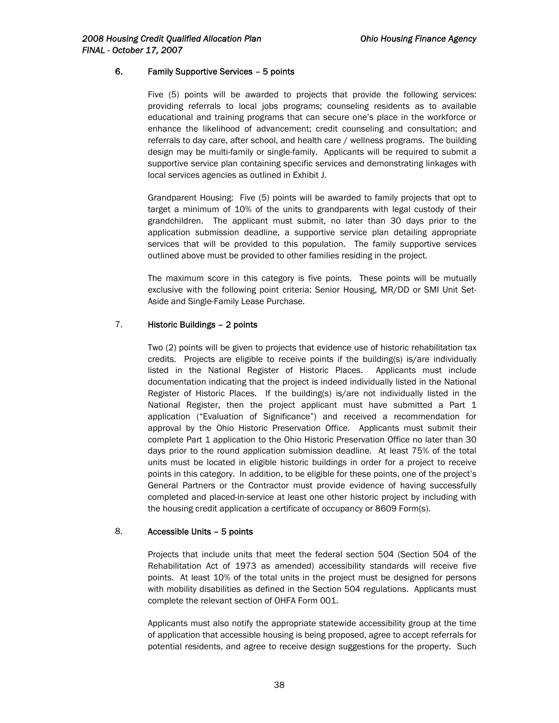#### 6. Family Supportive Services – 5 points

Five (5) points will be awarded to projects that provide the following services: providing referrals to local jobs programs; counseling residents as to available educational and training programs that can secure one's place in the workforce or enhance the likelihood of advancement; credit counseling and consultation; and referrals to day care, after school, and health care / wellness programs. The building design may be multi-family or single-family. Applicants will be required to submit a supportive service plan containing specific services and demonstrating linkages with local services agencies as outlined in Exhibit J.

Grandparent Housing: Five (5) points will be awarded to family projects that opt to target a minimum of 10% of the units to grandparents with legal custody of their grandchildren. The applicant must submit, no later than 30 days prior to the application submission deadline, a supportive service plan detailing appropriate services that will be provided to this population. The family supportive services outlined above must be provided to other families residing in the project.

The maximum score in this category is five points. These points will be mutually exclusive with the following point criteria: Senior Housing, MR/DD or SMI Unit Set-Aside and Single-Family Lease Purchase.

### 7. Historic Buildings – 2 points

Two (2) points will be given to projects that evidence use of historic rehabilitation tax credits. Projects are eligible to receive points if the building(s) is/are individually listed in the National Register of Historic Places. Applicants must include documentation indicating that the project is indeed individually listed in the National Register of Historic Places. If the building(s) is/are not individually listed in the National Register, then the project applicant must have submitted a Part 1 application ("Evaluation of Significance") and received a recommendation for approval by the Ohio Historic Preservation Office. Applicants must submit their complete Part 1 application to the Ohio Historic Preservation Office no later than 30 days prior to the round application submission deadline. At least 75% of the total units must be located in eligible historic buildings in order for a project to receive points in this category. In addition, to be eligible for these points, one of the project's General Partners or the Contractor must provide evidence of having successfully completed and placed-in-service at least one other historic project by including with the housing credit application a certificate of occupancy or 8609 Form(s).

#### 8. Accessible Units – 5 points

Projects that include units that meet the federal section 504 (Section 504 of the Rehabilitation Act of 1973 as amended) accessibility standards will receive five points. At least 10% of the total units in the project must be designed for persons with mobility disabilities as defined in the Section 504 regulations. Applicants must complete the relevant section of OHFA Form 001.

Applicants must also notify the appropriate statewide accessibility group at the time of application that accessible housing is being proposed, agree to accept referrals for potential residents, and agree to receive design suggestions for the property. Such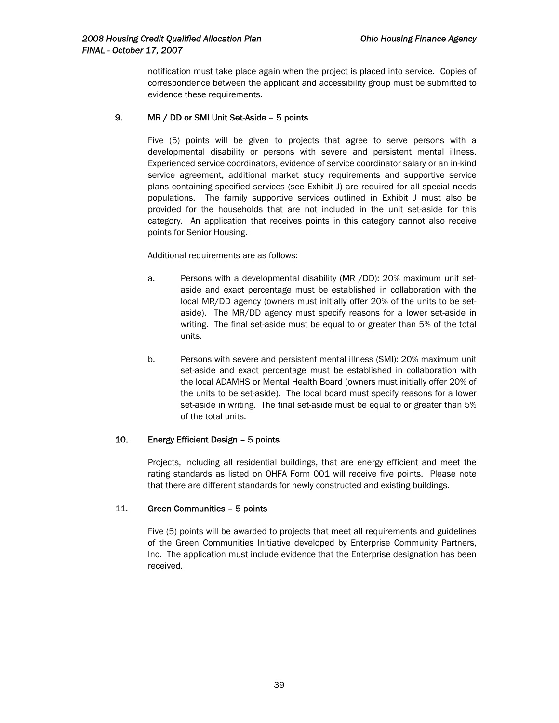notification must take place again when the project is placed into service. Copies of correspondence between the applicant and accessibility group must be submitted to evidence these requirements.

#### 9. MR / DD or SMI Unit Set-Aside – 5 points

Five (5) points will be given to projects that agree to serve persons with a developmental disability or persons with severe and persistent mental illness. Experienced service coordinators, evidence of service coordinator salary or an in-kind service agreement, additional market study requirements and supportive service plans containing specified services (see Exhibit J) are required for all special needs populations. The family supportive services outlined in Exhibit J must also be provided for the households that are not included in the unit set-aside for this category. An application that receives points in this category cannot also receive points for Senior Housing.

#### Additional requirements are as follows:

- a. Persons with a developmental disability (MR /DD): 20% maximum unit setaside and exact percentage must be established in collaboration with the local MR/DD agency (owners must initially offer 20% of the units to be setaside). The MR/DD agency must specify reasons for a lower set-aside in writing. The final set-aside must be equal to or greater than 5% of the total units.
- b. Persons with severe and persistent mental illness (SMI): 20% maximum unit set-aside and exact percentage must be established in collaboration with the local ADAMHS or Mental Health Board (owners must initially offer 20% of the units to be set-aside). The local board must specify reasons for a lower set-aside in writing. The final set-aside must be equal to or greater than 5% of the total units.

#### 10. Energy Efficient Design – 5 points

Projects, including all residential buildings, that are energy efficient and meet the rating standards as listed on OHFA Form 001 will receive five points. Please note that there are different standards for newly constructed and existing buildings.

#### 11. Green Communities – 5 points

Five (5) points will be awarded to projects that meet all requirements and guidelines of the Green Communities Initiative developed by Enterprise Community Partners, Inc. The application must include evidence that the Enterprise designation has been received.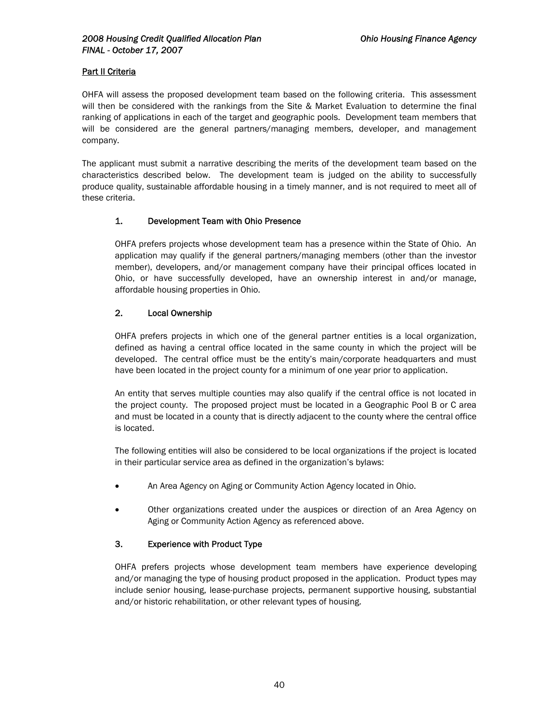### **Part II Criteria**

OHFA will assess the proposed development team based on the following criteria. This assessment will then be considered with the rankings from the Site & Market Evaluation to determine the final ranking of applications in each of the target and geographic pools. Development team members that will be considered are the general partners/managing members, developer, and management company.

The applicant must submit a narrative describing the merits of the development team based on the characteristics described below. The development team is judged on the ability to successfully produce quality, sustainable affordable housing in a timely manner, and is not required to meet all of these criteria.

### 1. Development Team with Ohio Presence

OHFA prefers projects whose development team has a presence within the State of Ohio. An application may qualify if the general partners/managing members (other than the investor member), developers, and/or management company have their principal offices located in Ohio, or have successfully developed, have an ownership interest in and/or manage, affordable housing properties in Ohio.

### 2. Local Ownership

OHFA prefers projects in which one of the general partner entities is a local organization, defined as having a central office located in the same county in which the project will be developed. The central office must be the entity's main/corporate headquarters and must have been located in the project county for a minimum of one year prior to application.

An entity that serves multiple counties may also qualify if the central office is not located in the project county. The proposed project must be located in a Geographic Pool B or C area and must be located in a county that is directly adjacent to the county where the central office is located.

The following entities will also be considered to be local organizations if the project is located in their particular service area as defined in the organization's bylaws:

- An Area Agency on Aging or Community Action Agency located in Ohio.
- Other organizations created under the auspices or direction of an Area Agency on Aging or Community Action Agency as referenced above.

#### 3. Experience with Product Type

OHFA prefers projects whose development team members have experience developing and/or managing the type of housing product proposed in the application. Product types may include senior housing, lease-purchase projects, permanent supportive housing, substantial and/or historic rehabilitation, or other relevant types of housing.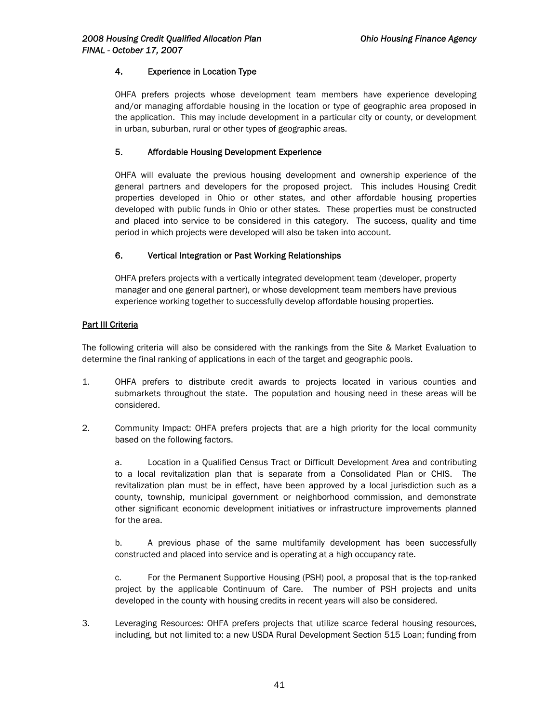### 4. Experience in Location Type

OHFA prefers projects whose development team members have experience developing and/or managing affordable housing in the location or type of geographic area proposed in the application. This may include development in a particular city or county, or development in urban, suburban, rural or other types of geographic areas.

### 5. Affordable Housing Development Experience

OHFA will evaluate the previous housing development and ownership experience of the general partners and developers for the proposed project. This includes Housing Credit properties developed in Ohio or other states, and other affordable housing properties developed with public funds in Ohio or other states. These properties must be constructed and placed into service to be considered in this category. The success, quality and time period in which projects were developed will also be taken into account.

### 6. Vertical Integration or Past Working Relationships

OHFA prefers projects with a vertically integrated development team (developer, property manager and one general partner), or whose development team members have previous experience working together to successfully develop affordable housing properties.

### **Part III Criteria**

The following criteria will also be considered with the rankings from the Site & Market Evaluation to determine the final ranking of applications in each of the target and geographic pools.

- 1. OHFA prefers to distribute credit awards to projects located in various counties and submarkets throughout the state. The population and housing need in these areas will be considered.
- 2. Community Impact: OHFA prefers projects that are a high priority for the local community based on the following factors.

a. Location in a Qualified Census Tract or Difficult Development Area and contributing to a local revitalization plan that is separate from a Consolidated Plan or CHIS. The revitalization plan must be in effect, have been approved by a local jurisdiction such as a county, township, municipal government or neighborhood commission, and demonstrate other significant economic development initiatives or infrastructure improvements planned for the area.

b. A previous phase of the same multifamily development has been successfully constructed and placed into service and is operating at a high occupancy rate.

c. For the Permanent Supportive Housing (PSH) pool, a proposal that is the top-ranked project by the applicable Continuum of Care. The number of PSH projects and units developed in the county with housing credits in recent years will also be considered.

3. Leveraging Resources: OHFA prefers projects that utilize scarce federal housing resources, including, but not limited to: a new USDA Rural Development Section 515 Loan; funding from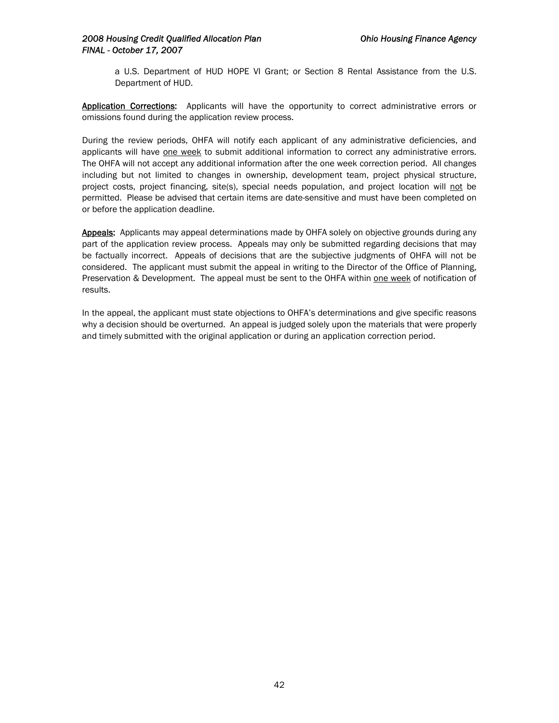a U.S. Department of HUD HOPE VI Grant; or Section 8 Rental Assistance from the U.S. Department of HUD.

Application Corrections: Applicants will have the opportunity to correct administrative errors or omissions found during the application review process.

During the review periods, OHFA will notify each applicant of any administrative deficiencies, and applicants will have one week to submit additional information to correct any administrative errors. The OHFA will not accept any additional information after the one week correction period. All changes including but not limited to changes in ownership, development team, project physical structure, project costs, project financing, site(s), special needs population, and project location will not be permitted. Please be advised that certain items are date-sensitive and must have been completed on or before the application deadline.

Appeals: Applicants may appeal determinations made by OHFA solely on objective grounds during any part of the application review process. Appeals may only be submitted regarding decisions that may be factually incorrect. Appeals of decisions that are the subjective judgments of OHFA will not be considered. The applicant must submit the appeal in writing to the Director of the Office of Planning, Preservation & Development. The appeal must be sent to the OHFA within one week of notification of results.

In the appeal, the applicant must state objections to OHFA's determinations and give specific reasons why a decision should be overturned. An appeal is judged solely upon the materials that were properly and timely submitted with the original application or during an application correction period.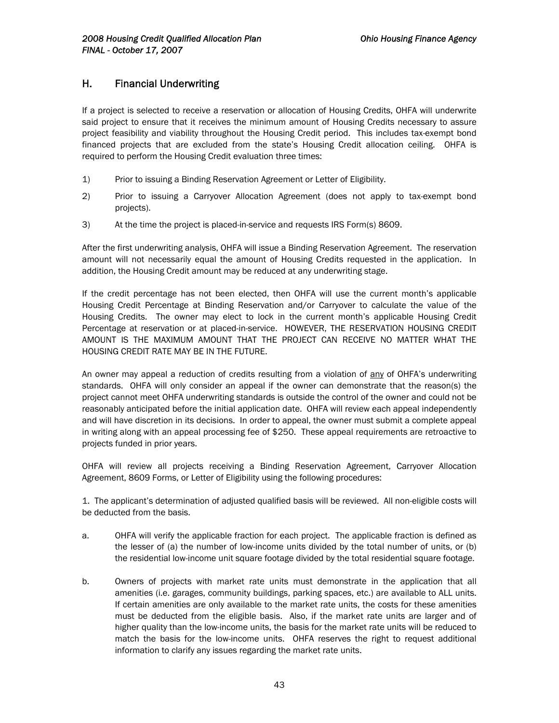# H. Financial Underwriting

If a project is selected to receive a reservation or allocation of Housing Credits, OHFA will underwrite said project to ensure that it receives the minimum amount of Housing Credits necessary to assure project feasibility and viability throughout the Housing Credit period. This includes tax-exempt bond financed projects that are excluded from the state's Housing Credit allocation ceiling. OHFA is required to perform the Housing Credit evaluation three times:

- 1) Prior to issuing a Binding Reservation Agreement or Letter of Eligibility.
- 2) Prior to issuing a Carryover Allocation Agreement (does not apply to tax-exempt bond projects).
- 3) At the time the project is placed-in-service and requests IRS Form(s) 8609.

After the first underwriting analysis, OHFA will issue a Binding Reservation Agreement. The reservation amount will not necessarily equal the amount of Housing Credits requested in the application. In addition, the Housing Credit amount may be reduced at any underwriting stage.

If the credit percentage has not been elected, then OHFA will use the current month's applicable Housing Credit Percentage at Binding Reservation and/or Carryover to calculate the value of the Housing Credits. The owner may elect to lock in the current month's applicable Housing Credit Percentage at reservation or at placed-in-service. HOWEVER, THE RESERVATION HOUSING CREDIT AMOUNT IS THE MAXIMUM AMOUNT THAT THE PROJECT CAN RECEIVE NO MATTER WHAT THE HOUSING CREDIT RATE MAY BE IN THE FUTURE.

An owner may appeal a reduction of credits resulting from a violation of any of OHFA's underwriting standards. OHFA will only consider an appeal if the owner can demonstrate that the reason(s) the project cannot meet OHFA underwriting standards is outside the control of the owner and could not be reasonably anticipated before the initial application date. OHFA will review each appeal independently and will have discretion in its decisions. In order to appeal, the owner must submit a complete appeal in writing along with an appeal processing fee of \$250. These appeal requirements are retroactive to projects funded in prior years.

OHFA will review all projects receiving a Binding Reservation Agreement, Carryover Allocation Agreement, 8609 Forms, or Letter of Eligibility using the following procedures:

1. The applicant's determination of adjusted qualified basis will be reviewed. All non-eligible costs will be deducted from the basis.

- a. OHFA will verify the applicable fraction for each project. The applicable fraction is defined as the lesser of (a) the number of low-income units divided by the total number of units, or (b) the residential low-income unit square footage divided by the total residential square footage.
- b. Owners of projects with market rate units must demonstrate in the application that all amenities (i.e. garages, community buildings, parking spaces, etc.) are available to ALL units. If certain amenities are only available to the market rate units, the costs for these amenities must be deducted from the eligible basis. Also, if the market rate units are larger and of higher quality than the low-income units, the basis for the market rate units will be reduced to match the basis for the low-income units. OHFA reserves the right to request additional information to clarify any issues regarding the market rate units.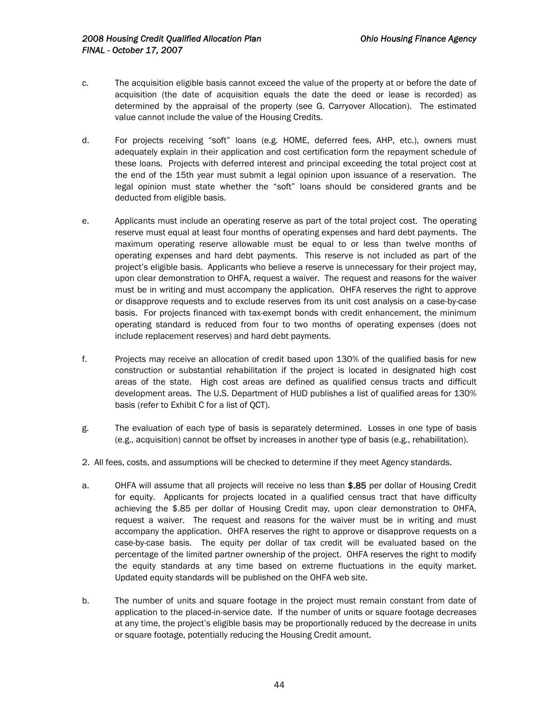- c. The acquisition eligible basis cannot exceed the value of the property at or before the date of acquisition (the date of acquisition equals the date the deed or lease is recorded) as determined by the appraisal of the property (see G. Carryover Allocation). The estimated value cannot include the value of the Housing Credits.
- d. For projects receiving "soft" loans (e.g. HOME, deferred fees, AHP, etc.), owners must adequately explain in their application and cost certification form the repayment schedule of these loans. Projects with deferred interest and principal exceeding the total project cost at the end of the 15th year must submit a legal opinion upon issuance of a reservation. The legal opinion must state whether the "soft" loans should be considered grants and be deducted from eligible basis.
- e. Applicants must include an operating reserve as part of the total project cost. The operating reserve must equal at least four months of operating expenses and hard debt payments. The maximum operating reserve allowable must be equal to or less than twelve months of operating expenses and hard debt payments. This reserve is not included as part of the project's eligible basis. Applicants who believe a reserve is unnecessary for their project may, upon clear demonstration to OHFA, request a waiver. The request and reasons for the waiver must be in writing and must accompany the application. OHFA reserves the right to approve or disapprove requests and to exclude reserves from its unit cost analysis on a case-by-case basis. For projects financed with tax-exempt bonds with credit enhancement, the minimum operating standard is reduced from four to two months of operating expenses (does not include replacement reserves) and hard debt payments.
- f. Projects may receive an allocation of credit based upon 130% of the qualified basis for new construction or substantial rehabilitation if the project is located in designated high cost areas of the state. High cost areas are defined as qualified census tracts and difficult development areas. The U.S. Department of HUD publishes a list of qualified areas for 130% basis (refer to Exhibit C for a list of QCT).
- g. The evaluation of each type of basis is separately determined. Losses in one type of basis (e.g., acquisition) cannot be offset by increases in another type of basis (e.g., rehabilitation).
- 2. All fees, costs, and assumptions will be checked to determine if they meet Agency standards.
- a. OHFA will assume that all projects will receive no less than \$.85 per dollar of Housing Credit for equity. Applicants for projects located in a qualified census tract that have difficulty achieving the \$.85 per dollar of Housing Credit may, upon clear demonstration to OHFA, request a waiver. The request and reasons for the waiver must be in writing and must accompany the application. OHFA reserves the right to approve or disapprove requests on a case-by-case basis. The equity per dollar of tax credit will be evaluated based on the percentage of the limited partner ownership of the project. OHFA reserves the right to modify the equity standards at any time based on extreme fluctuations in the equity market. Updated equity standards will be published on the OHFA web site.
- b. The number of units and square footage in the project must remain constant from date of application to the placed-in-service date. If the number of units or square footage decreases at any time, the project's eligible basis may be proportionally reduced by the decrease in units or square footage, potentially reducing the Housing Credit amount.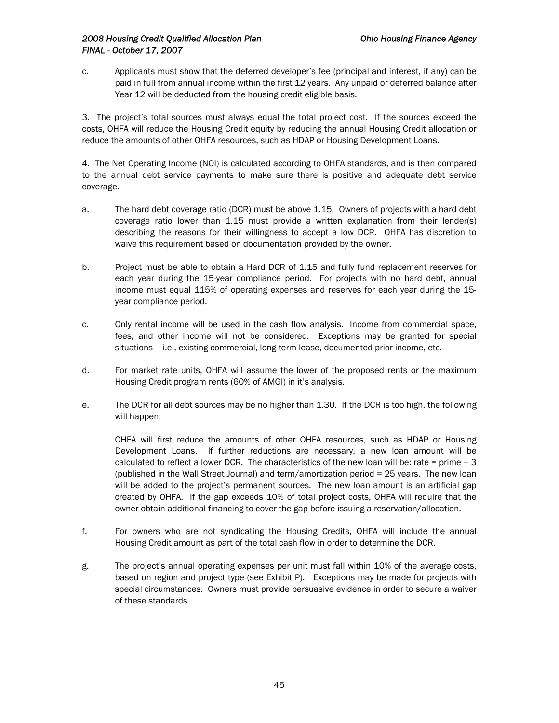c. Applicants must show that the deferred developer's fee (principal and interest, if any) can be paid in full from annual income within the first 12 years. Any unpaid or deferred balance after Year 12 will be deducted from the housing credit eligible basis.

3. The project's total sources must always equal the total project cost. If the sources exceed the costs, OHFA will reduce the Housing Credit equity by reducing the annual Housing Credit allocation or reduce the amounts of other OHFA resources, such as HDAP or Housing Development Loans.

4. The Net Operating Income (NOI) is calculated according to OHFA standards, and is then compared to the annual debt service payments to make sure there is positive and adequate debt service coverage.

- a. The hard debt coverage ratio (DCR) must be above 1.15. Owners of projects with a hard debt coverage ratio lower than 1.15 must provide a written explanation from their lender(s) describing the reasons for their willingness to accept a low DCR. OHFA has discretion to waive this requirement based on documentation provided by the owner.
- b. Project must be able to obtain a Hard DCR of 1.15 and fully fund replacement reserves for each year during the 15-year compliance period. For projects with no hard debt, annual income must equal 115% of operating expenses and reserves for each year during the 15 year compliance period.
- c. Only rental income will be used in the cash flow analysis. Income from commercial space, fees, and other income will not be considered. Exceptions may be granted for special situations – i.e., existing commercial, long-term lease, documented prior income, etc.
- d. For market rate units, OHFA will assume the lower of the proposed rents or the maximum Housing Credit program rents (60% of AMGI) in it's analysis.
- e. The DCR for all debt sources may be no higher than 1.30. If the DCR is too high, the following will happen:

OHFA will first reduce the amounts of other OHFA resources, such as HDAP or Housing Development Loans. If further reductions are necessary, a new loan amount will be calculated to reflect a lower DCR. The characteristics of the new loan will be: rate = prime  $+3$ (published in the Wall Street Journal) and term/amortization period = 25 years. The new loan will be added to the project's permanent sources. The new loan amount is an artificial gap created by OHFA. If the gap exceeds 10% of total project costs, OHFA will require that the owner obtain additional financing to cover the gap before issuing a reservation/allocation.

- f. For owners who are not syndicating the Housing Credits, OHFA will include the annual Housing Credit amount as part of the total cash flow in order to determine the DCR.
- g. The project's annual operating expenses per unit must fall within 10% of the average costs, based on region and project type (see Exhibit P). Exceptions may be made for projects with special circumstances. Owners must provide persuasive evidence in order to secure a waiver of these standards.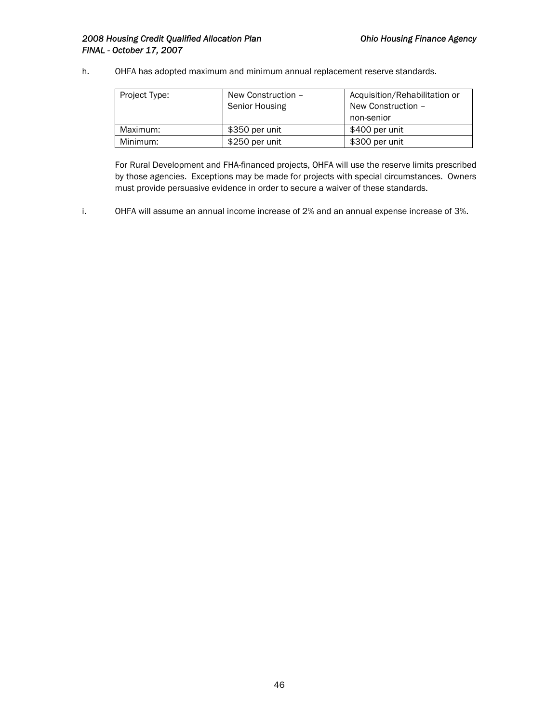### 2008 Housing Credit Qualified Allocation Plan **Canadian Charlotter Charlotter Charlotter Agency Ohio Housing Finance Agency** *FINAL - October 17, 2007*

h. OHFA has adopted maximum and minimum annual replacement reserve standards.

| Project Type: | New Construction -<br>Senior Housing | Acquisition/Rehabilitation or<br>New Construction -<br>non-senior |
|---------------|--------------------------------------|-------------------------------------------------------------------|
| Maximum:      | \$350 per unit                       | \$400 per unit                                                    |
| Minimum:      | \$250 per unit                       | \$300 per unit                                                    |

For Rural Development and FHA-financed projects, OHFA will use the reserve limits prescribed by those agencies. Exceptions may be made for projects with special circumstances. Owners must provide persuasive evidence in order to secure a waiver of these standards.

i. OHFA will assume an annual income increase of 2% and an annual expense increase of 3%.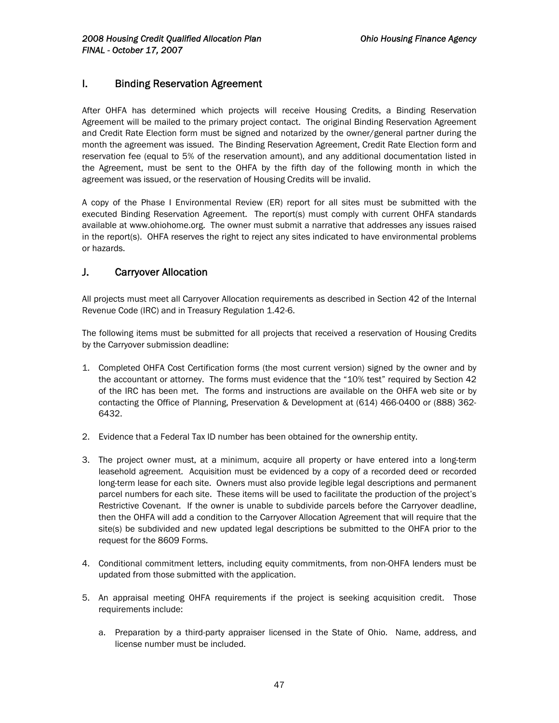# I. Binding Reservation Agreement

After OHFA has determined which projects will receive Housing Credits, a Binding Reservation Agreement will be mailed to the primary project contact. The original Binding Reservation Agreement and Credit Rate Election form must be signed and notarized by the owner/general partner during the month the agreement was issued. The Binding Reservation Agreement, Credit Rate Election form and reservation fee (equal to 5% of the reservation amount), and any additional documentation listed in the Agreement, must be sent to the OHFA by the fifth day of the following month in which the agreement was issued, or the reservation of Housing Credits will be invalid.

A copy of the Phase I Environmental Review (ER) report for all sites must be submitted with the executed Binding Reservation Agreement. The report(s) must comply with current OHFA standards available at www.ohiohome.org. The owner must submit a narrative that addresses any issues raised in the report(s). OHFA reserves the right to reject any sites indicated to have environmental problems or hazards.

# J. Carryover Allocation

All projects must meet all Carryover Allocation requirements as described in Section 42 of the Internal Revenue Code (IRC) and in Treasury Regulation 1.42-6.

The following items must be submitted for all projects that received a reservation of Housing Credits by the Carryover submission deadline:

- 1. Completed OHFA Cost Certification forms (the most current version) signed by the owner and by the accountant or attorney. The forms must evidence that the "10% test" required by Section 42 of the IRC has been met. The forms and instructions are available on the OHFA web site or by contacting the Office of Planning, Preservation & Development at (614) 466-0400 or (888) 362- 6432.
- 2. Evidence that a Federal Tax ID number has been obtained for the ownership entity.
- 3. The project owner must, at a minimum, acquire all property or have entered into a long-term leasehold agreement. Acquisition must be evidenced by a copy of a recorded deed or recorded long-term lease for each site. Owners must also provide legible legal descriptions and permanent parcel numbers for each site. These items will be used to facilitate the production of the project's Restrictive Covenant. If the owner is unable to subdivide parcels before the Carryover deadline, then the OHFA will add a condition to the Carryover Allocation Agreement that will require that the site(s) be subdivided and new updated legal descriptions be submitted to the OHFA prior to the request for the 8609 Forms.
- 4. Conditional commitment letters, including equity commitments, from non-OHFA lenders must be updated from those submitted with the application.
- 5. An appraisal meeting OHFA requirements if the project is seeking acquisition credit. Those requirements include:
	- a. Preparation by a third-party appraiser licensed in the State of Ohio. Name, address, and license number must be included.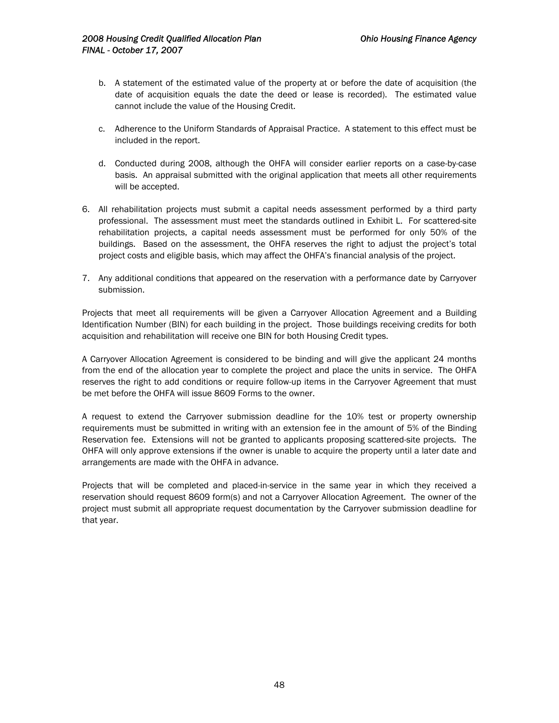- b. A statement of the estimated value of the property at or before the date of acquisition (the date of acquisition equals the date the deed or lease is recorded). The estimated value cannot include the value of the Housing Credit.
- c. Adherence to the Uniform Standards of Appraisal Practice. A statement to this effect must be included in the report.
- d. Conducted during 2008, although the OHFA will consider earlier reports on a case-by-case basis. An appraisal submitted with the original application that meets all other requirements will be accepted.
- 6. All rehabilitation projects must submit a capital needs assessment performed by a third party professional. The assessment must meet the standards outlined in Exhibit L. For scattered-site rehabilitation projects, a capital needs assessment must be performed for only 50% of the buildings. Based on the assessment, the OHFA reserves the right to adjust the project's total project costs and eligible basis, which may affect the OHFA's financial analysis of the project.
- 7. Any additional conditions that appeared on the reservation with a performance date by Carryover submission.

Projects that meet all requirements will be given a Carryover Allocation Agreement and a Building Identification Number (BIN) for each building in the project. Those buildings receiving credits for both acquisition and rehabilitation will receive one BIN for both Housing Credit types.

A Carryover Allocation Agreement is considered to be binding and will give the applicant 24 months from the end of the allocation year to complete the project and place the units in service. The OHFA reserves the right to add conditions or require follow-up items in the Carryover Agreement that must be met before the OHFA will issue 8609 Forms to the owner.

A request to extend the Carryover submission deadline for the 10% test or property ownership requirements must be submitted in writing with an extension fee in the amount of 5% of the Binding Reservation fee. Extensions will not be granted to applicants proposing scattered-site projects. The OHFA will only approve extensions if the owner is unable to acquire the property until a later date and arrangements are made with the OHFA in advance.

Projects that will be completed and placed-in-service in the same year in which they received a reservation should request 8609 form(s) and not a Carryover Allocation Agreement. The owner of the project must submit all appropriate request documentation by the Carryover submission deadline for that year.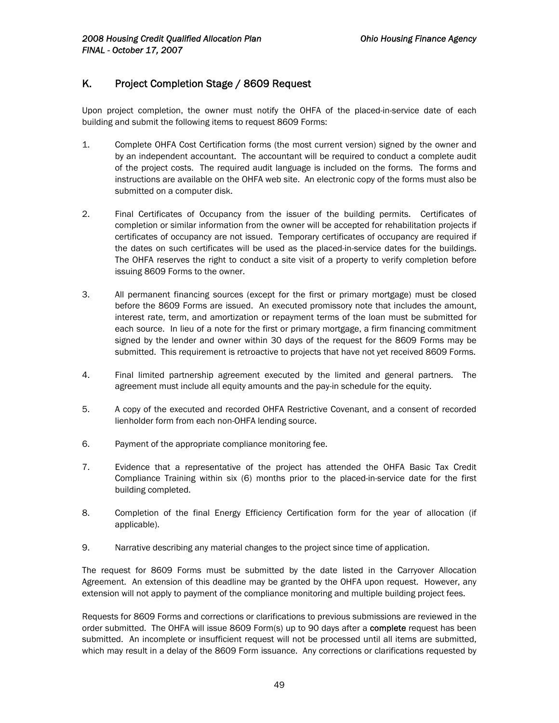# K. Project Completion Stage / 8609 Request

Upon project completion, the owner must notify the OHFA of the placed-in-service date of each building and submit the following items to request 8609 Forms:

- 1. Complete OHFA Cost Certification forms (the most current version) signed by the owner and by an independent accountant. The accountant will be required to conduct a complete audit of the project costs. The required audit language is included on the forms. The forms and instructions are available on the OHFA web site. An electronic copy of the forms must also be submitted on a computer disk.
- 2. Final Certificates of Occupancy from the issuer of the building permits. Certificates of completion or similar information from the owner will be accepted for rehabilitation projects if certificates of occupancy are not issued. Temporary certificates of occupancy are required if the dates on such certificates will be used as the placed-in-service dates for the buildings. The OHFA reserves the right to conduct a site visit of a property to verify completion before issuing 8609 Forms to the owner.
- 3. All permanent financing sources (except for the first or primary mortgage) must be closed before the 8609 Forms are issued. An executed promissory note that includes the amount, interest rate, term, and amortization or repayment terms of the loan must be submitted for each source. In lieu of a note for the first or primary mortgage, a firm financing commitment signed by the lender and owner within 30 days of the request for the 8609 Forms may be submitted. This requirement is retroactive to projects that have not yet received 8609 Forms.
- 4. Final limited partnership agreement executed by the limited and general partners. The agreement must include all equity amounts and the pay-in schedule for the equity.
- 5. A copy of the executed and recorded OHFA Restrictive Covenant, and a consent of recorded lienholder form from each non-OHFA lending source.
- 6. Payment of the appropriate compliance monitoring fee.
- 7. Evidence that a representative of the project has attended the OHFA Basic Tax Credit Compliance Training within six (6) months prior to the placed-in-service date for the first building completed.
- 8. Completion of the final Energy Efficiency Certification form for the year of allocation (if applicable).
- 9. Narrative describing any material changes to the project since time of application.

The request for 8609 Forms must be submitted by the date listed in the Carryover Allocation Agreement. An extension of this deadline may be granted by the OHFA upon request. However, any extension will not apply to payment of the compliance monitoring and multiple building project fees.

Requests for 8609 Forms and corrections or clarifications to previous submissions are reviewed in the order submitted. The OHFA will issue 8609 Form(s) up to 90 days after a complete request has been submitted. An incomplete or insufficient request will not be processed until all items are submitted, which may result in a delay of the 8609 Form issuance. Any corrections or clarifications requested by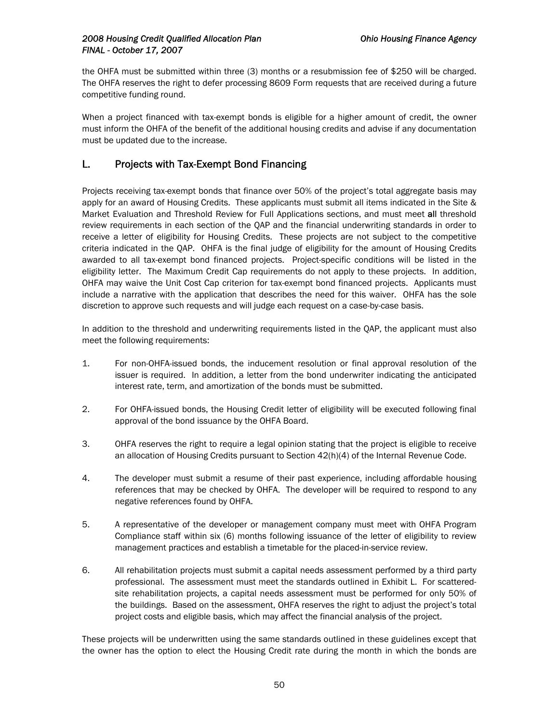the OHFA must be submitted within three (3) months or a resubmission fee of \$250 will be charged. The OHFA reserves the right to defer processing 8609 Form requests that are received during a future competitive funding round.

When a project financed with tax-exempt bonds is eligible for a higher amount of credit, the owner must inform the OHFA of the benefit of the additional housing credits and advise if any documentation must be updated due to the increase.

# L. Projects with Tax-Exempt Bond Financing

Projects receiving tax-exempt bonds that finance over 50% of the project's total aggregate basis may apply for an award of Housing Credits. These applicants must submit all items indicated in the Site & Market Evaluation and Threshold Review for Full Applications sections, and must meet all threshold review requirements in each section of the QAP and the financial underwriting standards in order to receive a letter of eligibility for Housing Credits. These projects are not subject to the competitive criteria indicated in the QAP. OHFA is the final judge of eligibility for the amount of Housing Credits awarded to all tax-exempt bond financed projects. Project-specific conditions will be listed in the eligibility letter. The Maximum Credit Cap requirements do not apply to these projects. In addition, OHFA may waive the Unit Cost Cap criterion for tax-exempt bond financed projects. Applicants must include a narrative with the application that describes the need for this waiver. OHFA has the sole discretion to approve such requests and will judge each request on a case-by-case basis.

In addition to the threshold and underwriting requirements listed in the QAP, the applicant must also meet the following requirements:

- 1. For non-OHFA-issued bonds, the inducement resolution or final approval resolution of the issuer is required. In addition, a letter from the bond underwriter indicating the anticipated interest rate, term, and amortization of the bonds must be submitted.
- 2. For OHFA-issued bonds, the Housing Credit letter of eligibility will be executed following final approval of the bond issuance by the OHFA Board.
- 3. OHFA reserves the right to require a legal opinion stating that the project is eligible to receive an allocation of Housing Credits pursuant to Section 42(h)(4) of the Internal Revenue Code.
- 4. The developer must submit a resume of their past experience, including affordable housing references that may be checked by OHFA. The developer will be required to respond to any negative references found by OHFA.
- 5. A representative of the developer or management company must meet with OHFA Program Compliance staff within six (6) months following issuance of the letter of eligibility to review management practices and establish a timetable for the placed-in-service review.
- 6. All rehabilitation projects must submit a capital needs assessment performed by a third party professional. The assessment must meet the standards outlined in Exhibit L. For scatteredsite rehabilitation projects, a capital needs assessment must be performed for only 50% of the buildings. Based on the assessment, OHFA reserves the right to adjust the project's total project costs and eligible basis, which may affect the financial analysis of the project.

These projects will be underwritten using the same standards outlined in these guidelines except that the owner has the option to elect the Housing Credit rate during the month in which the bonds are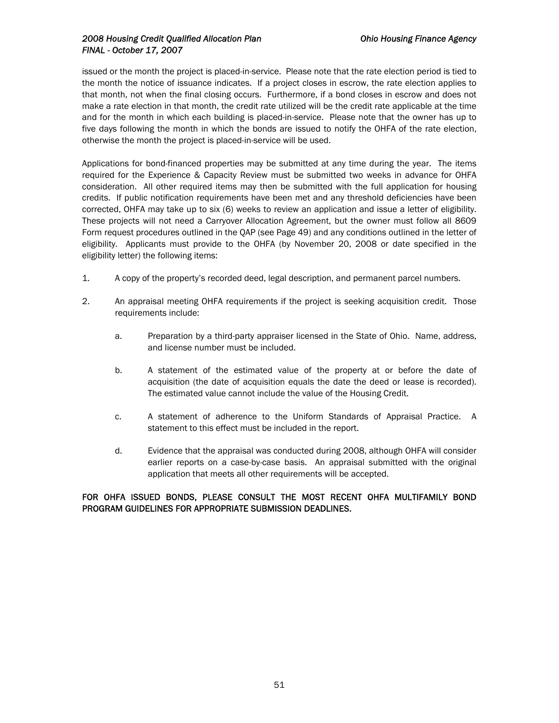### *2008 Housing Credit Qualified Allocation Plan Ohio Housing Finance Agency FINAL - October 17, 2007*

issued or the month the project is placed-in-service. Please note that the rate election period is tied to the month the notice of issuance indicates. If a project closes in escrow, the rate election applies to that month, not when the final closing occurs. Furthermore, if a bond closes in escrow and does not make a rate election in that month, the credit rate utilized will be the credit rate applicable at the time and for the month in which each building is placed-in-service. Please note that the owner has up to five days following the month in which the bonds are issued to notify the OHFA of the rate election, otherwise the month the project is placed-in-service will be used.

Applications for bond-financed properties may be submitted at any time during the year. The items required for the Experience & Capacity Review must be submitted two weeks in advance for OHFA consideration. All other required items may then be submitted with the full application for housing credits. If public notification requirements have been met and any threshold deficiencies have been corrected, OHFA may take up to six (6) weeks to review an application and issue a letter of eligibility. These projects will not need a Carryover Allocation Agreement, but the owner must follow all 8609 Form request procedures outlined in the QAP (see Page 49) and any conditions outlined in the letter of eligibility. Applicants must provide to the OHFA (by November 20, 2008 or date specified in the eligibility letter) the following items:

- 1. A copy of the property's recorded deed, legal description, and permanent parcel numbers.
- 2. An appraisal meeting OHFA requirements if the project is seeking acquisition credit. Those requirements include:
	- a. Preparation by a third-party appraiser licensed in the State of Ohio. Name, address, and license number must be included.
	- b. A statement of the estimated value of the property at or before the date of acquisition (the date of acquisition equals the date the deed or lease is recorded). The estimated value cannot include the value of the Housing Credit.
	- c. A statement of adherence to the Uniform Standards of Appraisal Practice. A statement to this effect must be included in the report.
	- d. Evidence that the appraisal was conducted during 2008, although OHFA will consider earlier reports on a case-by-case basis. An appraisal submitted with the original application that meets all other requirements will be accepted.

### FOR OHFA ISSUED BONDS, PLEASE CONSULT THE MOST RECENT OHFA MULTIFAMILY BOND PROGRAM GUIDELINES FOR APPROPRIATE SUBMISSION DEADLINES.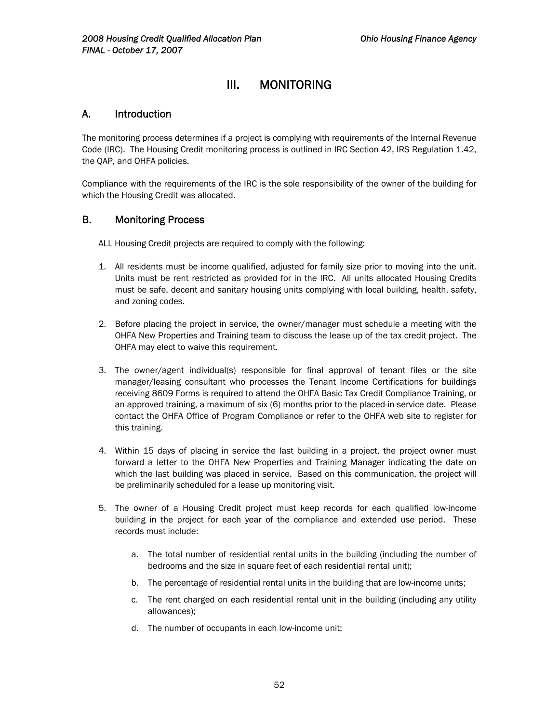# III. MONITORING

## A. Introduction

The monitoring process determines if a project is complying with requirements of the Internal Revenue Code (IRC). The Housing Credit monitoring process is outlined in IRC Section 42, IRS Regulation 1.42, the QAP, and OHFA policies.

Compliance with the requirements of the IRC is the sole responsibility of the owner of the building for which the Housing Credit was allocated.

### B. Monitoring Process

ALL Housing Credit projects are required to comply with the following:

- 1. All residents must be income qualified, adjusted for family size prior to moving into the unit. Units must be rent restricted as provided for in the IRC. All units allocated Housing Credits must be safe, decent and sanitary housing units complying with local building, health, safety, and zoning codes.
- 2. Before placing the project in service, the owner/manager must schedule a meeting with the OHFA New Properties and Training team to discuss the lease up of the tax credit project. The OHFA may elect to waive this requirement.
- 3. The owner/agent individual(s) responsible for final approval of tenant files or the site manager/leasing consultant who processes the Tenant Income Certifications for buildings receiving 8609 Forms is required to attend the OHFA Basic Tax Credit Compliance Training, or an approved training, a maximum of six (6) months prior to the placed-in-service date. Please contact the OHFA Office of Program Compliance or refer to the OHFA web site to register for this training.
- 4. Within 15 days of placing in service the last building in a project, the project owner must forward a letter to the OHFA New Properties and Training Manager indicating the date on which the last building was placed in service. Based on this communication, the project will be preliminarily scheduled for a lease up monitoring visit.
- 5. The owner of a Housing Credit project must keep records for each qualified low-income building in the project for each year of the compliance and extended use period. These records must include:
	- a. The total number of residential rental units in the building (including the number of bedrooms and the size in square feet of each residential rental unit);
	- b. The percentage of residential rental units in the building that are low-income units;
	- c. The rent charged on each residential rental unit in the building (including any utility allowances);
	- d. The number of occupants in each low-income unit;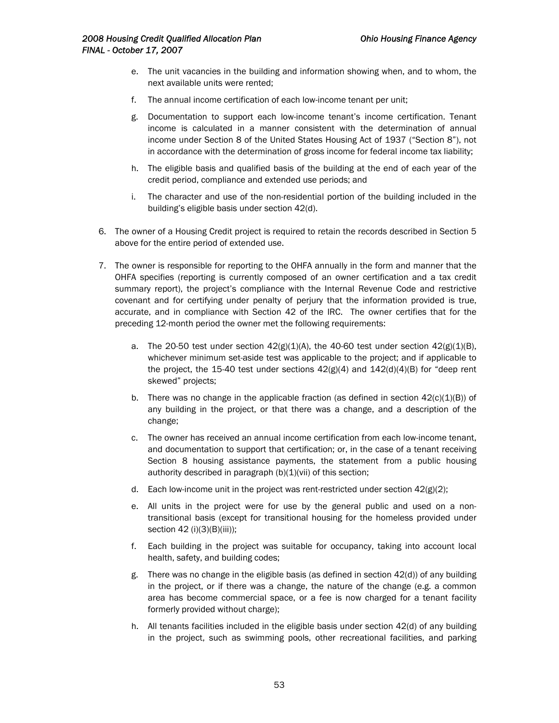- e. The unit vacancies in the building and information showing when, and to whom, the next available units were rented;
- f. The annual income certification of each low-income tenant per unit;
- g. Documentation to support each low-income tenant's income certification. Tenant income is calculated in a manner consistent with the determination of annual income under Section 8 of the United States Housing Act of 1937 ("Section 8"), not in accordance with the determination of gross income for federal income tax liability;
- h. The eligible basis and qualified basis of the building at the end of each year of the credit period, compliance and extended use periods; and
- i. The character and use of the non-residential portion of the building included in the building's eligible basis under section 42(d).
- 6. The owner of a Housing Credit project is required to retain the records described in Section 5 above for the entire period of extended use.
- 7. The owner is responsible for reporting to the OHFA annually in the form and manner that the OHFA specifies (reporting is currently composed of an owner certification and a tax credit summary report), the project's compliance with the Internal Revenue Code and restrictive covenant and for certifying under penalty of perjury that the information provided is true, accurate, and in compliance with Section 42 of the IRC. The owner certifies that for the preceding 12-month period the owner met the following requirements:
	- a. The 20-50 test under section  $42(g)(1)(A)$ , the 40-60 test under section  $42(g)(1)(B)$ , whichever minimum set-aside test was applicable to the project; and if applicable to the project, the 15-40 test under sections  $42(g)(4)$  and  $142(d)(4)(B)$  for "deep rent skewed" projects;
	- b. There was no change in the applicable fraction (as defined in section  $42(c)(1)(B)$ ) of any building in the project, or that there was a change, and a description of the change;
	- c. The owner has received an annual income certification from each low-income tenant, and documentation to support that certification; or, in the case of a tenant receiving Section 8 housing assistance payments, the statement from a public housing authority described in paragraph  $(b)(1)(vi)$  of this section;
	- d. Each low-income unit in the project was rent-restricted under section  $42(g)(2)$ ;
	- e. All units in the project were for use by the general public and used on a nontransitional basis (except for transitional housing for the homeless provided under section 42 (i)(3)(B)(iii));
	- f. Each building in the project was suitable for occupancy, taking into account local health, safety, and building codes;
	- g. There was no change in the eligible basis (as defined in section 42(d)) of any building in the project, or if there was a change, the nature of the change (e.g. a common area has become commercial space, or a fee is now charged for a tenant facility formerly provided without charge);
	- h. All tenants facilities included in the eligible basis under section 42(d) of any building in the project, such as swimming pools, other recreational facilities, and parking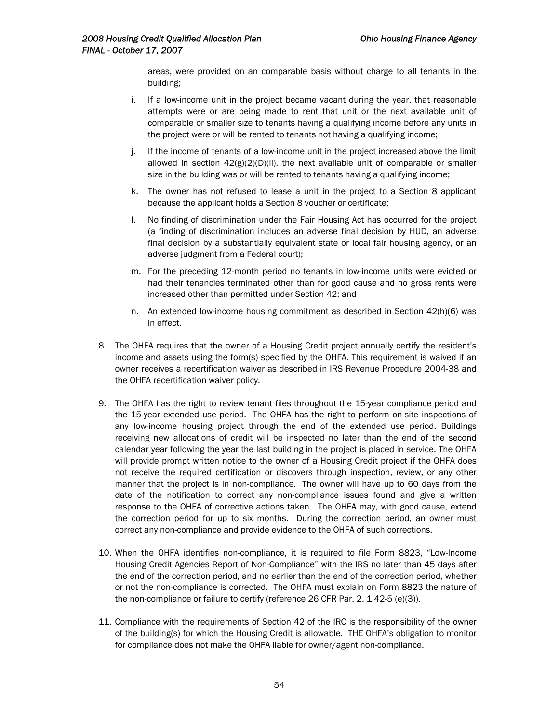areas, were provided on an comparable basis without charge to all tenants in the building;

- i. If a low-income unit in the project became vacant during the year, that reasonable attempts were or are being made to rent that unit or the next available unit of comparable or smaller size to tenants having a qualifying income before any units in the project were or will be rented to tenants not having a qualifying income;
- j. If the income of tenants of a low-income unit in the project increased above the limit allowed in section  $42(g)(2)(D)(ii)$ , the next available unit of comparable or smaller size in the building was or will be rented to tenants having a qualifying income;
- k. The owner has not refused to lease a unit in the project to a Section 8 applicant because the applicant holds a Section 8 voucher or certificate;
- l. No finding of discrimination under the Fair Housing Act has occurred for the project (a finding of discrimination includes an adverse final decision by HUD, an adverse final decision by a substantially equivalent state or local fair housing agency, or an adverse judgment from a Federal court);
- m. For the preceding 12-month period no tenants in low-income units were evicted or had their tenancies terminated other than for good cause and no gross rents were increased other than permitted under Section 42; and
- n. An extended low-income housing commitment as described in Section 42(h)(6) was in effect.
- 8. The OHFA requires that the owner of a Housing Credit project annually certify the resident's income and assets using the form(s) specified by the OHFA. This requirement is waived if an owner receives a recertification waiver as described in IRS Revenue Procedure 2004-38 and the OHFA recertification waiver policy.
- 9. The OHFA has the right to review tenant files throughout the 15-year compliance period and the 15-year extended use period. The OHFA has the right to perform on-site inspections of any low-income housing project through the end of the extended use period. Buildings receiving new allocations of credit will be inspected no later than the end of the second calendar year following the year the last building in the project is placed in service. The OHFA will provide prompt written notice to the owner of a Housing Credit project if the OHFA does not receive the required certification or discovers through inspection, review, or any other manner that the project is in non-compliance. The owner will have up to 60 days from the date of the notification to correct any non-compliance issues found and give a written response to the OHFA of corrective actions taken. The OHFA may, with good cause, extend the correction period for up to six months. During the correction period, an owner must correct any non-compliance and provide evidence to the OHFA of such corrections.
- 10. When the OHFA identifies non-compliance, it is required to file Form 8823, "Low-Income Housing Credit Agencies Report of Non-Compliance" with the IRS no later than 45 days after the end of the correction period, and no earlier than the end of the correction period, whether or not the non-compliance is corrected. The OHFA must explain on Form 8823 the nature of the non-compliance or failure to certify (reference 26 CFR Par. 2. 1.42-5 (e)(3)).
- 11. Compliance with the requirements of Section 42 of the IRC is the responsibility of the owner of the building(s) for which the Housing Credit is allowable. THE OHFA's obligation to monitor for compliance does not make the OHFA liable for owner/agent non-compliance.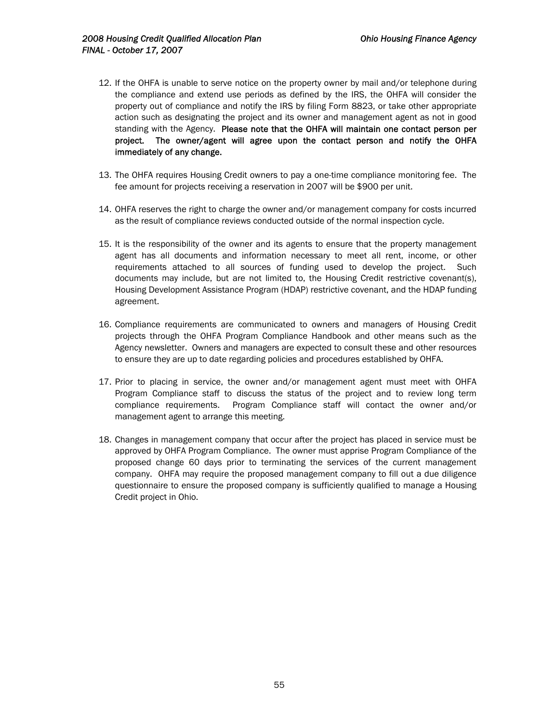- 12. If the OHFA is unable to serve notice on the property owner by mail and/or telephone during the compliance and extend use periods as defined by the IRS, the OHFA will consider the property out of compliance and notify the IRS by filing Form 8823, or take other appropriate action such as designating the project and its owner and management agent as not in good standing with the Agency. Please note that the OHFA will maintain one contact person per project. The owner/agent will agree upon the contact person and notify the OHFA immediately of any change.
- 13. The OHFA requires Housing Credit owners to pay a one-time compliance monitoring fee. The fee amount for projects receiving a reservation in 2007 will be \$900 per unit.
- 14. OHFA reserves the right to charge the owner and/or management company for costs incurred as the result of compliance reviews conducted outside of the normal inspection cycle.
- 15. It is the responsibility of the owner and its agents to ensure that the property management agent has all documents and information necessary to meet all rent, income, or other requirements attached to all sources of funding used to develop the project. Such documents may include, but are not limited to, the Housing Credit restrictive covenant(s), Housing Development Assistance Program (HDAP) restrictive covenant, and the HDAP funding agreement.
- 16. Compliance requirements are communicated to owners and managers of Housing Credit projects through the OHFA Program Compliance Handbook and other means such as the Agency newsletter. Owners and managers are expected to consult these and other resources to ensure they are up to date regarding policies and procedures established by OHFA.
- 17. Prior to placing in service, the owner and/or management agent must meet with OHFA Program Compliance staff to discuss the status of the project and to review long term compliance requirements. Program Compliance staff will contact the owner and/or management agent to arrange this meeting.
- 18. Changes in management company that occur after the project has placed in service must be approved by OHFA Program Compliance. The owner must apprise Program Compliance of the proposed change 60 days prior to terminating the services of the current management company. OHFA may require the proposed management company to fill out a due diligence questionnaire to ensure the proposed company is sufficiently qualified to manage a Housing Credit project in Ohio.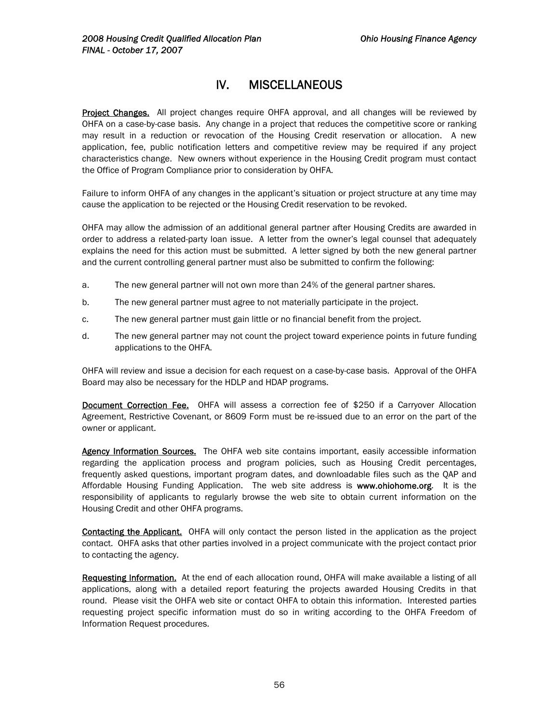# IV. MISCELLANEOUS

Project Changes. All project changes require OHFA approval, and all changes will be reviewed by OHFA on a case-by-case basis. Any change in a project that reduces the competitive score or ranking may result in a reduction or revocation of the Housing Credit reservation or allocation. A new application, fee, public notification letters and competitive review may be required if any project characteristics change. New owners without experience in the Housing Credit program must contact the Office of Program Compliance prior to consideration by OHFA.

Failure to inform OHFA of any changes in the applicant's situation or project structure at any time may cause the application to be rejected or the Housing Credit reservation to be revoked.

OHFA may allow the admission of an additional general partner after Housing Credits are awarded in order to address a related-party loan issue. A letter from the owner's legal counsel that adequately explains the need for this action must be submitted. A letter signed by both the new general partner and the current controlling general partner must also be submitted to confirm the following:

- a. The new general partner will not own more than 24% of the general partner shares.
- b. The new general partner must agree to not materially participate in the project.
- c. The new general partner must gain little or no financial benefit from the project.
- d. The new general partner may not count the project toward experience points in future funding applications to the OHFA.

OHFA will review and issue a decision for each request on a case-by-case basis. Approval of the OHFA Board may also be necessary for the HDLP and HDAP programs.

**Document Correction Fee.** OHFA will assess a correction fee of \$250 if a Carryover Allocation Agreement, Restrictive Covenant, or 8609 Form must be re-issued due to an error on the part of the owner or applicant.

Agency Information Sources. The OHFA web site contains important, easily accessible information regarding the application process and program policies, such as Housing Credit percentages, frequently asked questions, important program dates, and downloadable files such as the QAP and Affordable Housing Funding Application. The web site address is www.ohiohome.org. It is the responsibility of applicants to regularly browse the web site to obtain current information on the Housing Credit and other OHFA programs.

Contacting the Applicant. OHFA will only contact the person listed in the application as the project contact. OHFA asks that other parties involved in a project communicate with the project contact prior to contacting the agency.

Requesting Information. At the end of each allocation round, OHFA will make available a listing of all applications, along with a detailed report featuring the projects awarded Housing Credits in that round. Please visit the OHFA web site or contact OHFA to obtain this information. Interested parties requesting project specific information must do so in writing according to the OHFA Freedom of Information Request procedures.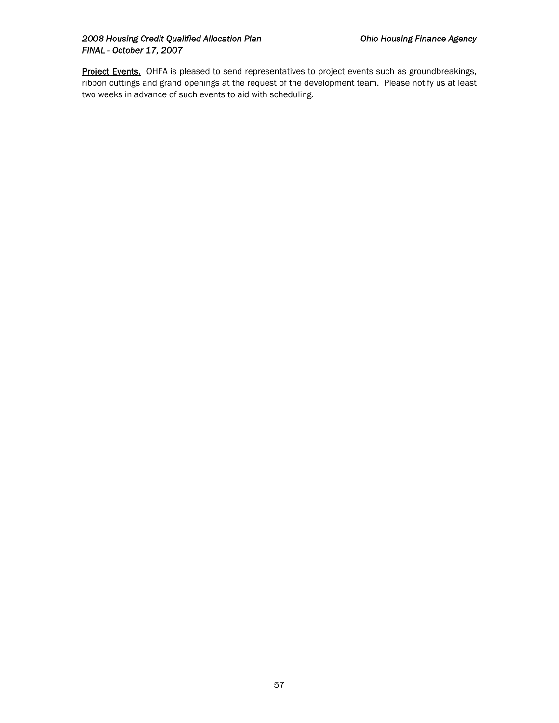### 2008 Housing Credit Qualified Allocation Plan **Canadian Charlotter Charlotter Charlotter** Ohio Housing Finance Agency *FINAL - October 17, 2007*

Project Events. OHFA is pleased to send representatives to project events such as groundbreakings, ribbon cuttings and grand openings at the request of the development team. Please notify us at least two weeks in advance of such events to aid with scheduling.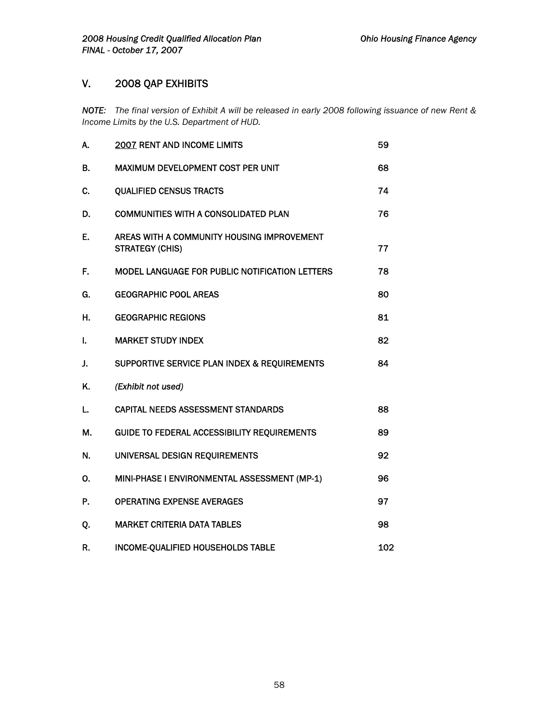# V. 2008 QAP EXHIBITS

*NOTE: The final version of Exhibit A will be released in early 2008 following issuance of new Rent & Income Limits by the U.S. Department of HUD.* 

| А. | <b>2007 RENT AND INCOME LIMITS</b>                                   | 59  |
|----|----------------------------------------------------------------------|-----|
| В. | MAXIMUM DEVELOPMENT COST PER UNIT                                    | 68  |
| С. | <b>QUALIFIED CENSUS TRACTS</b>                                       | 74  |
| D. | <b>COMMUNITIES WITH A CONSOLIDATED PLAN</b>                          | 76  |
| Е. | AREAS WITH A COMMUNITY HOUSING IMPROVEMENT<br><b>STRATEGY (CHIS)</b> | 77  |
| F. | MODEL LANGUAGE FOR PUBLIC NOTIFICATION LETTERS                       | 78  |
| G. | <b>GEOGRAPHIC POOL AREAS</b>                                         | 80  |
| Н. | <b>GEOGRAPHIC REGIONS</b>                                            | 81  |
| L  | <b>MARKET STUDY INDEX</b>                                            | 82  |
| J. | SUPPORTIVE SERVICE PLAN INDEX & REQUIREMENTS                         | 84  |
| Κ. | (Exhibit not used)                                                   |     |
| L. | <b>CAPITAL NEEDS ASSESSMENT STANDARDS</b>                            | 88  |
| М. | <b>GUIDE TO FEDERAL ACCESSIBILITY REQUIREMENTS</b>                   | 89  |
| N. | UNIVERSAL DESIGN REQUIREMENTS                                        | 92  |
| 0. | MINI-PHASE I ENVIRONMENTAL ASSESSMENT (MP-1)                         | 96  |
| P. | <b>OPERATING EXPENSE AVERAGES</b>                                    | 97  |
| Q. | <b>MARKET CRITERIA DATA TABLES</b>                                   | 98  |
| R. | INCOME-QUALIFIED HOUSEHOLDS TABLE                                    | 102 |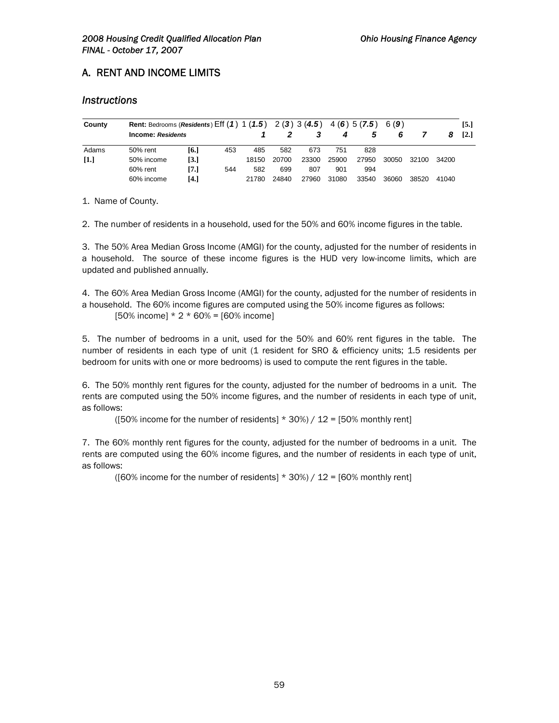# A. RENT AND INCOME LIMITS

## *Instructions*

| County            |                   | Rent: Bedrooms (Residents) Eff $(1)$ 1 $(1.5)$ 2 $(3)$ 3 $(4.5)$ 4 $(6)$ 5 $(7.5)$ 6 $(9)$ |     |       |       |       |       |       |       |       | [5.]  |                   |
|-------------------|-------------------|--------------------------------------------------------------------------------------------|-----|-------|-------|-------|-------|-------|-------|-------|-------|-------------------|
|                   | Income: Residents |                                                                                            |     |       |       |       | 4     | 5     | 6     |       | 8     | $\left[2.\right]$ |
| Adams             | 50% rent          | [6.]                                                                                       | 453 | 485   | 582   | 673   | 751   | 828   |       |       |       |                   |
| $\left[1.\right]$ | 50% income        | $\left[3.\right]$                                                                          |     | 18150 | 20700 | 23300 | 25900 | 27950 | 30050 | 32100 | 34200 |                   |
|                   | 60% rent          | [7.]                                                                                       | 544 | 582   | 699   | 807   | 901   | 994   |       |       |       |                   |
|                   | 60% income        | [4.]                                                                                       |     | 21780 | 24840 | 27960 | 31080 | 33540 | 36060 | 38520 | 41040 |                   |

1. Name of County.

2. The number of residents in a household, used for the 50% and 60% income figures in the table.

3. The 50% Area Median Gross Income (AMGI) for the county, adjusted for the number of residents in a household. The source of these income figures is the HUD very low-income limits, which are updated and published annually.

4. The 60% Area Median Gross Income (AMGI) for the county, adjusted for the number of residents in a household. The 60% income figures are computed using the 50% income figures as follows:  $[50\% \text{ income}] * 2 * 60\% = [60\% \text{ income}]$ 

5. The number of bedrooms in a unit, used for the 50% and 60% rent figures in the table. The number of residents in each type of unit (1 resident for SRO & efficiency units; 1.5 residents per bedroom for units with one or more bedrooms) is used to compute the rent figures in the table.

6. The 50% monthly rent figures for the county, adjusted for the number of bedrooms in a unit. The rents are computed using the 50% income figures, and the number of residents in each type of unit, as follows:

([50% income for the number of residents]  $*$  30%) / 12 = [50% monthly rent]

7. The 60% monthly rent figures for the county, adjusted for the number of bedrooms in a unit. The rents are computed using the 60% income figures, and the number of residents in each type of unit, as follows:

([60% income for the number of residents]  $*$  30%) / 12 = [60% monthly rent]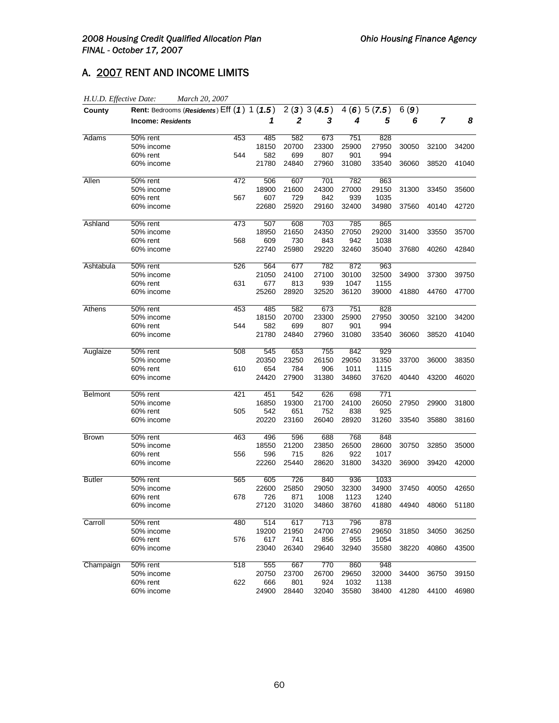# A. 2007 RENT AND INCOME LIMITS

| H.U.D. Effective Date: | March 20, 2007                             |     |       |       |            |       |            |       |                |       |
|------------------------|--------------------------------------------|-----|-------|-------|------------|-------|------------|-------|----------------|-------|
| County                 | Rent: Bedrooms (Residents) Eff (1) 1 (1.5) |     |       |       | 2(3)3(4.5) |       | 4(6)5(7.5) | 6(9)  |                |       |
|                        | <b>Income: Residents</b>                   |     | 1     | 2     | 3          | 4     | 5          | 6     | $\overline{7}$ | 8     |
| Adams                  | 50% rent                                   | 453 | 485   | 582   | 673        | 751   | 828        |       |                |       |
|                        | 50% income                                 |     | 18150 | 20700 | 23300      | 25900 | 27950      | 30050 | 32100          | 34200 |
|                        | 60% rent                                   | 544 | 582   | 699   | 807        | 901   | 994        |       |                |       |
|                        | 60% income                                 |     | 21780 | 24840 | 27960      | 31080 | 33540      | 36060 | 38520          | 41040 |
| Allen                  | 50% rent                                   | 472 | 506   | 607   | 701        | 782   | 863        |       |                |       |
|                        | 50% income                                 |     | 18900 | 21600 | 24300      | 27000 | 29150      | 31300 | 33450          | 35600 |
|                        | 60% rent                                   | 567 | 607   | 729   | 842        | 939   | 1035       |       |                |       |
|                        | 60% income                                 |     | 22680 | 25920 | 29160      | 32400 | 34980      | 37560 | 40140          | 42720 |
| Ashland                | 50% rent                                   | 473 | 507   | 608   | 703        | 785   | 865        |       |                |       |
|                        | 50% income                                 |     | 18950 | 21650 | 24350      | 27050 | 29200      | 31400 | 33550          | 35700 |
|                        | 60% rent                                   | 568 | 609   | 730   | 843        | 942   | 1038       |       |                |       |
|                        | 60% income                                 |     | 22740 | 25980 | 29220      | 32460 | 35040      | 37680 | 40260          | 42840 |
| Ashtabula              | 50% rent                                   | 526 | 564   | 677   | 782        | 872   | 963        |       |                |       |
|                        | 50% income                                 |     | 21050 | 24100 | 27100      | 30100 | 32500      | 34900 | 37300          | 39750 |
|                        | 60% rent                                   | 631 | 677   | 813   | 939        | 1047  | 1155       |       |                |       |
|                        | 60% income                                 |     | 25260 | 28920 | 32520      | 36120 | 39000      | 41880 | 44760          | 47700 |
| Athens                 | 50% rent                                   | 453 | 485   | 582   | 673        | 751   | 828        |       |                |       |
|                        | 50% income                                 |     | 18150 | 20700 | 23300      | 25900 | 27950      | 30050 | 32100          | 34200 |
|                        | 60% rent                                   | 544 | 582   | 699   | 807        | 901   | 994        |       |                |       |
|                        | 60% income                                 |     | 21780 | 24840 | 27960      | 31080 | 33540      | 36060 | 38520          | 41040 |
| Auglaize               | 50% rent                                   | 508 | 545   | 653   | 755        | 842   | 929        |       |                |       |
|                        | 50% income                                 |     | 20350 | 23250 | 26150      | 29050 | 31350      | 33700 | 36000          | 38350 |
|                        | 60% rent                                   | 610 | 654   | 784   | 906        | 1011  | 1115       |       |                |       |
|                        | 60% income                                 |     | 24420 | 27900 | 31380      | 34860 | 37620      | 40440 | 43200          | 46020 |
| <b>Belmont</b>         | 50% rent                                   | 421 | 451   | 542   | 626        | 698   | 771        |       |                |       |
|                        | 50% income                                 |     | 16850 | 19300 | 21700      | 24100 | 26050      | 27950 | 29900          | 31800 |
|                        | 60% rent                                   | 505 | 542   | 651   | 752        | 838   | 925        |       |                |       |
|                        | 60% income                                 |     | 20220 | 23160 | 26040      | 28920 | 31260      | 33540 | 35880          | 38160 |
| <b>Brown</b>           | $50%$ rent                                 | 463 | 496   | 596   | 688        | 768   | 848        |       |                |       |
|                        | 50% income                                 |     | 18550 | 21200 | 23850      | 26500 | 28600      | 30750 | 32850          | 35000 |
|                        | 60% rent                                   | 556 | 596   | 715   | 826        | 922   | 1017       |       |                |       |
|                        | 60% income                                 |     | 22260 | 25440 | 28620      | 31800 | 34320      | 36900 | 39420          | 42000 |
| <b>Butler</b>          | 50% rent                                   | 565 | 605   | 726   | 840        | 936   | 1033       |       |                |       |
|                        | 50% income                                 |     | 22600 | 25850 | 29050      | 32300 | 34900      | 37450 | 40050          | 42650 |
|                        | 60% rent                                   | 678 | 726   | 871   | 1008       | 1123  | 1240       |       |                |       |
|                        | 60% income                                 |     | 27120 | 31020 | 34860      | 38760 | 41880      | 44940 | 48060          | 51180 |
| Carroll                | 50% rent                                   | 480 | 514   | 617   | 713        | 796   | 878        |       |                |       |
|                        | 50% income                                 |     | 19200 | 21950 | 24700      | 27450 | 29650      | 31850 | 34050          | 36250 |
|                        | 60% rent                                   | 576 | 617   | 741   | 856        | 955   | 1054       |       |                |       |
|                        | 60% income                                 |     | 23040 | 26340 | 29640      | 32940 | 35580      | 38220 | 40860          | 43500 |
| Champaign              | 50% rent                                   | 518 | 555   | 667   | 770        | 860   | 948        |       |                |       |
|                        | 50% income                                 |     | 20750 | 23700 | 26700      | 29650 | 32000      | 34400 | 36750          | 39150 |
|                        | 60% rent                                   | 622 | 666   | 801   | 924        | 1032  | 1138       |       |                |       |
|                        | 60% income                                 |     | 24900 | 28440 | 32040      | 35580 | 38400      | 41280 | 44100          | 46980 |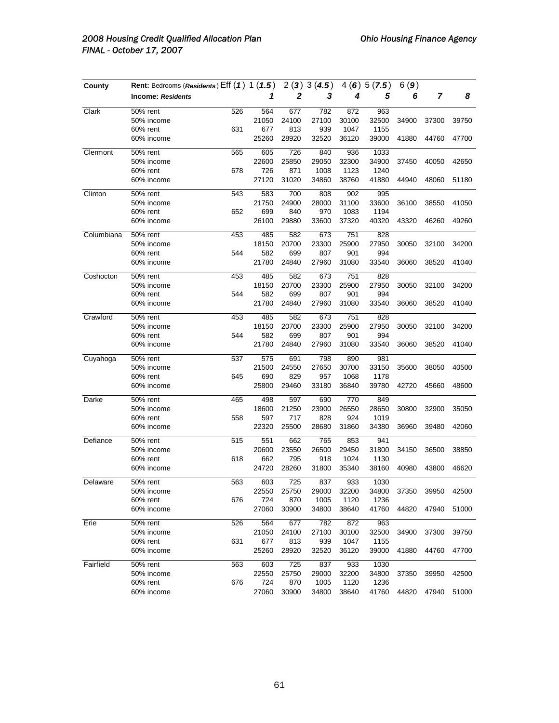| County     | Rent: Bedrooms (Residents) Eff (1) 1 (1.5) |     |       | 2(3)  | 3(4.5) | 4(6)  | 5(7.5) | 6(9)  |       |       |
|------------|--------------------------------------------|-----|-------|-------|--------|-------|--------|-------|-------|-------|
|            | <b>Income: Residents</b>                   |     | 1     | 2     | 3      | 4     | 5      | 6     | 7     | 8     |
| Clark      | 50% rent                                   | 526 | 564   | 677   | 782    | 872   | 963    |       |       |       |
|            | 50% income                                 |     | 21050 | 24100 | 27100  | 30100 | 32500  | 34900 | 37300 | 39750 |
|            | 60% rent                                   | 631 | 677   | 813   | 939    | 1047  | 1155   |       |       |       |
|            | 60% income                                 |     | 25260 | 28920 | 32520  | 36120 | 39000  | 41880 | 44760 | 47700 |
| Clermont   | 50% rent                                   | 565 | 605   | 726   | 840    | 936   | 1033   |       |       |       |
|            | 50% income                                 |     | 22600 | 25850 | 29050  | 32300 | 34900  | 37450 | 40050 | 42650 |
|            | 60% rent                                   | 678 | 726   | 871   | 1008   | 1123  | 1240   |       |       |       |
|            | 60% income                                 |     | 27120 | 31020 | 34860  | 38760 | 41880  | 44940 | 48060 | 51180 |
| Clinton    | 50% rent                                   | 543 | 583   | 700   | 808    | 902   | 995    |       |       |       |
|            | 50% income                                 |     | 21750 | 24900 | 28000  | 31100 | 33600  | 36100 | 38550 | 41050 |
|            | 60% rent                                   | 652 | 699   | 840   | 970    | 1083  | 1194   |       |       |       |
|            | 60% income                                 |     | 26100 | 29880 | 33600  | 37320 | 40320  | 43320 | 46260 | 49260 |
| Columbiana | 50% rent                                   | 453 | 485   | 582   | 673    | 751   | 828    |       |       |       |
|            | 50% income                                 |     | 18150 | 20700 | 23300  | 25900 | 27950  | 30050 | 32100 | 34200 |
|            | 60% rent                                   | 544 | 582   | 699   | 807    | 901   | 994    |       |       |       |
|            | 60% income                                 |     | 21780 | 24840 | 27960  | 31080 | 33540  | 36060 | 38520 | 41040 |
| Coshocton  | 50% rent                                   | 453 | 485   | 582   | 673    | 751   | 828    |       |       |       |
|            | 50% income                                 |     | 18150 | 20700 | 23300  | 25900 | 27950  | 30050 | 32100 | 34200 |
|            | 60% rent                                   | 544 | 582   | 699   | 807    | 901   | 994    |       |       |       |
|            | 60% income                                 |     | 21780 | 24840 | 27960  | 31080 | 33540  | 36060 | 38520 | 41040 |
| Crawford   | 50% rent                                   | 453 | 485   | 582   | 673    | 751   | 828    |       |       |       |
|            | 50% income                                 |     | 18150 | 20700 | 23300  | 25900 | 27950  | 30050 | 32100 | 34200 |
|            | 60% rent                                   | 544 | 582   | 699   | 807    | 901   | 994    |       |       |       |
|            | 60% income                                 |     | 21780 | 24840 | 27960  | 31080 | 33540  | 36060 | 38520 | 41040 |
| Cuyahoga   | 50% rent                                   | 537 | 575   | 691   | 798    | 890   | 981    |       |       |       |
|            | 50% income                                 |     | 21500 | 24550 | 27650  | 30700 | 33150  | 35600 | 38050 | 40500 |
|            | 60% rent                                   | 645 | 690   | 829   | 957    | 1068  | 1178   |       |       |       |
|            | 60% income                                 |     | 25800 | 29460 | 33180  | 36840 | 39780  | 42720 | 45660 | 48600 |
| Darke      | 50% rent                                   | 465 | 498   | 597   | 690    | 770   | 849    |       |       |       |
|            | 50% income                                 |     | 18600 | 21250 | 23900  | 26550 | 28650  | 30800 | 32900 | 35050 |
|            | 60% rent                                   | 558 | 597   | 717   | 828    | 924   | 1019   |       |       |       |
|            | 60% income                                 |     | 22320 | 25500 | 28680  | 31860 | 34380  | 36960 | 39480 | 42060 |
| Defiance   | 50% rent                                   | 515 | 551   | 662   | 765    | 853   | 941    |       |       |       |
|            | 50% income                                 |     | 20600 | 23550 | 26500  | 29450 | 31800  | 34150 | 36500 | 38850 |
|            | 60% rent                                   | 618 | 662   | 795   | 918    | 1024  | 1130   |       |       |       |
|            | 60% income                                 |     | 24720 | 28260 | 31800  | 35340 | 38160  | 40980 | 43800 | 46620 |
| Delaware   | 50% rent                                   | 563 | 603   | 725   | 837    | 933   | 1030   |       |       |       |
|            | 50% income                                 |     | 22550 | 25750 | 29000  | 32200 | 34800  | 37350 | 39950 | 42500 |
|            | 60% rent                                   | 676 | 724   | 870   | 1005   | 1120  | 1236   |       |       |       |
|            | 60% income                                 |     | 27060 | 30900 | 34800  | 38640 | 41760  | 44820 | 47940 | 51000 |
| Erie       | 50% rent                                   | 526 | 564   | 677   | 782    | 872   | 963    |       |       |       |
|            | 50% income                                 |     | 21050 | 24100 | 27100  | 30100 | 32500  | 34900 | 37300 | 39750 |
|            | 60% rent                                   | 631 | 677   | 813   | 939    | 1047  | 1155   |       |       |       |
|            | 60% income                                 |     | 25260 | 28920 | 32520  | 36120 | 39000  | 41880 | 44760 | 47700 |
| Fairfield  | 50% rent                                   | 563 | 603   | 725   | 837    | 933   | 1030   |       |       |       |
|            | 50% income                                 |     | 22550 | 25750 | 29000  | 32200 | 34800  | 37350 | 39950 | 42500 |
|            | 60% rent                                   | 676 | 724   | 870   | 1005   | 1120  | 1236   |       |       |       |
|            | 60% income                                 |     | 27060 | 30900 | 34800  | 38640 | 41760  | 44820 | 47940 | 51000 |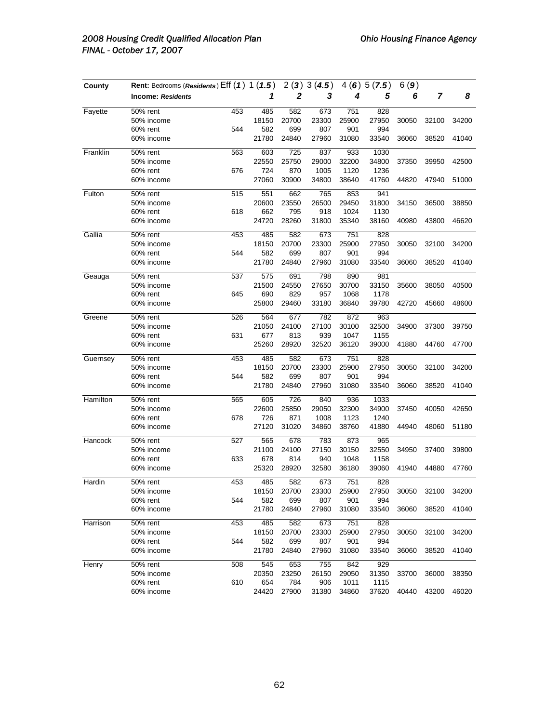| County   | Rent: Bedrooms (Residents) Eff (1) 1 (1.5) |     |       | 2(3)  | 3(4.5) | 4(6)  | 5(7.5) | 6(9)  |       |       |
|----------|--------------------------------------------|-----|-------|-------|--------|-------|--------|-------|-------|-------|
|          | <b>Income: Residents</b>                   |     | 1     | 2     | 3      | 4     | 5      | 6     | 7     | 8     |
| Fayette  | 50% rent                                   | 453 | 485   | 582   | 673    | 751   | 828    |       |       |       |
|          | 50% income                                 |     | 18150 | 20700 | 23300  | 25900 | 27950  | 30050 | 32100 | 34200 |
|          | 60% rent                                   | 544 | 582   | 699   | 807    | 901   | 994    |       |       |       |
|          | 60% income                                 |     | 21780 | 24840 | 27960  | 31080 | 33540  | 36060 | 38520 | 41040 |
| Franklin | 50% rent                                   | 563 | 603   | 725   | 837    | 933   | 1030   |       |       |       |
|          | 50% income                                 |     | 22550 | 25750 | 29000  | 32200 | 34800  | 37350 | 39950 | 42500 |
|          | 60% rent                                   | 676 | 724   | 870   | 1005   | 1120  | 1236   |       |       |       |
|          | 60% income                                 |     | 27060 | 30900 | 34800  | 38640 | 41760  | 44820 | 47940 | 51000 |
| Fulton   | 50% rent                                   | 515 | 551   | 662   | 765    | 853   | 941    |       |       |       |
|          | 50% income                                 |     | 20600 | 23550 | 26500  | 29450 | 31800  | 34150 | 36500 | 38850 |
|          | 60% rent                                   | 618 | 662   | 795   | 918    | 1024  | 1130   |       |       |       |
|          | 60% income                                 |     | 24720 | 28260 | 31800  | 35340 | 38160  | 40980 | 43800 | 46620 |
| Gallia   | 50% rent                                   | 453 | 485   | 582   | 673    | 751   | 828    |       |       |       |
|          | 50% income                                 |     | 18150 | 20700 | 23300  | 25900 | 27950  | 30050 | 32100 | 34200 |
|          | 60% rent                                   | 544 | 582   | 699   | 807    | 901   | 994    |       |       |       |
|          | 60% income                                 |     | 21780 | 24840 | 27960  | 31080 | 33540  | 36060 | 38520 | 41040 |
| Geauga   | 50% rent                                   | 537 | 575   | 691   | 798    | 890   | 981    |       |       |       |
|          | 50% income                                 |     | 21500 | 24550 | 27650  | 30700 | 33150  | 35600 | 38050 | 40500 |
|          | 60% rent                                   | 645 | 690   | 829   | 957    | 1068  | 1178   |       |       |       |
|          | 60% income                                 |     | 25800 | 29460 | 33180  | 36840 | 39780  | 42720 | 45660 | 48600 |
| Greene   | 50% rent                                   | 526 | 564   | 677   | 782    | 872   | 963    |       |       |       |
|          | 50% income                                 |     | 21050 | 24100 | 27100  | 30100 | 32500  | 34900 | 37300 | 39750 |
|          | 60% rent                                   | 631 | 677   | 813   | 939    | 1047  | 1155   |       |       |       |
|          | 60% income                                 |     | 25260 | 28920 | 32520  | 36120 | 39000  | 41880 | 44760 | 47700 |
| Guernsey | 50% rent                                   | 453 | 485   | 582   | 673    | 751   | 828    |       |       |       |
|          | 50% income                                 |     | 18150 | 20700 | 23300  | 25900 | 27950  | 30050 | 32100 | 34200 |
|          | 60% rent                                   | 544 | 582   | 699   | 807    | 901   | 994    |       |       |       |
|          | 60% income                                 |     | 21780 | 24840 | 27960  | 31080 | 33540  | 36060 | 38520 | 41040 |
| Hamilton | 50% rent                                   | 565 | 605   | 726   | 840    | 936   | 1033   |       |       |       |
|          | 50% income                                 |     | 22600 | 25850 | 29050  | 32300 | 34900  | 37450 | 40050 | 42650 |
|          | 60% rent                                   | 678 | 726   | 871   | 1008   | 1123  | 1240   |       |       |       |
|          | 60% income                                 |     | 27120 | 31020 | 34860  | 38760 | 41880  | 44940 | 48060 | 51180 |
| Hancock  | 50% rent                                   | 527 | 565   | 678   | 783    | 873   | 965    |       |       |       |
|          | 50% income                                 |     | 21100 | 24100 | 27150  | 30150 | 32550  | 34950 | 37400 | 39800 |
|          | 60% rent                                   | 633 | 678   | 814   | 940    | 1048  | 1158   |       |       |       |
|          | 60% income                                 |     | 25320 | 28920 | 32580  | 36180 | 39060  | 41940 | 44880 | 47760 |
| Hardin   | 50% rent                                   | 453 | 485   | 582   | 673    | 751   | 828    |       |       |       |
|          | 50% income                                 |     | 18150 | 20700 | 23300  | 25900 | 27950  | 30050 | 32100 | 34200 |
|          | 60% rent                                   | 544 | 582   | 699   | 807    | 901   | 994    |       |       |       |
|          | 60% income                                 |     | 21780 | 24840 | 27960  | 31080 | 33540  | 36060 | 38520 | 41040 |
| Harrison | 50% rent                                   | 453 | 485   | 582   | 673    | 751   | 828    |       |       |       |
|          | 50% income                                 |     | 18150 | 20700 | 23300  | 25900 | 27950  | 30050 | 32100 | 34200 |
|          | 60% rent                                   | 544 | 582   | 699   | 807    | 901   | 994    |       |       |       |
|          | 60% income                                 |     | 21780 | 24840 | 27960  | 31080 | 33540  | 36060 | 38520 | 41040 |
| Henry    | 50% rent                                   | 508 | 545   | 653   | 755    | 842   | 929    |       |       |       |
|          | 50% income                                 |     | 20350 | 23250 | 26150  | 29050 | 31350  | 33700 | 36000 | 38350 |
|          | 60% rent                                   | 610 | 654   | 784   | 906    | 1011  | 1115   |       |       |       |
|          | 60% income                                 |     | 24420 | 27900 | 31380  | 34860 | 37620  | 40440 | 43200 | 46020 |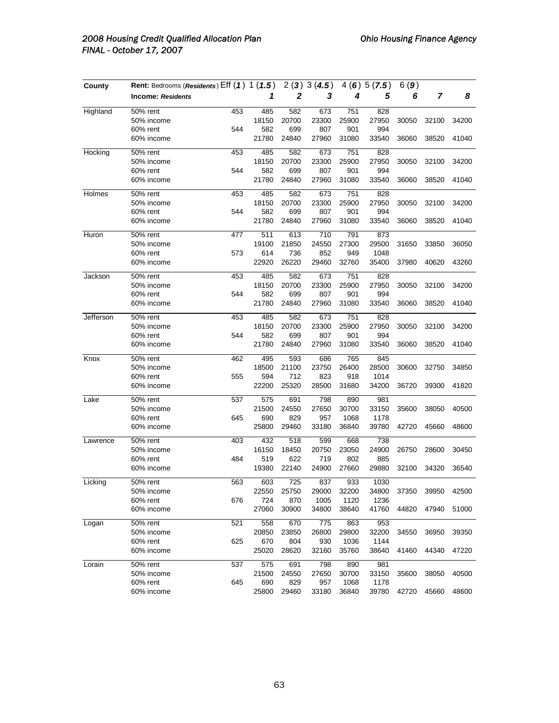| County    | Rent: Bedrooms (Residents) Eff (1) 1 (1.5) |     |       | 2(3)  | 3(4.5) | 4(6)  | 5(7.5) | 6(9)  |       |       |
|-----------|--------------------------------------------|-----|-------|-------|--------|-------|--------|-------|-------|-------|
|           | <b>Income: Residents</b>                   |     | 1     | 2     | 3      | 4     | 5      | 6     | 7     | 8     |
| Highland  | 50% rent                                   | 453 | 485   | 582   | 673    | 751   | 828    |       |       |       |
|           | 50% income                                 |     | 18150 | 20700 | 23300  | 25900 | 27950  | 30050 | 32100 | 34200 |
|           | 60% rent                                   | 544 | 582   | 699   | 807    | 901   | 994    |       |       |       |
|           | 60% income                                 |     | 21780 | 24840 | 27960  | 31080 | 33540  | 36060 | 38520 | 41040 |
| Hocking   | 50% rent                                   | 453 | 485   | 582   | 673    | 751   | 828    |       |       |       |
|           | 50% income                                 |     | 18150 | 20700 | 23300  | 25900 | 27950  | 30050 | 32100 | 34200 |
|           | 60% rent                                   | 544 | 582   | 699   | 807    | 901   | 994    |       |       |       |
|           | 60% income                                 |     | 21780 | 24840 | 27960  | 31080 | 33540  | 36060 | 38520 | 41040 |
| Holmes    | 50% rent                                   | 453 | 485   | 582   | 673    | 751   | 828    |       |       |       |
|           | 50% income                                 |     | 18150 | 20700 | 23300  | 25900 | 27950  | 30050 | 32100 | 34200 |
|           | 60% rent                                   | 544 | 582   | 699   | 807    | 901   | 994    |       |       |       |
|           | 60% income                                 |     | 21780 | 24840 | 27960  | 31080 | 33540  | 36060 | 38520 | 41040 |
| Huron     | 50% rent                                   | 477 | 511   | 613   | 710    | 791   | 873    |       |       |       |
|           | 50% income                                 |     | 19100 | 21850 | 24550  | 27300 | 29500  | 31650 | 33850 | 36050 |
|           | 60% rent                                   | 573 | 614   | 736   | 852    | 949   | 1048   |       |       |       |
|           | 60% income                                 |     | 22920 | 26220 | 29460  | 32760 | 35400  | 37980 | 40620 | 43260 |
| Jackson   | 50% rent                                   | 453 | 485   | 582   | 673    | 751   | 828    |       |       |       |
|           | 50% income                                 |     | 18150 | 20700 | 23300  | 25900 | 27950  | 30050 | 32100 | 34200 |
|           | 60% rent                                   | 544 | 582   | 699   | 807    | 901   | 994    |       |       |       |
|           | 60% income                                 |     | 21780 | 24840 | 27960  | 31080 | 33540  | 36060 | 38520 | 41040 |
| Jefferson | 50% rent                                   | 453 | 485   | 582   | 673    | 751   | 828    |       |       |       |
|           | 50% income                                 |     | 18150 | 20700 | 23300  | 25900 | 27950  | 30050 | 32100 | 34200 |
|           | 60% rent                                   | 544 | 582   | 699   | 807    | 901   | 994    |       |       |       |
|           | 60% income                                 |     | 21780 | 24840 | 27960  | 31080 | 33540  | 36060 | 38520 | 41040 |
| Knox      | 50% rent                                   | 462 | 495   | 593   | 686    | 765   | 845    |       |       |       |
|           | 50% income                                 |     | 18500 | 21100 | 23750  | 26400 | 28500  | 30600 | 32750 | 34850 |
|           | 60% rent                                   | 555 | 594   | 712   | 823    | 918   | 1014   |       |       |       |
|           | 60% income                                 |     | 22200 | 25320 | 28500  | 31680 | 34200  | 36720 | 39300 | 41820 |
| Lake      | 50% rent                                   | 537 | 575   | 691   | 798    | 890   | 981    |       |       |       |
|           | 50% income                                 |     | 21500 | 24550 | 27650  | 30700 | 33150  | 35600 | 38050 | 40500 |
|           | 60% rent                                   | 645 | 690   | 829   | 957    | 1068  | 1178   |       |       |       |
|           | 60% income                                 |     | 25800 | 29460 | 33180  | 36840 | 39780  | 42720 | 45660 | 48600 |
| Lawrence  | 50% rent                                   | 403 | 432   | 518   | 599    | 668   | 738    |       |       |       |
|           | 50% income                                 |     | 16150 | 18450 | 20750  | 23050 | 24900  | 26750 | 28600 | 30450 |
|           | 60% rent                                   | 484 | 519   | 622   | 719    | 802   | 885    |       |       |       |
|           | 60% income                                 |     | 19380 | 22140 | 24900  | 27660 | 29880  | 32100 | 34320 | 36540 |
| Licking   | 50% rent                                   | 563 | 603   | 725   | 837    | 933   | 1030   |       |       |       |
|           | 50% income                                 |     | 22550 | 25750 | 29000  | 32200 | 34800  | 37350 | 39950 | 42500 |
|           | 60% rent                                   | 676 | 724   | 870   | 1005   | 1120  | 1236   |       |       |       |
|           | 60% income                                 |     | 27060 | 30900 | 34800  | 38640 | 41760  | 44820 | 47940 | 51000 |
| Logan     | 50% rent                                   | 521 | 558   | 670   | 775    | 863   | 953    |       |       |       |
|           | 50% income                                 |     | 20850 | 23850 | 26800  | 29800 | 32200  | 34550 | 36950 | 39350 |
|           | 60% rent                                   | 625 | 670   | 804   | 930    | 1036  | 1144   |       |       |       |
|           | 60% income                                 |     | 25020 | 28620 | 32160  | 35760 | 38640  | 41460 | 44340 | 47220 |
| Lorain    | 50% rent                                   | 537 | 575   | 691   | 798    | 890   | 981    |       |       |       |
|           | 50% income                                 |     | 21500 | 24550 | 27650  | 30700 | 33150  | 35600 | 38050 | 40500 |
|           | 60% rent                                   | 645 | 690   | 829   | 957    | 1068  | 1178   |       |       |       |
|           | 60% income                                 |     | 25800 | 29460 | 33180  | 36840 | 39780  | 42720 | 45660 | 48600 |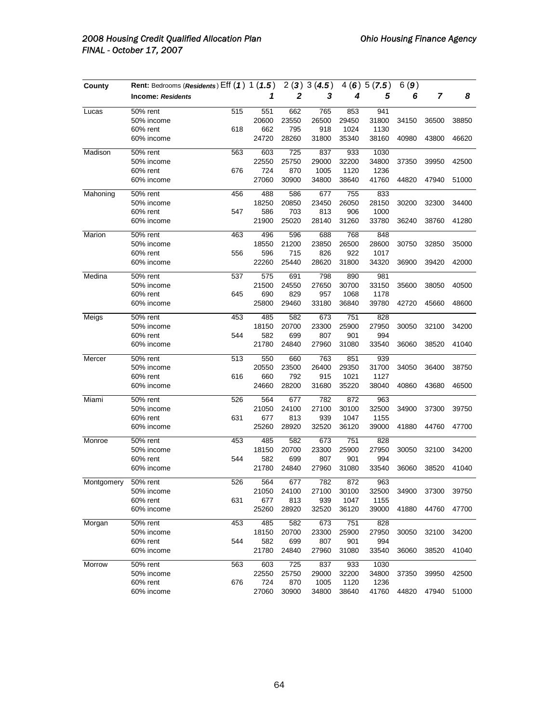| County     | Rent: Bedrooms (Residents) Eff (1) 1 (1.5) |     |       | 2(3)  | 3(4.5) | 4(6)  | 5(7.5) | 6(9)  |       |       |
|------------|--------------------------------------------|-----|-------|-------|--------|-------|--------|-------|-------|-------|
|            | <b>Income: Residents</b>                   |     | 1     | 2     | 3      | 4     | 5      | 6     | 7     | 8     |
| Lucas      | 50% rent                                   | 515 | 551   | 662   | 765    | 853   | 941    |       |       |       |
|            | 50% income                                 |     | 20600 | 23550 | 26500  | 29450 | 31800  | 34150 | 36500 | 38850 |
|            | 60% rent                                   | 618 | 662   | 795   | 918    | 1024  | 1130   |       |       |       |
|            | 60% income                                 |     | 24720 | 28260 | 31800  | 35340 | 38160  | 40980 | 43800 | 46620 |
| Madison    | 50% rent                                   | 563 | 603   | 725   | 837    | 933   | 1030   |       |       |       |
|            | 50% income                                 |     | 22550 | 25750 | 29000  | 32200 | 34800  | 37350 | 39950 | 42500 |
|            | 60% rent                                   | 676 | 724   | 870   | 1005   | 1120  | 1236   |       |       |       |
|            | 60% income                                 |     | 27060 | 30900 | 34800  | 38640 | 41760  | 44820 | 47940 | 51000 |
| Mahoning   | 50% rent                                   | 456 | 488   | 586   | 677    | 755   | 833    |       |       |       |
|            | 50% income                                 |     | 18250 | 20850 | 23450  | 26050 | 28150  | 30200 | 32300 | 34400 |
|            | 60% rent                                   | 547 | 586   | 703   | 813    | 906   | 1000   |       |       |       |
|            | 60% income                                 |     | 21900 | 25020 | 28140  | 31260 | 33780  | 36240 | 38760 | 41280 |
| Marion     | 50% rent                                   | 463 | 496   | 596   | 688    | 768   | 848    |       |       |       |
|            | 50% income                                 |     | 18550 | 21200 | 23850  | 26500 | 28600  | 30750 | 32850 | 35000 |
|            | 60% rent                                   | 556 | 596   | 715   | 826    | 922   | 1017   |       |       |       |
|            | 60% income                                 |     | 22260 | 25440 | 28620  | 31800 | 34320  | 36900 | 39420 | 42000 |
| Medina     | 50% rent                                   | 537 | 575   | 691   | 798    | 890   | 981    |       |       |       |
|            | 50% income                                 |     | 21500 | 24550 | 27650  | 30700 | 33150  | 35600 | 38050 | 40500 |
|            | 60% rent                                   | 645 | 690   | 829   | 957    | 1068  | 1178   |       |       |       |
|            | 60% income                                 |     | 25800 | 29460 | 33180  | 36840 | 39780  | 42720 | 45660 | 48600 |
| Meigs      | 50% rent                                   | 453 | 485   | 582   | 673    | 751   | 828    |       |       |       |
|            | 50% income                                 |     | 18150 | 20700 | 23300  | 25900 | 27950  | 30050 | 32100 | 34200 |
|            | 60% rent                                   | 544 | 582   | 699   | 807    | 901   | 994    |       |       |       |
|            | 60% income                                 |     | 21780 | 24840 | 27960  | 31080 | 33540  | 36060 | 38520 | 41040 |
| Mercer     | 50% rent                                   | 513 | 550   | 660   | 763    | 851   | 939    |       |       |       |
|            | 50% income                                 |     | 20550 | 23500 | 26400  | 29350 | 31700  | 34050 | 36400 | 38750 |
|            | 60% rent                                   | 616 | 660   | 792   | 915    | 1021  | 1127   |       |       |       |
|            | 60% income                                 |     | 24660 | 28200 | 31680  | 35220 | 38040  | 40860 | 43680 | 46500 |
| Miami      | 50% rent                                   | 526 | 564   | 677   | 782    | 872   | 963    |       |       |       |
|            | 50% income                                 |     | 21050 | 24100 | 27100  | 30100 | 32500  | 34900 | 37300 | 39750 |
|            | 60% rent                                   | 631 | 677   | 813   | 939    | 1047  | 1155   |       |       |       |
|            | 60% income                                 |     | 25260 | 28920 | 32520  | 36120 | 39000  | 41880 | 44760 | 47700 |
| Monroe     | 50% rent                                   | 453 | 485   | 582   | 673    | 751   | 828    |       |       |       |
|            | 50% income                                 |     | 18150 | 20700 | 23300  | 25900 | 27950  | 30050 | 32100 | 34200 |
|            | 60% rent                                   | 544 | 582   | 699   | 807    | 901   | 994    |       |       |       |
|            | 60% income                                 |     | 21780 | 24840 | 27960  | 31080 | 33540  | 36060 | 38520 | 41040 |
| Montgomery | 50% rent                                   | 526 | 564   | 677   | 782    | 872   | 963    |       |       |       |
|            | 50% income                                 |     | 21050 | 24100 | 27100  | 30100 | 32500  | 34900 | 37300 | 39750 |
|            | 60% rent                                   | 631 | 677   | 813   | 939    | 1047  | 1155   |       |       |       |
|            | 60% income                                 |     | 25260 | 28920 | 32520  | 36120 | 39000  | 41880 | 44760 | 47700 |
| Morgan     | 50% rent                                   | 453 | 485   | 582   | 673    | 751   | 828    |       |       |       |
|            | 50% income                                 |     | 18150 | 20700 | 23300  | 25900 | 27950  | 30050 | 32100 | 34200 |
|            | 60% rent                                   | 544 | 582   | 699   | 807    | 901   | 994    |       |       |       |
|            | 60% income                                 |     | 21780 | 24840 | 27960  | 31080 | 33540  | 36060 | 38520 | 41040 |
| Morrow     | 50% rent                                   | 563 | 603   | 725   | 837    | 933   | 1030   |       |       |       |
|            | 50% income                                 |     | 22550 | 25750 | 29000  | 32200 | 34800  | 37350 | 39950 | 42500 |
|            | 60% rent                                   | 676 | 724   | 870   | 1005   | 1120  | 1236   |       |       |       |
|            | 60% income                                 |     | 27060 | 30900 | 34800  | 38640 | 41760  | 44820 | 47940 | 51000 |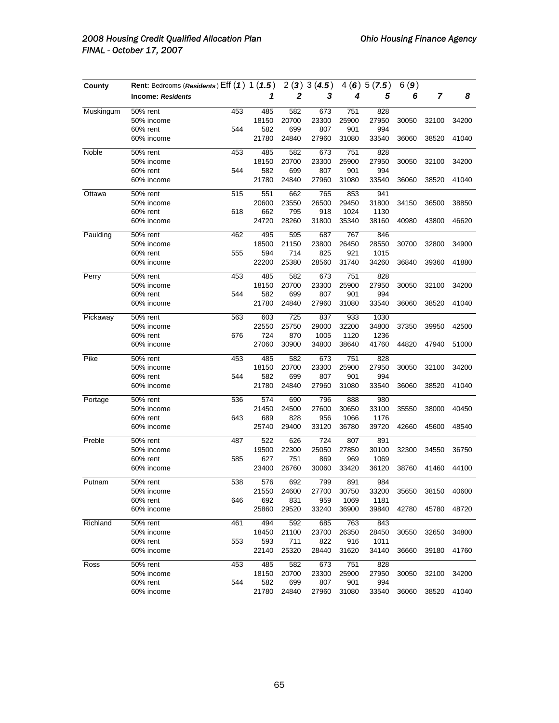| County    | Rent: Bedrooms (Residents) Eff (1) 1 (1.5) |     |       | 2(3)  | 3(4.5) | 4(6)  | 5(7.5) | 6(9)  |       |       |
|-----------|--------------------------------------------|-----|-------|-------|--------|-------|--------|-------|-------|-------|
|           | <b>Income: Residents</b>                   |     | 1     | 2     | 3      | 4     | 5      | 6     | 7     | 8     |
| Muskingum | 50% rent                                   | 453 | 485   | 582   | 673    | 751   | 828    |       |       |       |
|           | 50% income                                 |     | 18150 | 20700 | 23300  | 25900 | 27950  | 30050 | 32100 | 34200 |
|           | 60% rent                                   | 544 | 582   | 699   | 807    | 901   | 994    |       |       |       |
|           | 60% income                                 |     | 21780 | 24840 | 27960  | 31080 | 33540  | 36060 | 38520 | 41040 |
| Noble     | 50% rent                                   | 453 | 485   | 582   | 673    | 751   | 828    |       |       |       |
|           | 50% income                                 |     | 18150 | 20700 | 23300  | 25900 | 27950  | 30050 | 32100 | 34200 |
|           | 60% rent                                   | 544 | 582   | 699   | 807    | 901   | 994    |       |       |       |
|           | 60% income                                 |     | 21780 | 24840 | 27960  | 31080 | 33540  | 36060 | 38520 | 41040 |
| Ottawa    | 50% rent                                   | 515 | 551   | 662   | 765    | 853   | 941    |       |       |       |
|           | 50% income                                 |     | 20600 | 23550 | 26500  | 29450 | 31800  | 34150 | 36500 | 38850 |
|           | 60% rent                                   | 618 | 662   | 795   | 918    | 1024  | 1130   |       |       |       |
|           | 60% income                                 |     | 24720 | 28260 | 31800  | 35340 | 38160  | 40980 | 43800 | 46620 |
| Paulding  | 50% rent                                   | 462 | 495   | 595   | 687    | 767   | 846    |       |       |       |
|           | 50% income                                 |     | 18500 | 21150 | 23800  | 26450 | 28550  | 30700 | 32800 | 34900 |
|           | 60% rent                                   | 555 | 594   | 714   | 825    | 921   | 1015   |       |       |       |
|           | 60% income                                 |     | 22200 | 25380 | 28560  | 31740 | 34260  | 36840 | 39360 | 41880 |
| Perry     | 50% rent                                   | 453 | 485   | 582   | 673    | 751   | 828    |       |       |       |
|           | 50% income                                 |     | 18150 | 20700 | 23300  | 25900 | 27950  | 30050 | 32100 | 34200 |
|           | 60% rent                                   | 544 | 582   | 699   | 807    | 901   | 994    |       |       |       |
|           | 60% income                                 |     | 21780 | 24840 | 27960  | 31080 | 33540  | 36060 | 38520 | 41040 |
| Pickaway  | 50% rent                                   | 563 | 603   | 725   | 837    | 933   | 1030   |       |       |       |
|           | 50% income                                 |     | 22550 | 25750 | 29000  | 32200 | 34800  | 37350 | 39950 | 42500 |
|           | 60% rent                                   | 676 | 724   | 870   | 1005   | 1120  | 1236   |       |       |       |
|           | 60% income                                 |     | 27060 | 30900 | 34800  | 38640 | 41760  | 44820 | 47940 | 51000 |
| Pike      | 50% rent                                   | 453 | 485   | 582   | 673    | 751   | 828    |       |       |       |
|           | 50% income                                 |     | 18150 | 20700 | 23300  | 25900 | 27950  | 30050 | 32100 | 34200 |
|           | 60% rent                                   | 544 | 582   | 699   | 807    | 901   | 994    |       |       |       |
|           | 60% income                                 |     | 21780 | 24840 | 27960  | 31080 | 33540  | 36060 | 38520 | 41040 |
| Portage   | 50% rent                                   | 536 | 574   | 690   | 796    | 888   | 980    |       |       |       |
|           | 50% income                                 |     | 21450 | 24500 | 27600  | 30650 | 33100  | 35550 | 38000 | 40450 |
|           | 60% rent                                   | 643 | 689   | 828   | 956    | 1066  | 1176   |       |       |       |
|           | 60% income                                 |     | 25740 | 29400 | 33120  | 36780 | 39720  | 42660 | 45600 | 48540 |
| Preble    | $\overline{50\%}$ rent                     | 487 | 522   | 626   | 724    | 807   | 891    |       |       |       |
|           | 50% income                                 |     | 19500 | 22300 | 25050  | 27850 | 30100  | 32300 | 34550 | 36750 |
|           | 60% rent                                   | 585 | 627   | 751   | 869    | 969   | 1069   |       |       |       |
|           | 60% income                                 |     | 23400 | 26760 | 30060  | 33420 | 36120  | 38760 | 41460 | 44100 |
| Putnam    | 50% rent                                   | 538 | 576   | 692   | 799    | 891   | 984    |       |       |       |
|           | 50% income                                 |     | 21550 | 24600 | 27700  | 30750 | 33200  | 35650 | 38150 | 40600 |
|           | 60% rent                                   | 646 | 692   | 831   | 959    | 1069  | 1181   |       |       |       |
|           | 60% income                                 |     | 25860 | 29520 | 33240  | 36900 | 39840  | 42780 | 45780 | 48720 |
| Richland  | 50% rent                                   | 461 | 494   | 592   | 685    | 763   | 843    |       |       |       |
|           | 50% income                                 |     | 18450 | 21100 | 23700  | 26350 | 28450  | 30550 | 32650 | 34800 |
|           | 60% rent                                   | 553 | 593   | 711   | 822    | 916   | 1011   |       |       |       |
|           | 60% income                                 |     | 22140 | 25320 | 28440  | 31620 | 34140  | 36660 | 39180 | 41760 |
| Ross      | 50% rent                                   | 453 | 485   | 582   | 673    | 751   | 828    |       |       |       |
|           | 50% income                                 |     | 18150 | 20700 | 23300  | 25900 | 27950  | 30050 | 32100 | 34200 |
|           | 60% rent                                   | 544 | 582   | 699   | 807    | 901   | 994    |       |       |       |
|           | 60% income                                 |     | 21780 | 24840 | 27960  | 31080 | 33540  | 36060 | 38520 | 41040 |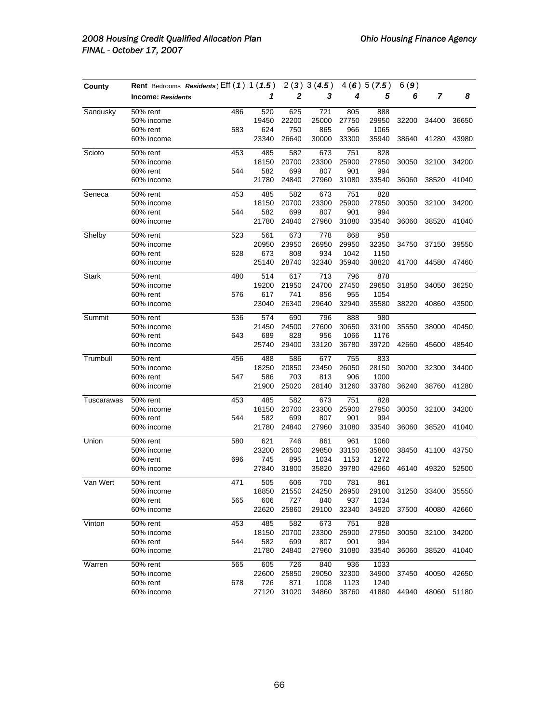| County       |                          | Rent Bedrooms Residents) Eff (1) 1 (1.5) |       | 2(3)  | 3(4.5) | 4(6)  | 5(7.5) | 6(9)  |       |       |
|--------------|--------------------------|------------------------------------------|-------|-------|--------|-------|--------|-------|-------|-------|
|              | <b>Income: Residents</b> |                                          | 1     | 2     | 3      | 4     | 5      | 6     | 7     | 8     |
| Sandusky     | 50% rent                 | 486                                      | 520   | 625   | 721    | 805   | 888    |       |       |       |
|              | 50% income               |                                          | 19450 | 22200 | 25000  | 27750 | 29950  | 32200 | 34400 | 36650 |
|              | 60% rent                 | 583                                      | 624   | 750   | 865    | 966   | 1065   |       |       |       |
|              | 60% income               |                                          | 23340 | 26640 | 30000  | 33300 | 35940  | 38640 | 41280 | 43980 |
| Scioto       | 50% rent                 | 453                                      | 485   | 582   | 673    | 751   | 828    |       |       |       |
|              | 50% income               |                                          | 18150 | 20700 | 23300  | 25900 | 27950  | 30050 | 32100 | 34200 |
|              | 60% rent                 | 544                                      | 582   | 699   | 807    | 901   | 994    |       |       |       |
|              | 60% income               |                                          | 21780 | 24840 | 27960  | 31080 | 33540  | 36060 | 38520 | 41040 |
| Seneca       | 50% rent                 | 453                                      | 485   | 582   | 673    | 751   | 828    |       |       |       |
|              | 50% income               |                                          | 18150 | 20700 | 23300  | 25900 | 27950  | 30050 | 32100 | 34200 |
|              | 60% rent                 | 544                                      | 582   | 699   | 807    | 901   | 994    |       |       |       |
|              | 60% income               |                                          | 21780 | 24840 | 27960  | 31080 | 33540  | 36060 | 38520 | 41040 |
| Shelby       | 50% rent                 | 523                                      | 561   | 673   | 778    | 868   | 958    |       |       |       |
|              | 50% income               |                                          | 20950 | 23950 | 26950  | 29950 | 32350  | 34750 | 37150 | 39550 |
|              | 60% rent                 | 628                                      | 673   | 808   | 934    | 1042  | 1150   |       |       |       |
|              | 60% income               |                                          | 25140 | 28740 | 32340  | 35940 | 38820  | 41700 | 44580 | 47460 |
| <b>Stark</b> | 50% rent                 | 480                                      | 514   | 617   | 713    | 796   | 878    |       |       |       |
|              | 50% income               |                                          | 19200 | 21950 | 24700  | 27450 | 29650  | 31850 | 34050 | 36250 |
|              | 60% rent                 | 576                                      | 617   | 741   | 856    | 955   | 1054   |       |       |       |
|              | 60% income               |                                          | 23040 | 26340 | 29640  | 32940 | 35580  | 38220 | 40860 | 43500 |
| Summit       | 50% rent                 | 536                                      | 574   | 690   | 796    | 888   | 980    |       |       |       |
|              | 50% income               |                                          | 21450 | 24500 | 27600  | 30650 | 33100  | 35550 | 38000 | 40450 |
|              | 60% rent                 | 643                                      | 689   | 828   | 956    | 1066  | 1176   |       |       |       |
|              | 60% income               |                                          | 25740 | 29400 | 33120  | 36780 | 39720  | 42660 | 45600 | 48540 |
| Trumbull     | 50% rent                 | 456                                      | 488   | 586   | 677    | 755   | 833    |       |       |       |
|              | 50% income               |                                          | 18250 | 20850 | 23450  | 26050 | 28150  | 30200 | 32300 | 34400 |
|              | 60% rent                 | 547                                      | 586   | 703   | 813    | 906   | 1000   |       |       |       |
|              | 60% income               |                                          | 21900 | 25020 | 28140  | 31260 | 33780  | 36240 | 38760 | 41280 |
| Tuscarawas   | 50% rent                 | 453                                      | 485   | 582   | 673    | 751   | 828    |       |       |       |
|              | 50% income               |                                          | 18150 | 20700 | 23300  | 25900 | 27950  | 30050 | 32100 | 34200 |
|              | 60% rent                 | 544                                      | 582   | 699   | 807    | 901   | 994    |       |       |       |
|              | 60% income               |                                          | 21780 | 24840 | 27960  | 31080 | 33540  | 36060 | 38520 | 41040 |
| Union        | 50% rent                 | 580                                      | 621   | 746   | 861    | 961   | 1060   |       |       |       |
|              | 50% income               |                                          | 23200 | 26500 | 29850  | 33150 | 35800  | 38450 | 41100 | 43750 |
|              | 60% rent                 | 696                                      | 745   | 895   | 1034   | 1153  | 1272   |       |       |       |
|              | 60% income               |                                          | 27840 | 31800 | 35820  | 39780 | 42960  | 46140 | 49320 | 52500 |
| Van Wert     | 50% rent                 | 471                                      | 505   | 606   | 700    | 781   | 861    |       |       |       |
|              | 50% income               |                                          | 18850 | 21550 | 24250  | 26950 | 29100  | 31250 | 33400 | 35550 |
|              | 60% rent                 | 565                                      | 606   | 727   | 840    | 937   | 1034   |       |       |       |
|              | 60% income               |                                          | 22620 | 25860 | 29100  | 32340 | 34920  | 37500 | 40080 | 42660 |
| Vinton       | 50% rent                 | 453                                      | 485   | 582   | 673    | 751   | 828    |       |       |       |
|              | 50% income               |                                          | 18150 | 20700 | 23300  | 25900 | 27950  | 30050 | 32100 | 34200 |
|              | 60% rent                 | 544                                      | 582   | 699   | 807    | 901   | 994    |       |       |       |
|              | 60% income               |                                          | 21780 | 24840 | 27960  | 31080 | 33540  | 36060 | 38520 | 41040 |
| Warren       | 50% rent                 | 565                                      | 605   | 726   | 840    | 936   | 1033   |       |       |       |
|              | 50% income               |                                          | 22600 | 25850 | 29050  | 32300 | 34900  | 37450 | 40050 | 42650 |
|              | 60% rent                 | 678                                      | 726   | 871   | 1008   | 1123  | 1240   |       |       |       |
|              | 60% income               |                                          | 27120 | 31020 | 34860  | 38760 | 41880  | 44940 | 48060 | 51180 |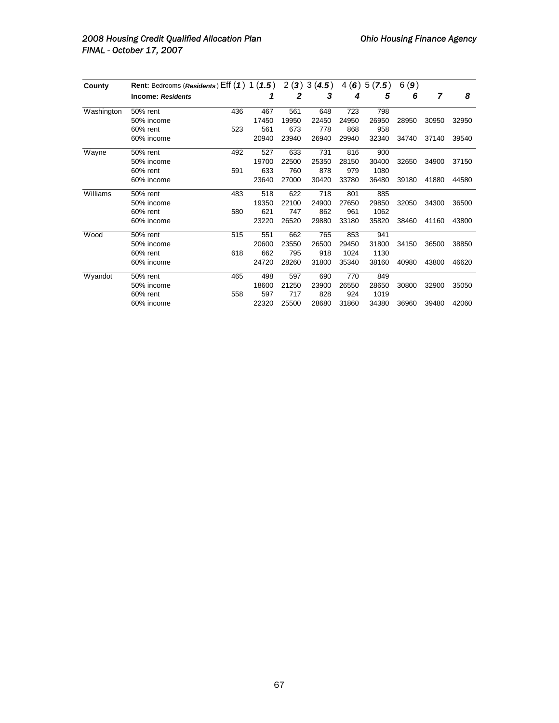# 2008 Housing Credit Qualified Allocation Plan **Canadian Charlotter Charlotter Charlotter Agency Ohio Housing Finance Agency** *FINAL - October 17, 2007*

| County     | Rent: Bedrooms (Residents) $Eff(1) 1(1.5)$ |     |       |              | 2(3)3(4.5) |       | 4(6)5(7.5) | 6(9)  |       |       |
|------------|--------------------------------------------|-----|-------|--------------|------------|-------|------------|-------|-------|-------|
|            | <b>Income: Residents</b>                   |     | 1     | $\mathbf{2}$ | 3          | 4     | 5          | 6     | 7     | 8     |
| Washington | 50% rent                                   | 436 | 467   | 561          | 648        | 723   | 798        |       |       |       |
|            | 50% income                                 |     | 17450 | 19950        | 22450      | 24950 | 26950      | 28950 | 30950 | 32950 |
|            | 60% rent                                   | 523 | 561   | 673          | 778        | 868   | 958        |       |       |       |
|            | 60% income                                 |     | 20940 | 23940        | 26940      | 29940 | 32340      | 34740 | 37140 | 39540 |
| Wayne      | 50% rent                                   | 492 | 527   | 633          | 731        | 816   | 900        |       |       |       |
|            | 50% income                                 |     | 19700 | 22500        | 25350      | 28150 | 30400      | 32650 | 34900 | 37150 |
|            | $60\%$ rent                                | 591 | 633   | 760          | 878        | 979   | 1080       |       |       |       |
|            | 60% income                                 |     | 23640 | 27000        | 30420      | 33780 | 36480      | 39180 | 41880 | 44580 |
| Williams   | 50% rent                                   | 483 | 518   | 622          | 718        | 801   | 885        |       |       |       |
|            | 50% income                                 |     | 19350 | 22100        | 24900      | 27650 | 29850      | 32050 | 34300 | 36500 |
|            | 60% rent                                   | 580 | 621   | 747          | 862        | 961   | 1062       |       |       |       |
|            | 60% income                                 |     | 23220 | 26520        | 29880      | 33180 | 35820      | 38460 | 41160 | 43800 |
| Wood       | 50% rent                                   | 515 | 551   | 662          | 765        | 853   | 941        |       |       |       |
|            | 50% income                                 |     | 20600 | 23550        | 26500      | 29450 | 31800      | 34150 | 36500 | 38850 |
|            | 60% rent                                   | 618 | 662   | 795          | 918        | 1024  | 1130       |       |       |       |
|            | 60% income                                 |     | 24720 | 28260        | 31800      | 35340 | 38160      | 40980 | 43800 | 46620 |
| Wyandot    | 50% rent                                   | 465 | 498   | 597          | 690        | 770   | 849        |       |       |       |
|            | 50% income                                 |     | 18600 | 21250        | 23900      | 26550 | 28650      | 30800 | 32900 | 35050 |
|            | 60% rent                                   | 558 | 597   | 717          | 828        | 924   | 1019       |       |       |       |
|            | 60% income                                 |     | 22320 | 25500        | 28680      | 31860 | 34380      | 36960 | 39480 | 42060 |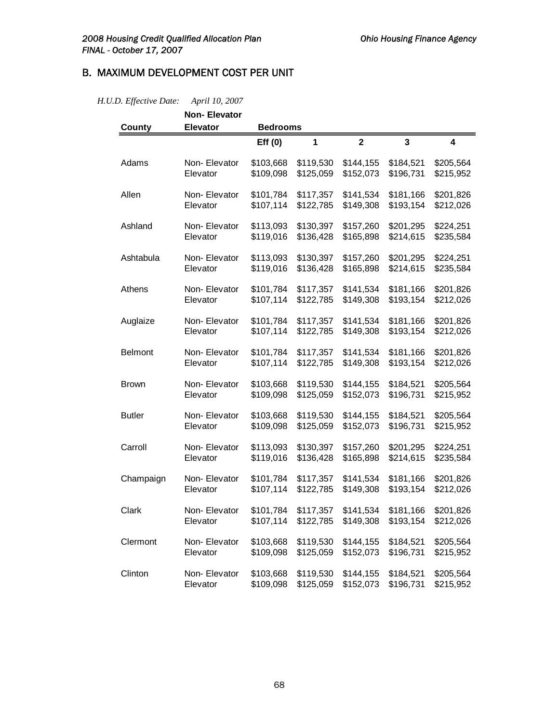$\blacksquare$ 

# B. MAXIMUM DEVELOPMENT COST PER UNIT

|                | <b>Non-Elevator</b> |                 |           |                         |                         |                         |
|----------------|---------------------|-----------------|-----------|-------------------------|-------------------------|-------------------------|
| <b>County</b>  | <b>Elevator</b>     | <b>Bedrooms</b> |           |                         |                         |                         |
|                |                     | Eff(0)          | 1         | $\overline{\mathbf{2}}$ | $\overline{\mathbf{3}}$ | $\overline{\mathbf{4}}$ |
| Adams          | Non-Elevator        | \$103,668       | \$119,530 | \$144,155               | \$184,521               | \$205,564               |
|                | Elevator            | \$109,098       | \$125,059 | \$152,073               | \$196,731               | \$215,952               |
| Allen          | Non-Elevator        | \$101,784       | \$117,357 | \$141,534               | \$181,166               | \$201,826               |
|                | Elevator            | \$107,114       | \$122,785 | \$149,308               | \$193,154               | \$212,026               |
| Ashland        | Non-Elevator        | \$113,093       | \$130,397 | \$157,260               | \$201,295               | \$224,251               |
|                | Elevator            | \$119,016       | \$136,428 | \$165,898               | \$214,615               | \$235,584               |
| Ashtabula      | Non- Elevator       | \$113,093       | \$130,397 | \$157,260               | \$201,295               | \$224,251               |
|                | Elevator            | \$119,016       | \$136,428 | \$165,898               | \$214,615               | \$235,584               |
| Athens         | Non- Elevator       | \$101,784       | \$117,357 | \$141,534               | \$181,166               | \$201,826               |
|                | Elevator            | \$107,114       | \$122,785 | \$149,308               | \$193,154               | \$212,026               |
| Auglaize       | Non-Elevator        | \$101,784       | \$117,357 | \$141,534               | \$181,166               | \$201,826               |
|                | Elevator            | \$107,114       | \$122,785 | \$149,308               | \$193,154               | \$212,026               |
| <b>Belmont</b> | Non-Elevator        | \$101,784       | \$117,357 | \$141,534               | \$181,166               | \$201,826               |
|                | Elevator            | \$107.114       | \$122,785 | \$149,308               | \$193,154               | \$212,026               |
| <b>Brown</b>   | Non- Elevator       | \$103,668       | \$119,530 | \$144,155               | \$184,521               | \$205,564               |
|                | Elevator            | \$109,098       | \$125,059 | \$152,073               | \$196,731               | \$215,952               |
| <b>Butler</b>  | Non-Elevator        | \$103,668       | \$119,530 | \$144,155               | \$184,521               | \$205,564               |
|                | Elevator            | \$109,098       | \$125,059 | \$152,073               | \$196,731               | \$215,952               |
| Carroll        | Non-Elevator        | \$113,093       | \$130,397 | \$157,260               | \$201,295               | \$224,251               |
|                | Elevator            | \$119,016       | \$136,428 | \$165,898               | \$214,615               | \$235,584               |
| Champaign      | Non-Elevator        | \$101,784       | \$117,357 | \$141,534               | \$181,166               | \$201,826               |
|                | Elevator            | \$107,114       | \$122,785 | \$149,308               | \$193,154               | \$212,026               |
| Clark          | Non-Elevator        | \$101,784       | \$117,357 | \$141,534               | \$181,166               | \$201,826               |
|                | Elevator            | \$107,114       | \$122,785 | \$149,308               | \$193,154               | \$212,026               |
| Clermont       | Non-Elevator        | \$103,668       | \$119,530 | \$144,155               | \$184,521               | \$205,564               |
|                | Elevator            | \$109,098       | \$125,059 | \$152,073               | \$196,731               | \$215,952               |
| Clinton        | Non-Elevator        | \$103,668       | \$119,530 | \$144,155               | \$184,521               | \$205,564               |
|                | Elevator            | \$109,098       | \$125,059 | \$152,073               | \$196,731               | \$215,952               |

## *H.U.D. Effective Date: April 10, 2007*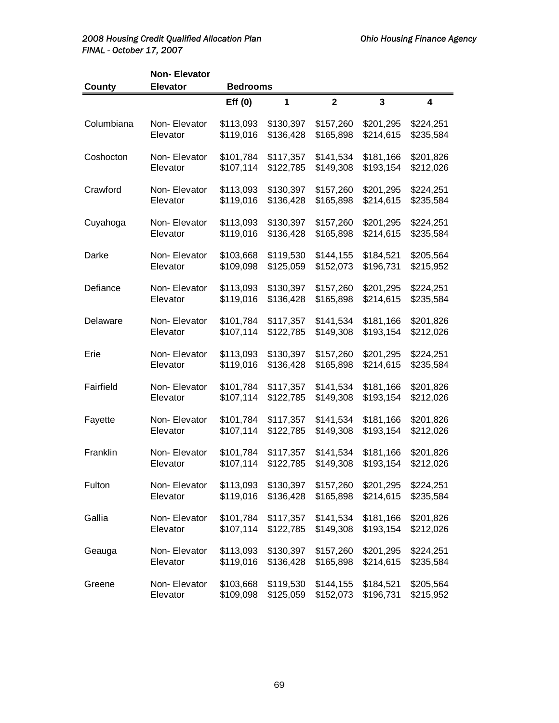# 2008 Housing Credit Qualified Allocation Plan **Canadian Charlotter Charlotter Charlotter** Ohio Housing Finance Agency *FINAL - October 17, 2007*

|            | <b>Non-Elevator</b> |                 |              |                |                         |                         |
|------------|---------------------|-----------------|--------------|----------------|-------------------------|-------------------------|
| County     | <b>Elevator</b>     | <b>Bedrooms</b> |              |                |                         |                         |
|            |                     | Eff(0)          | $\mathbf{1}$ | $\overline{2}$ | $\overline{\mathbf{3}}$ | $\overline{\mathbf{4}}$ |
| Columbiana | Non-Elevator        | \$113,093       | \$130,397    | \$157,260      | \$201,295               | \$224,251               |
|            | Elevator            | \$119,016       | \$136,428    | \$165,898      | \$214,615               | \$235,584               |
| Coshocton  | Non-Elevator        | \$101,784       | \$117,357    | \$141,534      | \$181,166               | \$201,826               |
|            | Elevator            | \$107,114       | \$122,785    | \$149,308      | \$193,154               | \$212,026               |
| Crawford   | Non-Elevator        | \$113,093       | \$130,397    | \$157,260      | \$201,295               | \$224,251               |
|            | Elevator            | \$119,016       | \$136,428    | \$165,898      | \$214,615               | \$235,584               |
| Cuyahoga   | Non- Elevator       | \$113,093       | \$130,397    | \$157,260      | \$201,295               | \$224,251               |
|            | Elevator            | \$119,016       | \$136,428    | \$165,898      | \$214,615               | \$235,584               |
| Darke      | Non-Elevator        | \$103,668       | \$119,530    | \$144,155      | \$184,521               | \$205,564               |
|            | Elevator            | \$109,098       | \$125,059    | \$152,073      | \$196,731               | \$215,952               |
| Defiance   | Non-Elevator        | \$113,093       | \$130,397    | \$157,260      | \$201,295               | \$224,251               |
|            | Elevator            | \$119,016       | \$136,428    | \$165,898      | \$214,615               | \$235,584               |
| Delaware   | Non-Elevator        | \$101,784       | \$117,357    | \$141,534      | \$181,166               | \$201,826               |
|            | Elevator            | \$107,114       | \$122,785    | \$149,308      | \$193,154               | \$212,026               |
| Erie       | Non-Elevator        | \$113,093       | \$130,397    | \$157,260      | \$201,295               | \$224,251               |
|            | Elevator            | \$119,016       | \$136,428    | \$165,898      | \$214,615               | \$235,584               |
| Fairfield  | Non-Elevator        | \$101,784       | \$117,357    | \$141,534      | \$181,166               | \$201,826               |
|            | Elevator            | \$107,114       | \$122,785    | \$149,308      | \$193,154               | \$212,026               |
| Fayette    | Non-Elevator        | \$101,784       | \$117,357    | \$141,534      | \$181,166               | \$201,826               |
|            | Elevator            | \$107,114       | \$122,785    | \$149,308      | \$193,154               | \$212,026               |
| Franklin   | Non-Elevator        | \$101,784       | \$117,357    | \$141,534      | \$181,166               | \$201,826               |
|            | Elevator            | \$107,114       | \$122,785    | \$149,308      | \$193,154               | \$212,026               |
| Fulton     | Non-Elevator        | \$113,093       | \$130,397    | \$157,260      | \$201,295               | \$224,251               |
|            | Elevator            | \$119,016       | \$136,428    | \$165,898      | \$214,615               | \$235,584               |
| Gallia     | Non- Elevator       | \$101,784       | \$117,357    | \$141,534      | \$181,166               | \$201,826               |
|            | Elevator            | \$107,114       | \$122,785    | \$149,308      | \$193,154               | \$212,026               |
| Geauga     | Non-Elevator        | \$113,093       | \$130,397    | \$157,260      | \$201,295               | \$224,251               |
|            | Elevator            | \$119,016       | \$136,428    | \$165,898      | \$214,615               | \$235,584               |
| Greene     | Non-Elevator        | \$103,668       | \$119,530    | \$144,155      | \$184,521               | \$205,564               |
|            | Elevator            | \$109,098       | \$125,059    | \$152,073      | \$196,731               | \$215,952               |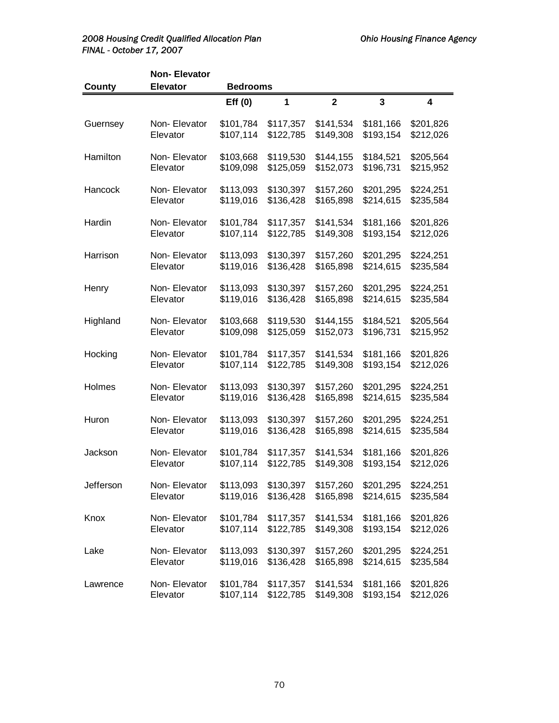## 2008 Housing Credit Qualified Allocation Plan **Canadian Charlotter Charlotter Charlotter** Ohio Housing Finance Agency *FINAL - October 17, 2007*

|           | <b>Non-Elevator</b> |                 |           |                |                         |                         |
|-----------|---------------------|-----------------|-----------|----------------|-------------------------|-------------------------|
| County    | <b>Elevator</b>     | <b>Bedrooms</b> |           |                |                         |                         |
|           |                     | Eff(0)          | 1         | $\overline{2}$ | $\overline{\mathbf{3}}$ | $\overline{\mathbf{4}}$ |
| Guernsey  | Non-Elevator        | \$101,784       | \$117,357 | \$141,534      | \$181,166               | \$201,826               |
|           | Elevator            | \$107,114       | \$122,785 | \$149,308      | \$193,154               | \$212,026               |
| Hamilton  | Non-Elevator        | \$103,668       | \$119,530 | \$144,155      | \$184,521               | \$205,564               |
|           | Elevator            | \$109,098       | \$125,059 | \$152,073      | \$196,731               | \$215,952               |
| Hancock   | Non-Elevator        | \$113,093       | \$130,397 | \$157,260      | \$201,295               | \$224,251               |
|           | Elevator            | \$119,016       | \$136,428 | \$165,898      | \$214,615               | \$235,584               |
| Hardin    | Non-Elevator        | \$101,784       | \$117,357 | \$141,534      | \$181,166               | \$201,826               |
|           | Elevator            | \$107,114       | \$122,785 | \$149,308      | \$193,154               | \$212,026               |
| Harrison  | Non-Elevator        | \$113,093       | \$130,397 | \$157,260      | \$201,295               | \$224,251               |
|           | Elevator            | \$119,016       | \$136,428 | \$165,898      | \$214,615               | \$235,584               |
| Henry     | Non-Elevator        | \$113,093       | \$130,397 | \$157,260      | \$201,295               | \$224,251               |
|           | Elevator            | \$119,016       | \$136,428 | \$165,898      | \$214,615               | \$235,584               |
| Highland  | Non-Elevator        | \$103,668       | \$119,530 | \$144,155      | \$184,521               | \$205,564               |
|           | Elevator            | \$109,098       | \$125,059 | \$152,073      | \$196,731               | \$215,952               |
| Hocking   | Non-Elevator        | \$101,784       | \$117,357 | \$141,534      | \$181,166               | \$201,826               |
|           | Elevator            | \$107,114       | \$122,785 | \$149,308      | \$193,154               | \$212,026               |
| Holmes    | Non-Elevator        | \$113,093       | \$130,397 | \$157,260      | \$201,295               | \$224,251               |
|           | Elevator            | \$119,016       | \$136,428 | \$165,898      | \$214,615               | \$235,584               |
| Huron     | Non-Elevator        | \$113,093       | \$130,397 | \$157,260      | \$201,295               | \$224,251               |
|           | Elevator            | \$119,016       | \$136,428 | \$165,898      | \$214,615               | \$235,584               |
| Jackson   | Non-Elevator        | \$101,784       | \$117,357 | \$141,534      | \$181,166               | \$201,826               |
|           | Elevator            | \$107,114       | \$122,785 | \$149,308      | \$193,154               | \$212,026               |
| Jefferson | Non- Elevator       | \$113,093       | \$130,397 | \$157,260      | \$201,295               | \$224,251               |
|           | Elevator            | \$119,016       | \$136,428 | \$165,898      | \$214,615               | \$235,584               |
| Knox      | Non-Elevator        | \$101,784       | \$117,357 | \$141,534      | \$181,166               | \$201,826               |
|           | Elevator            | \$107,114       | \$122,785 | \$149,308      | \$193,154               | \$212,026               |
| Lake      | Non- Elevator       | \$113,093       | \$130,397 | \$157,260      | \$201,295               | \$224,251               |
|           | Elevator            | \$119,016       | \$136,428 | \$165,898      | \$214,615               | \$235,584               |
| Lawrence  | Non- Elevator       | \$101,784       | \$117,357 | \$141,534      | \$181,166               | \$201,826               |
|           | Elevator            | \$107,114       | \$122,785 | \$149,308      | \$193,154               | \$212,026               |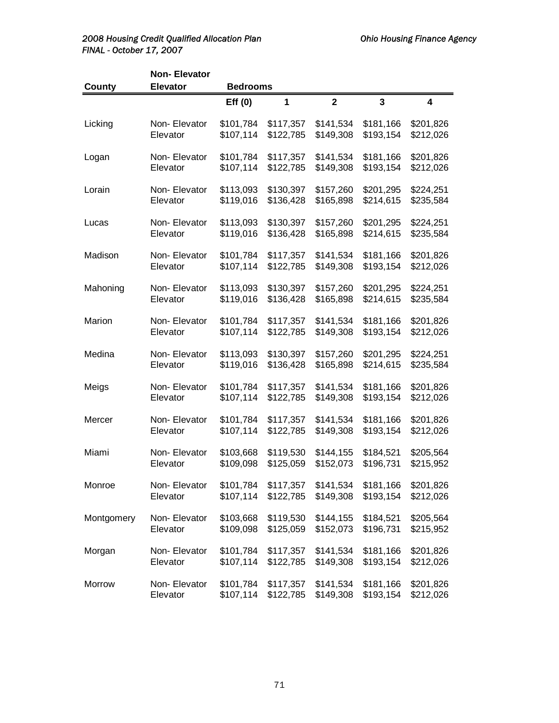# 2008 Housing Credit Qualified Allocation Plan **Canadian Charlotter Charlotter Charlotter Agency Ohio Housing Finance Agency** *FINAL - October 17, 2007*

|            | <b>Non-Elevator</b> |                 |           |              |           |                         |
|------------|---------------------|-----------------|-----------|--------------|-----------|-------------------------|
| County     | <b>Elevator</b>     | <b>Bedrooms</b> |           |              |           |                         |
|            |                     | Eff(0)          | 1         | $\mathbf{2}$ | 3         | $\overline{\mathbf{4}}$ |
| Licking    | Non-Elevator        | \$101,784       | \$117,357 | \$141,534    | \$181,166 | \$201,826               |
|            | Elevator            | \$107,114       | \$122,785 | \$149,308    | \$193,154 | \$212,026               |
| Logan      | Non-Elevator        | \$101,784       | \$117,357 | \$141,534    | \$181,166 | \$201,826               |
|            | Elevator            | \$107,114       | \$122,785 | \$149,308    | \$193,154 | \$212,026               |
| Lorain     | Non-Elevator        | \$113,093       | \$130,397 | \$157,260    | \$201,295 | \$224,251               |
|            | Elevator            | \$119,016       | \$136,428 | \$165,898    | \$214,615 | \$235,584               |
| Lucas      | Non-Elevator        | \$113,093       | \$130,397 | \$157,260    | \$201,295 | \$224,251               |
|            | Elevator            | \$119,016       | \$136,428 | \$165,898    | \$214,615 | \$235,584               |
| Madison    | Non-Elevator        | \$101,784       | \$117,357 | \$141,534    | \$181,166 | \$201,826               |
|            | Elevator            | \$107,114       | \$122,785 | \$149,308    | \$193,154 | \$212,026               |
| Mahoning   | Non-Elevator        | \$113,093       | \$130,397 | \$157,260    | \$201,295 | \$224,251               |
|            | Elevator            | \$119,016       | \$136,428 | \$165,898    | \$214,615 | \$235,584               |
| Marion     | Non-Elevator        | \$101,784       | \$117,357 | \$141,534    | \$181,166 | \$201,826               |
|            | Elevator            | \$107,114       | \$122,785 | \$149,308    | \$193,154 | \$212,026               |
| Medina     | Non-Elevator        | \$113,093       | \$130,397 | \$157,260    | \$201,295 | \$224,251               |
|            | Elevator            | \$119,016       | \$136,428 | \$165,898    | \$214,615 | \$235,584               |
| Meigs      | Non-Elevator        | \$101,784       | \$117,357 | \$141,534    | \$181,166 | \$201,826               |
|            | Elevator            | \$107,114       | \$122,785 | \$149,308    | \$193,154 | \$212,026               |
| Mercer     | Non-Elevator        | \$101,784       | \$117,357 | \$141,534    | \$181,166 | \$201,826               |
|            | Elevator            | \$107,114       | \$122,785 | \$149,308    | \$193,154 | \$212,026               |
| Miami      | Non-Elevator        | \$103,668       | \$119,530 | \$144,155    | \$184,521 | \$205,564               |
|            | Elevator            | \$109,098       | \$125,059 | \$152,073    | \$196,731 | \$215,952               |
| Monroe     | Non-Elevator        | \$101,784       | \$117,357 | \$141,534    | \$181,166 | \$201,826               |
|            | Elevator            | \$107,114       | \$122,785 | \$149,308    | \$193,154 | \$212,026               |
| Montgomery | Non-Elevator        | \$103,668       | \$119,530 | \$144,155    | \$184,521 | \$205,564               |
|            | Elevator            | \$109,098       | \$125,059 | \$152,073    | \$196,731 | \$215,952               |
| Morgan     | Non-Elevator        | \$101,784       | \$117,357 | \$141,534    | \$181,166 | \$201,826               |
|            | Elevator            | \$107,114       | \$122,785 | \$149,308    | \$193,154 | \$212,026               |
| Morrow     | Non-Elevator        | \$101,784       | \$117,357 | \$141,534    | \$181,166 | \$201,826               |
|            | Elevator            | \$107,114       | \$122,785 | \$149,308    | \$193,154 | \$212,026               |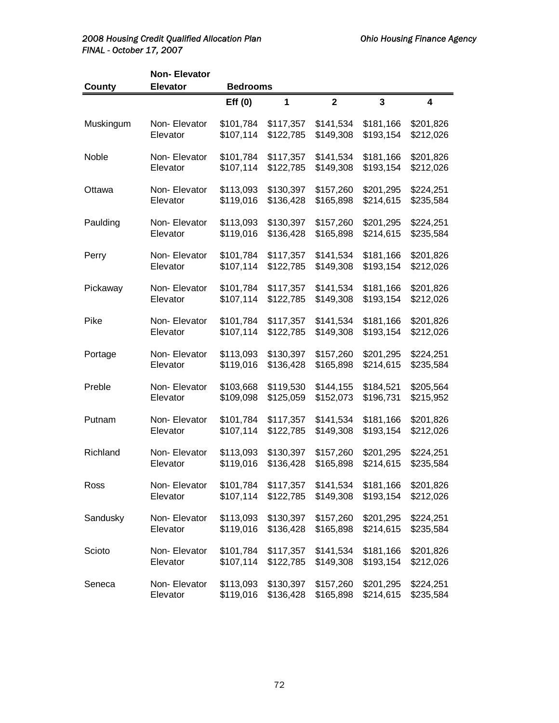### 2008 Housing Credit Qualified Allocation Plan **Canadian Charlotter Charlotter Charlotter** Ohio Housing Finance Agency *FINAL - October 17, 2007*

|               | <b>Non-Elevator</b> |                 |           |              |                         |           |
|---------------|---------------------|-----------------|-----------|--------------|-------------------------|-----------|
| <b>County</b> | <b>Elevator</b>     | <b>Bedrooms</b> |           |              |                         |           |
|               |                     | Eff(0)          | 1         | $\mathbf{2}$ | $\overline{\mathbf{3}}$ | 4         |
| Muskingum     | Non-Elevator        | \$101,784       | \$117,357 | \$141,534    | \$181,166               | \$201,826 |
|               | Elevator            | \$107,114       | \$122,785 | \$149,308    | \$193,154               | \$212,026 |
| Noble         | Non-Elevator        | \$101,784       | \$117,357 | \$141,534    | \$181,166               | \$201,826 |
|               | Elevator            | \$107,114       | \$122,785 | \$149,308    | \$193,154               | \$212,026 |
| Ottawa        | Non-Elevator        | \$113,093       | \$130,397 | \$157,260    | \$201,295               | \$224,251 |
|               | Elevator            | \$119,016       | \$136,428 | \$165,898    | \$214,615               | \$235,584 |
| Paulding      | Non-Elevator        | \$113,093       | \$130,397 | \$157,260    | \$201,295               | \$224,251 |
|               | Elevator            | \$119,016       | \$136,428 | \$165,898    | \$214,615               | \$235,584 |
| Perry         | Non-Elevator        | \$101,784       | \$117,357 | \$141,534    | \$181,166               | \$201,826 |
|               | Elevator            | \$107,114       | \$122,785 | \$149,308    | \$193,154               | \$212,026 |
| Pickaway      | Non-Elevator        | \$101,784       | \$117,357 | \$141,534    | \$181,166               | \$201,826 |
|               | Elevator            | \$107,114       | \$122,785 | \$149,308    | \$193,154               | \$212,026 |
| Pike          | Non-Elevator        | \$101,784       | \$117,357 | \$141,534    | \$181,166               | \$201,826 |
|               | Elevator            | \$107,114       | \$122,785 | \$149,308    | \$193,154               | \$212,026 |
| Portage       | Non-Elevator        | \$113,093       | \$130,397 | \$157,260    | \$201,295               | \$224,251 |
|               | Elevator            | \$119,016       | \$136,428 | \$165,898    | \$214,615               | \$235,584 |
| Preble        | Non-Elevator        | \$103,668       | \$119,530 | \$144,155    | \$184,521               | \$205,564 |
|               | Elevator            | \$109,098       | \$125,059 | \$152,073    | \$196,731               | \$215,952 |
| Putnam        | Non-Elevator        | \$101,784       | \$117,357 | \$141,534    | \$181,166               | \$201,826 |
|               | Elevator            | \$107,114       | \$122,785 | \$149,308    | \$193,154               | \$212,026 |
| Richland      | Non-Elevator        | \$113,093       | \$130,397 | \$157,260    | \$201,295               | \$224,251 |
|               | Elevator            | \$119,016       | \$136,428 | \$165,898    | \$214,615               | \$235,584 |
| Ross          | Non- Elevator       | \$101,784       | \$117,357 | \$141,534    | \$181,166               | \$201,826 |
|               | Elevator            | \$107,114       | \$122,785 | \$149,308    | \$193,154               | \$212,026 |
| Sandusky      | Non- Elevator       | \$113,093       | \$130,397 | \$157,260    | \$201,295               | \$224,251 |
|               | Elevator            | \$119,016       | \$136,428 | \$165,898    | \$214,615               | \$235,584 |
| Scioto        | Non- Elevator       | \$101,784       | \$117,357 | \$141,534    | \$181,166               | \$201,826 |
|               | Elevator            | \$107,114       | \$122,785 | \$149,308    | \$193,154               | \$212,026 |
| Seneca        | Non- Elevator       | \$113,093       | \$130,397 | \$157,260    | \$201,295               | \$224,251 |
|               | Elevator            | \$119,016       | \$136,428 | \$165,898    | \$214,615               | \$235,584 |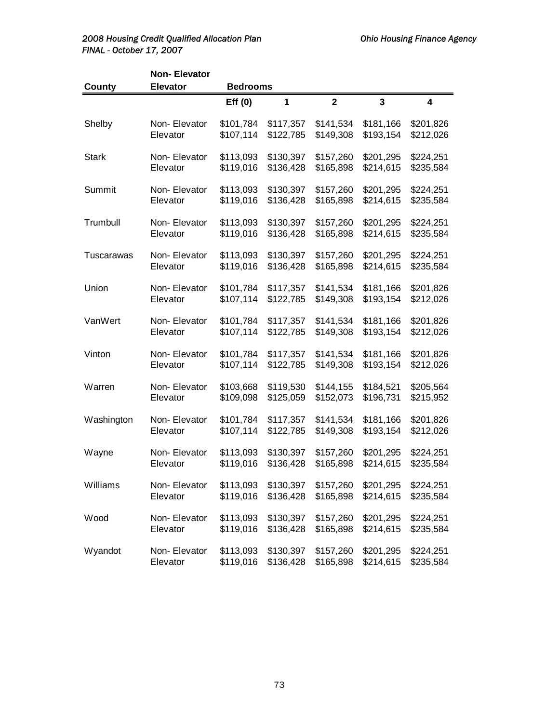### 2008 Housing Credit Qualified Allocation Plan **Canadian Charlotter Charlotter Charlotter** Ohio Housing Finance Agency *FINAL - October 17, 2007*

|              | <b>Non-Elevator</b> |                 |           |                |              |           |
|--------------|---------------------|-----------------|-----------|----------------|--------------|-----------|
| County       | <b>Elevator</b>     | <b>Bedrooms</b> |           |                |              |           |
|              |                     | Eff(0)          | 1         | $\overline{2}$ | $\mathbf{3}$ | 4         |
| Shelby       | Non-Elevator        | \$101,784       | \$117,357 | \$141,534      | \$181,166    | \$201,826 |
|              | Elevator            | \$107,114       | \$122,785 | \$149,308      | \$193,154    | \$212,026 |
| <b>Stark</b> | Non-Elevator        | \$113,093       | \$130,397 | \$157,260      | \$201,295    | \$224,251 |
|              | Elevator            | \$119,016       | \$136,428 | \$165,898      | \$214,615    | \$235,584 |
| Summit       | Non-Elevator        | \$113,093       | \$130,397 | \$157,260      | \$201,295    | \$224,251 |
|              | Elevator            | \$119,016       | \$136,428 | \$165,898      | \$214,615    | \$235,584 |
| Trumbull     | Non-Elevator        | \$113,093       | \$130,397 | \$157,260      | \$201,295    | \$224,251 |
|              | Elevator            | \$119,016       | \$136,428 | \$165,898      | \$214,615    | \$235,584 |
| Tuscarawas   | Non-Elevator        | \$113,093       | \$130,397 | \$157,260      | \$201,295    | \$224,251 |
|              | Elevator            | \$119,016       | \$136,428 | \$165,898      | \$214,615    | \$235,584 |
| Union        | Non-Elevator        | \$101,784       | \$117,357 | \$141,534      | \$181,166    | \$201,826 |
|              | Elevator            | \$107,114       | \$122,785 | \$149,308      | \$193,154    | \$212,026 |
| VanWert      | Non-Elevator        | \$101,784       | \$117,357 | \$141,534      | \$181,166    | \$201,826 |
|              | Elevator            | \$107,114       | \$122,785 | \$149,308      | \$193,154    | \$212,026 |
| Vinton       | Non-Elevator        | \$101,784       | \$117,357 | \$141,534      | \$181,166    | \$201,826 |
|              | Elevator            | \$107,114       | \$122,785 | \$149,308      | \$193,154    | \$212,026 |
| Warren       | Non-Elevator        | \$103,668       | \$119,530 | \$144,155      | \$184,521    | \$205,564 |
|              | Elevator            | \$109,098       | \$125,059 | \$152,073      | \$196,731    | \$215,952 |
| Washington   | Non-Elevator        | \$101,784       | \$117,357 | \$141,534      | \$181,166    | \$201,826 |
|              | Elevator            | \$107,114       | \$122,785 | \$149,308      | \$193,154    | \$212,026 |
| Wayne        | Non-Elevator        | \$113,093       | \$130,397 | \$157,260      | \$201,295    | \$224,251 |
|              | Elevator            | \$119,016       | \$136,428 | \$165,898      | \$214,615    | \$235,584 |
| Williams     | Non-Elevator        | \$113,093       | \$130,397 | \$157,260      | \$201,295    | \$224,251 |
|              | Elevator            | \$119,016       | \$136,428 | \$165,898      | \$214,615    | \$235,584 |
| Wood         | Non-Elevator        | \$113,093       | \$130,397 | \$157,260      | \$201,295    | \$224,251 |
|              | Elevator            | \$119,016       | \$136,428 | \$165,898      | \$214,615    | \$235,584 |
| Wyandot      | Non- Elevator       | \$113,093       | \$130,397 | \$157,260      | \$201,295    | \$224,251 |
|              | Elevator            | \$119,016       | \$136,428 | \$165,898      | \$214,615    | \$235,584 |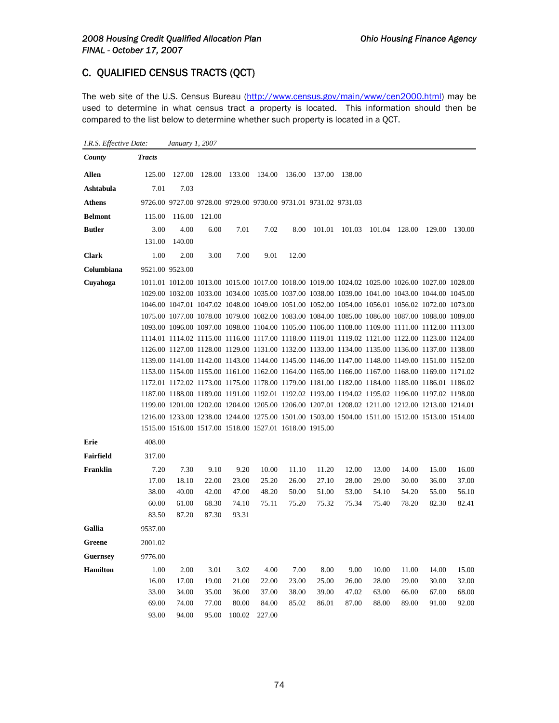# C. QUALIFIED CENSUS TRACTS (QCT)

*I.R.S. Effective Date: January 1, 2007*

The web site of the U.S. Census Bureau (http://www.census.gov/main/www/cen2000.html) may be used to determine in what census tract a property is located. This information should then be compared to the list below to determine whether such property is located in a QCT.

| County           | <b>Tracts</b> |                 |                                                                 |        |        |        |        |        |        |        |                                                                                                 |        |
|------------------|---------------|-----------------|-----------------------------------------------------------------|--------|--------|--------|--------|--------|--------|--------|-------------------------------------------------------------------------------------------------|--------|
| Allen            | 125.00        | 127.00          | 128.00                                                          | 133.00 | 134.00 | 136.00 | 137.00 | 138.00 |        |        |                                                                                                 |        |
| Ashtabula        | 7.01          | 7.03            |                                                                 |        |        |        |        |        |        |        |                                                                                                 |        |
| <b>Athens</b>    |               |                 | 9726.00 9727.00 9728.00 9729.00 9730.00 9731.01 9731.02 9731.03 |        |        |        |        |        |        |        |                                                                                                 |        |
| <b>Belmont</b>   | 115.00        | 116.00          | 121.00                                                          |        |        |        |        |        |        |        |                                                                                                 |        |
| <b>Butler</b>    | 3.00          | 4.00            | 6.00                                                            | 7.01   | 7.02   | 8.00   | 101.01 | 101.03 | 101.04 | 128.00 | 129.00                                                                                          | 130.00 |
|                  | 131.00        | 140.00          |                                                                 |        |        |        |        |        |        |        |                                                                                                 |        |
| <b>Clark</b>     | 1.00          | 2.00            | 3.00                                                            | 7.00   | 9.01   | 12.00  |        |        |        |        |                                                                                                 |        |
| Columbiana       |               | 9521.00 9523.00 |                                                                 |        |        |        |        |        |        |        |                                                                                                 |        |
| Cuyahoga         |               |                 |                                                                 |        |        |        |        |        |        |        | 1011.01 1012.00 1013.00 1015.00 1017.00 1018.00 1019.00 1024.02 1025.00 1026.00 1027.00 1028.00 |        |
|                  |               |                 |                                                                 |        |        |        |        |        |        |        | 1029.00 1032.00 1033.00 1034.00 1035.00 1037.00 1038.00 1039.00 1041.00 1043.00 1044.00 1045.00 |        |
|                  |               |                 |                                                                 |        |        |        |        |        |        |        | 1046.00 1047.01 1047.02 1048.00 1049.00 1051.00 1052.00 1054.00 1056.01 1056.02 1072.00 1073.00 |        |
|                  |               |                 |                                                                 |        |        |        |        |        |        |        | 1075.00 1077.00 1078.00 1079.00 1082.00 1083.00 1084.00 1085.00 1086.00 1087.00 1088.00 1089.00 |        |
|                  |               |                 |                                                                 |        |        |        |        |        |        |        | 1093.00 1096.00 1097.00 1098.00 1104.00 1105.00 1106.00 1108.00 1109.00 1111.00 1112.00 1113.00 |        |
|                  |               |                 |                                                                 |        |        |        |        |        |        |        | 1114.01 1114.02 1115.00 1116.00 1117.00 1118.00 1119.01 1119.02 1121.00 1122.00 1123.00 1124.00 |        |
|                  |               |                 |                                                                 |        |        |        |        |        |        |        | 1126.00 1127.00 1128.00 1129.00 1131.00 1132.00 1133.00 1134.00 1135.00 1136.00 1137.00 1138.00 |        |
|                  |               |                 |                                                                 |        |        |        |        |        |        |        | 1139.00 1141.00 1142.00 1143.00 1144.00 1145.00 1146.00 1147.00 1148.00 1149.00 1151.00 1152.00 |        |
|                  |               |                 |                                                                 |        |        |        |        |        |        |        | 1153.00 1154.00 1155.00 1161.00 1162.00 1164.00 1165.00 1166.00 1167.00 1168.00 1169.00 1171.02 |        |
|                  |               |                 |                                                                 |        |        |        |        |        |        |        | 1172.01 1172.02 1173.00 1175.00 1178.00 1179.00 1181.00 1182.00 1184.00 1185.00 1186.01 1186.02 |        |
|                  |               |                 |                                                                 |        |        |        |        |        |        |        | 1187.00 1188.00 1189.00 1191.00 1192.01 1192.02 1193.00 1194.02 1195.02 1196.00 1197.02 1198.00 |        |
|                  |               |                 |                                                                 |        |        |        |        |        |        |        | 1199.00 1201.00 1202.00 1204.00 1205.00 1206.00 1207.01 1208.02 1211.00 1212.00 1213.00 1214.01 |        |
|                  |               |                 |                                                                 |        |        |        |        |        |        |        | 1216.00 1233.00 1238.00 1244.00 1275.00 1501.00 1503.00 1504.00 1511.00 1512.00 1513.00 1514.00 |        |
|                  |               |                 | 1515.00 1516.00 1517.00 1518.00 1527.01 1618.00 1915.00         |        |        |        |        |        |        |        |                                                                                                 |        |
| Erie             | 408.00        |                 |                                                                 |        |        |        |        |        |        |        |                                                                                                 |        |
| <b>Fairfield</b> | 317.00        |                 |                                                                 |        |        |        |        |        |        |        |                                                                                                 |        |
| Franklin         | 7.20          | 7.30            | 9.10                                                            | 9.20   | 10.00  | 11.10  | 11.20  | 12.00  | 13.00  | 14.00  | 15.00                                                                                           | 16.00  |
|                  | 17.00         | 18.10           | 22.00                                                           | 23.00  | 25.20  | 26.00  | 27.10  | 28.00  | 29.00  | 30.00  | 36.00                                                                                           | 37.00  |
|                  | 38.00         | 40.00           | 42.00                                                           | 47.00  | 48.20  | 50.00  | 51.00  | 53.00  | 54.10  | 54.20  | 55.00                                                                                           | 56.10  |
|                  | 60.00         | 61.00           | 68.30                                                           | 74.10  | 75.11  | 75.20  | 75.32  | 75.34  | 75.40  | 78.20  | 82.30                                                                                           | 82.41  |
|                  | 83.50         | 87.20           | 87.30                                                           | 93.31  |        |        |        |        |        |        |                                                                                                 |        |
| Gallia           | 9537.00       |                 |                                                                 |        |        |        |        |        |        |        |                                                                                                 |        |
| Greene           | 2001.02       |                 |                                                                 |        |        |        |        |        |        |        |                                                                                                 |        |
| <b>Guernsey</b>  | 9776.00       |                 |                                                                 |        |        |        |        |        |        |        |                                                                                                 |        |
| <b>Hamilton</b>  | 1.00          | 2.00            | 3.01                                                            | 3.02   | 4.00   | 7.00   | 8.00   | 9.00   | 10.00  | 11.00  | 14.00                                                                                           | 15.00  |
|                  | 16.00         | 17.00           | 19.00                                                           | 21.00  | 22.00  | 23.00  | 25.00  | 26.00  | 28.00  | 29.00  | 30.00                                                                                           | 32.00  |
|                  | 33.00         | 34.00           | 35.00                                                           | 36.00  | 37.00  | 38.00  | 39.00  | 47.02  | 63.00  | 66.00  | 67.00                                                                                           | 68.00  |
|                  | 69.00         | 74.00           | 77.00                                                           | 80.00  | 84.00  | 85.02  | 86.01  | 87.00  | 88.00  | 89.00  | 91.00                                                                                           | 92.00  |
|                  | 93.00         | 94.00           | 95.00                                                           | 100.02 | 227.00 |        |        |        |        |        |                                                                                                 |        |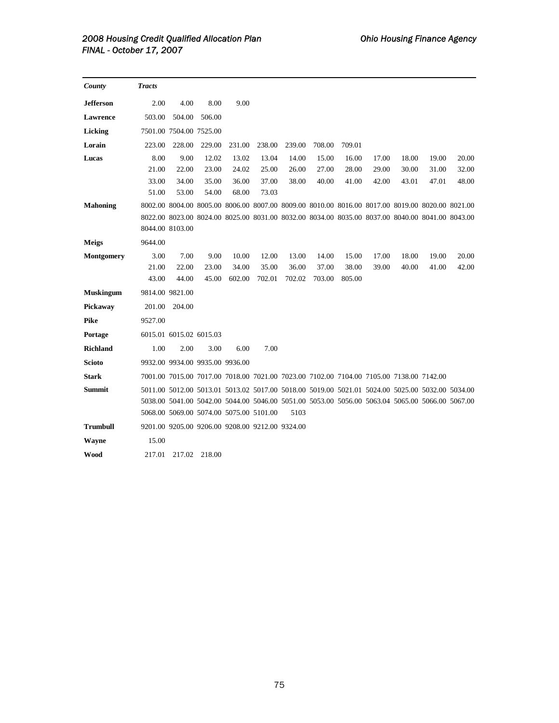| County            | <b>Tracts</b>   |                         |                                                 |        |        |        |        |                                                                                         |       |       |                                                                                                 |       |
|-------------------|-----------------|-------------------------|-------------------------------------------------|--------|--------|--------|--------|-----------------------------------------------------------------------------------------|-------|-------|-------------------------------------------------------------------------------------------------|-------|
| <b>Jefferson</b>  | 2.00            | 4.00                    | 8.00                                            | 9.00   |        |        |        |                                                                                         |       |       |                                                                                                 |       |
| Lawrence          | 503.00          | 504.00                  | 506.00                                          |        |        |        |        |                                                                                         |       |       |                                                                                                 |       |
| Licking           |                 | 7501.00 7504.00 7525.00 |                                                 |        |        |        |        |                                                                                         |       |       |                                                                                                 |       |
| Lorain            | 223.00          | 228.00                  | 229.00                                          | 231.00 | 238.00 | 239.00 | 708.00 | 709.01                                                                                  |       |       |                                                                                                 |       |
| Lucas             | 8.00            | 9.00                    | 12.02                                           | 13.02  | 13.04  | 14.00  | 15.00  | 16.00                                                                                   | 17.00 | 18.00 | 19.00                                                                                           | 20.00 |
|                   | 21.00           | 22.00                   | 23.00                                           | 24.02  | 25.00  | 26.00  | 27.00  | 28.00                                                                                   | 29.00 | 30.00 | 31.00                                                                                           | 32.00 |
|                   | 33.00           | 34.00                   | 35.00                                           | 36.00  | 37.00  | 38.00  | 40.00  | 41.00                                                                                   | 42.00 | 43.01 | 47.01                                                                                           | 48.00 |
|                   | 51.00           | 53.00                   | 54.00                                           | 68.00  | 73.03  |        |        |                                                                                         |       |       |                                                                                                 |       |
| <b>Mahoning</b>   |                 |                         |                                                 |        |        |        |        |                                                                                         |       |       | 8002.00 8004.00 8005.00 8006.00 8007.00 8009.00 8010.00 8016.00 8017.00 8019.00 8020.00 8021.00 |       |
|                   |                 |                         |                                                 |        |        |        |        |                                                                                         |       |       | 8022.00 8023.00 8024.00 8025.00 8031.00 8032.00 8034.00 8035.00 8037.00 8040.00 8041.00 8043.00 |       |
|                   |                 | 8044.00 8103.00         |                                                 |        |        |        |        |                                                                                         |       |       |                                                                                                 |       |
| <b>Meigs</b>      | 9644.00         |                         |                                                 |        |        |        |        |                                                                                         |       |       |                                                                                                 |       |
| <b>Montgomery</b> | 3.00            | 7.00                    | 9.00                                            | 10.00  | 12.00  | 13.00  | 14.00  | 15.00                                                                                   | 17.00 | 18.00 | 19.00                                                                                           | 20.00 |
|                   | 21.00           | 22.00                   | 23.00                                           | 34.00  | 35.00  | 36.00  | 37.00  | 38.00                                                                                   | 39.00 | 40.00 | 41.00                                                                                           | 42.00 |
|                   | 43.00           | 44.00                   | 45.00                                           | 602.00 | 702.01 | 702.02 | 703.00 | 805.00                                                                                  |       |       |                                                                                                 |       |
| <b>Muskingum</b>  | 9814.00 9821.00 |                         |                                                 |        |        |        |        |                                                                                         |       |       |                                                                                                 |       |
| Pickaway          | 201.00          | 204.00                  |                                                 |        |        |        |        |                                                                                         |       |       |                                                                                                 |       |
| <b>Pike</b>       | 9527.00         |                         |                                                 |        |        |        |        |                                                                                         |       |       |                                                                                                 |       |
| Portage           |                 | 6015.01 6015.02 6015.03 |                                                 |        |        |        |        |                                                                                         |       |       |                                                                                                 |       |
| <b>Richland</b>   | 1.00            | 2.00                    | 3.00                                            | 6.00   | 7.00   |        |        |                                                                                         |       |       |                                                                                                 |       |
| <b>Scioto</b>     |                 |                         | 9932.00 9934.00 9935.00 9936.00                 |        |        |        |        |                                                                                         |       |       |                                                                                                 |       |
| <b>Stark</b>      |                 |                         |                                                 |        |        |        |        | 7001.00 7015.00 7017.00 7018.00 7021.00 7023.00 7102.00 7104.00 7105.00 7138.00 7142.00 |       |       |                                                                                                 |       |
| Summit            |                 |                         |                                                 |        |        |        |        |                                                                                         |       |       | 5011.00 5012.00 5013.01 5013.02 5017.00 5018.00 5019.00 5021.01 5024.00 5025.00 5032.00 5034.00 |       |
|                   |                 |                         |                                                 |        |        |        |        |                                                                                         |       |       | 5038.00 5041.00 5042.00 5044.00 5046.00 5051.00 5053.00 5056.00 5063.04 5065.00 5066.00 5067.00 |       |
|                   |                 |                         | 5068.00 5069.00 5074.00 5075.00 5101.00         |        |        | 5103   |        |                                                                                         |       |       |                                                                                                 |       |
| <b>Trumbull</b>   |                 |                         | 9201.00 9205.00 9206.00 9208.00 9212.00 9324.00 |        |        |        |        |                                                                                         |       |       |                                                                                                 |       |
| Wayne             | 15.00           |                         |                                                 |        |        |        |        |                                                                                         |       |       |                                                                                                 |       |
| Wood              | 217.01          | 217.02                  | 218.00                                          |        |        |        |        |                                                                                         |       |       |                                                                                                 |       |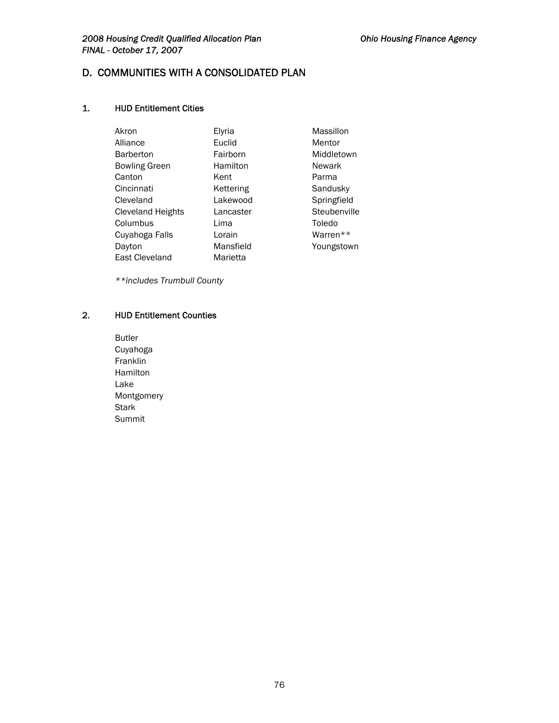### 2008 Housing Credit Qualified Allocation Plan **Canadian Charlotter Charlotter Charlotter** Ohio Housing Finance Agency *FINAL - October 17, 2007*

# D. COMMUNITIES WITH A CONSOLIDATED PLAN

### 1. HUD Entitlement Cities

| Akron                | Elyria    | Massillon    |
|----------------------|-----------|--------------|
| Alliance             | Euclid    | Mentor       |
| <b>Barberton</b>     | Fairborn  | Middletown   |
| <b>Bowling Green</b> | Hamilton  | Newark       |
| Canton               | Kent      | Parma        |
| Cincinnati           | Kettering | Sandusky     |
| Cleveland            | Lakewood  | Springfield  |
| Cleveland Heights    | Lancaster | Steubenville |
| Columbus             | Lima      | Toledo       |
| Cuyahoga Falls       | Lorain    | Warren**     |
| Dayton               | Mansfield | Youngstown   |
| East Cleveland       | Marietta  |              |

*\*\*includes Trumbull County* 

## 2. HUD Entitlement Counties

Butler Cuyahoga Franklin Hamilton Lake Montgomery Stark Summit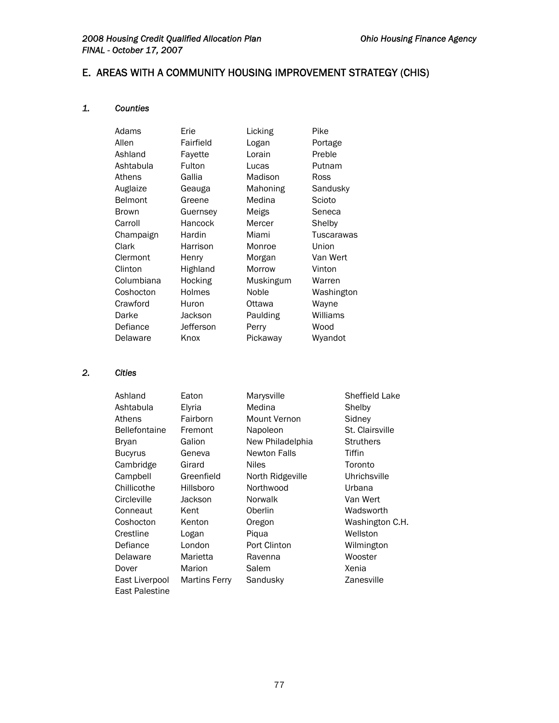# E. AREAS WITH A COMMUNITY HOUSING IMPROVEMENT STRATEGY (CHIS)

### *1. Counties*

| Adams          | Erie      | Licking   | Pike       |
|----------------|-----------|-----------|------------|
| Allen          | Fairfield | Logan     | Portage    |
| Ashland        | Favette   | Lorain    | Preble     |
| Ashtabula      | Fulton    | Lucas     | Putnam     |
| Athens         | Gallia    | Madison   | Ross       |
| Auglaize       | Geauga    | Mahoning  | Sandusky   |
| <b>Belmont</b> | Greene    | Medina    | Scioto     |
| <b>Brown</b>   | Guernsey  | Meigs     | Seneca     |
| Carroll        | Hancock   | Mercer    | Shelby     |
| Champaign      | Hardin    | Miami     | Tuscarawas |
| Clark          | Harrison  | Monroe    | Union      |
| Clermont       | Henry     | Morgan    | Van Wert   |
| Clinton        | Highland  | Morrow    | Vinton     |
| Columbiana     | Hocking   | Muskingum | Warren     |
| Coshocton      | Holmes    | Noble     | Washington |
| Crawford       | Huron     | Ottawa    | Wayne      |
| Darke          | Jackson   | Paulding  | Williams   |
| Defiance       | Jefferson | Perry     | Wood       |
| Delaware       | Knox      | Pickaway  | Wyandot    |

## *2. Cities*

| Ashland              | Eaton         | Marysville          | Sheffield Lake   |
|----------------------|---------------|---------------------|------------------|
| Ashtabula            | Elyria        | Medina              | Shelby           |
| Athens               | Fairborn      | Mount Vernon        | Sidney           |
| <b>Bellefontaine</b> | Fremont       | Napoleon            | St. Clairsville  |
| Bryan                | Galion        | New Philadelphia    | <b>Struthers</b> |
| <b>Bucyrus</b>       | Geneva        | <b>Newton Falls</b> | Tiffin           |
| Cambridge            | Girard        | <b>Niles</b>        | Toronto          |
| Campbell             | Greenfield    | North Ridgeville    | Uhrichsville     |
| Chillicothe          | Hillsboro     | Northwood           | Urbana           |
| Circleville          | Jackson       | Norwalk             | Van Wert         |
| Conneaut             | Kent          | Oberlin             | Wadsworth        |
| Coshocton            | Kenton        | Oregon              | Washington C.H.  |
| Crestline            | Logan         | Piqua               | Wellston         |
| Defiance             | London        | Port Clinton        | Wilmington       |
| Delaware             | Marietta      | Ravenna             | Wooster          |
| Dover                | Marion        | Salem               | Xenia            |
| East Liverpool       | Martins Ferry | Sandusky            | Zanesville       |
| East Palestine       |               |                     |                  |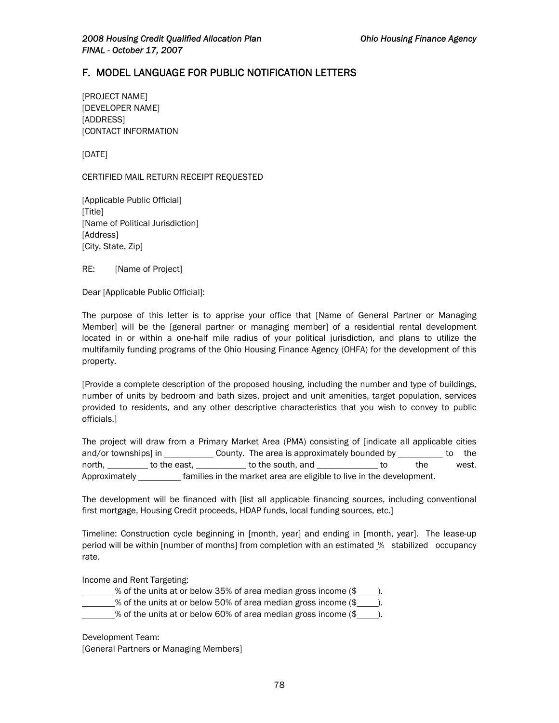# F. MODEL LANGUAGE FOR PUBLIC NOTIFICATION LETTERS

[PROJECT NAME] [DEVELOPER NAME] [ADDRESS] [CONTACT INFORMATION

[DATE]

CERTIFIED MAIL RETURN RECEIPT REQUESTED

[Applicable Public Official] [Title] [Name of Political Jurisdiction] [Address] [City, State, Zip]

RE: [Name of Project]

Dear [Applicable Public Official]:

The purpose of this letter is to apprise your office that [Name of General Partner or Managing Member] will be the [general partner or managing member] of a residential rental development located in or within a one-half mile radius of your political jurisdiction, and plans to utilize the multifamily funding programs of the Ohio Housing Finance Agency (OHFA) for the development of this property.

[Provide a complete description of the proposed housing, including the number and type of buildings, number of units by bedroom and bath sizes, project and unit amenities, target population, services provided to residents, and any other descriptive characteristics that you wish to convey to public officials.]

The project will draw from a Primary Market Area (PMA) consisting of [indicate all applicable cities and/or townships] in County. The area is approximately bounded by to the north, to the east, to the south, and to the west. Approximately **Families in the market area are eligible to live in the development.** 

The development will be financed with [list all applicable financing sources, including conventional first mortgage, Housing Credit proceeds, HDAP funds, local funding sources, etc.]

Timeline: Construction cycle beginning in [month, year] and ending in [month, year]. The lease-up period will be within [number of months] from completion with an estimated % stabilized occupancy rate.

Income and Rent Targeting:

 $\frac{1}{2}$  % of the units at or below 35% of area median gross income  $(\frac{2}{2})$ .  $\frac{1}{2}$  of the units at or below 50% of area median gross income (\$ $\frac{1}{2}$ ).  $\frac{1}{2}$ % of the units at or below 60% of area median gross income (\$

Development Team: [General Partners or Managing Members]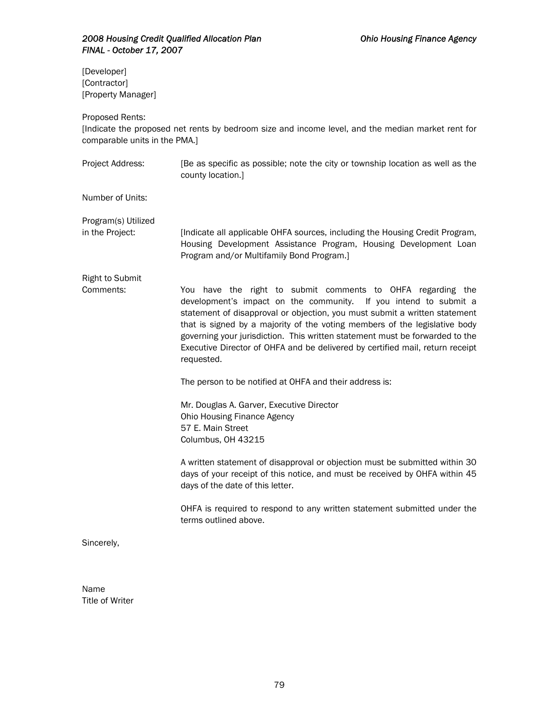[Developer] [Contractor] [Property Manager]

Proposed Rents:

[Indicate the proposed net rents by bedroom size and income level, and the median market rent for comparable units in the PMA.]

Project Address: [Be as specific as possible; note the city or township location as well as the county location.]

Number of Units:

Program(s) Utilized

in the Project: [Indicate all applicable OHFA sources, including the Housing Credit Program, Housing Development Assistance Program, Housing Development Loan Program and/or Multifamily Bond Program.]

Right to Submit

Comments: You have the right to submit comments to OHFA regarding the development's impact on the community. If you intend to submit a statement of disapproval or objection, you must submit a written statement that is signed by a majority of the voting members of the legislative body governing your jurisdiction. This written statement must be forwarded to the Executive Director of OHFA and be delivered by certified mail, return receipt requested.

The person to be notified at OHFA and their address is:

Mr. Douglas A. Garver, Executive Director Ohio Housing Finance Agency 57 E. Main Street Columbus, OH 43215

A written statement of disapproval or objection must be submitted within 30 days of your receipt of this notice, and must be received by OHFA within 45 days of the date of this letter.

OHFA is required to respond to any written statement submitted under the terms outlined above.

Sincerely,

Name Title of Writer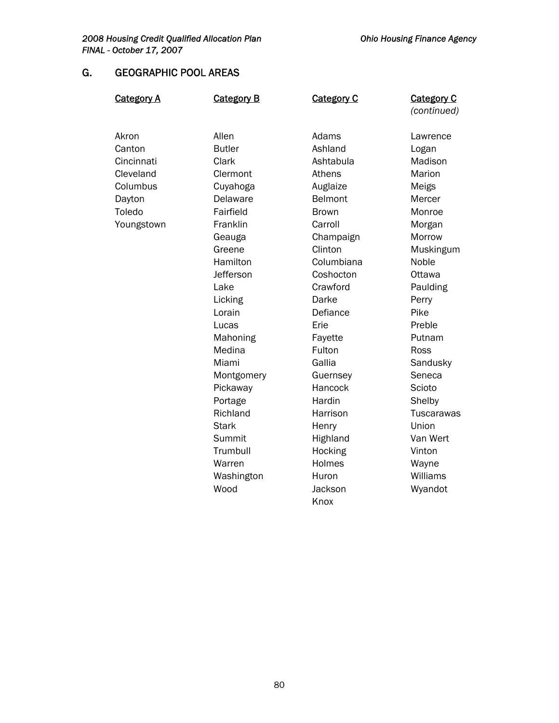# G. GEOGRAPHIC POOL AREAS

| <b>Category A</b> | <b>Category B</b> | <b>Category C</b> | <b>Category C</b><br>(continued) |
|-------------------|-------------------|-------------------|----------------------------------|
| Akron             | Allen             | Adams             | Lawrence                         |
| Canton            | <b>Butler</b>     | Ashland           | Logan                            |
| Cincinnati        | Clark             | Ashtabula         | Madison                          |
| Cleveland         | Clermont          | Athens            | Marion                           |
| Columbus          | Cuyahoga          | Auglaize          | Meigs                            |
| Dayton            | Delaware          | Belmont           | Mercer                           |
| Toledo            | Fairfield         | <b>Brown</b>      | Monroe                           |
| Youngstown        | Franklin          | Carroll           | Morgan                           |
|                   | Geauga            | Champaign         | Morrow                           |
|                   | Greene            | Clinton           | Muskingum                        |
|                   | Hamilton          | Columbiana        | Noble                            |
|                   | Jefferson         | Coshocton         | Ottawa                           |
|                   | Lake              | Crawford          | Paulding                         |
|                   | Licking           | Darke             | Perry                            |
|                   | Lorain            | Defiance          | Pike                             |
|                   | Lucas             | Erie              | Preble                           |
|                   | Mahoning          | Fayette           | Putnam                           |
|                   | Medina            | Fulton            | Ross                             |
|                   | Miami             | Gallia            | Sandusky                         |
|                   | Montgomery        | Guernsey          | Seneca                           |
|                   | Pickaway          | Hancock           | Scioto                           |
|                   | Portage           | Hardin            | Shelby                           |
|                   | Richland          | Harrison          | <b>Tuscarawas</b>                |
|                   | <b>Stark</b>      | Henry             | Union                            |
|                   | Summit            | Highland          | Van Wert                         |
|                   | Trumbull          | Hocking           | Vinton                           |
|                   | Warren            | Holmes            | Wayne                            |
|                   | Washington        | Huron             | Williams                         |
|                   | Wood              | Jackson           | Wyandot                          |
|                   |                   | Knox              |                                  |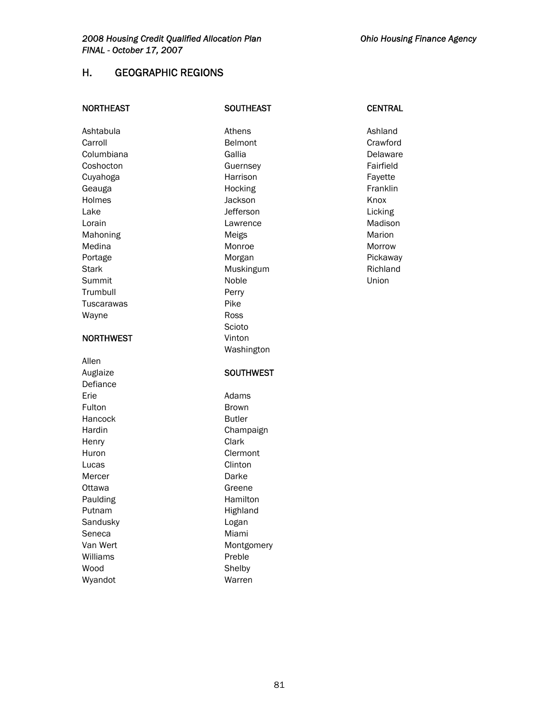# H. GEOGRAPHIC REGIONS

| <b>NORTHEAST</b>  | <b>SOUTHEAST</b> | <b>CENTRAL</b> |
|-------------------|------------------|----------------|
| Ashtabula         | Athens           | Ashland        |
| Carroll           | Belmont          | Crawford       |
| Columbiana        | Gallia           | Delaware       |
| Coshocton         | Guernsey         | Fairfield      |
| Cuyahoga          | Harrison         | Fayette        |
| Geauga            | Hocking          | Franklin       |
| Holmes            | Jackson          | Knox           |
| Lake              | Jefferson        | Licking        |
| Lorain            | Lawrence         | Madison        |
| Mahoning          | Meigs            | Marion         |
| Medina            | Monroe           | Morrow         |
| Portage           | Morgan           | Pickaway       |
| <b>Stark</b>      | Muskingum        | Richland       |
| Summit            | Noble            | Union          |
| Trumbull          | Perry            |                |
| <b>Tuscarawas</b> | Pike             |                |
| Wayne             | <b>Ross</b>      |                |
|                   | Scioto           |                |
| <b>NORTHWEST</b>  | Vinton           |                |
|                   | Washington       |                |
| Allen             |                  |                |
| Auglaize          | <b>SOUTHWEST</b> |                |
| Defiance          |                  |                |
| Erie              | Adams            |                |
| Fulton            | <b>Brown</b>     |                |
| Hancock           | <b>Butler</b>    |                |
| Hardin            | Champaign        |                |
| Henry             | Clark            |                |
| Huron             | Clermont         |                |
| Lucas             | Clinton          |                |
| Mercer            | Darke            |                |
| Ottawa            | Greene           |                |
| Paulding          | Hamilton         |                |
| Putnam            | Highland         |                |
| Sandusky          | Logan            |                |
| Seneca            | Miami            |                |
| Van Wert          | Montgomery       |                |
| Williams          | Preble           |                |
| Wood              | Shelby           |                |
| Wyandot           | Warren           |                |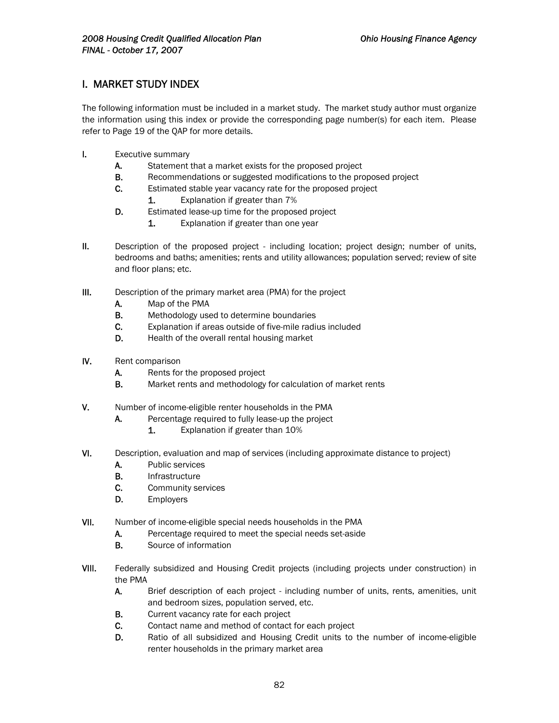# I. MARKET STUDY INDEX

The following information must be included in a market study. The market study author must organize the information using this index or provide the corresponding page number(s) for each item. Please refer to Page 19 of the QAP for more details.

- I. Executive summary
	- A. Statement that a market exists for the proposed project
	- **B.** Recommendations or suggested modifications to the proposed project
	- C. Estimated stable year vacancy rate for the proposed project
		- 1. Explanation if greater than 7%
	- D. Estimated lease-up time for the proposed project
		- 1. Explanation if greater than one year
- II. Description of the proposed project including location; project design; number of units, bedrooms and baths; amenities; rents and utility allowances; population served; review of site and floor plans; etc.
- III. Description of the primary market area (PMA) for the project
	- A. Map of the PMA
	- **B.** Methodology used to determine boundaries
	- C. Explanation if areas outside of five-mile radius included
	- D. Health of the overall rental housing market
- IV. Rent comparison
	- A. Rents for the proposed project
	- **B.** Market rents and methodology for calculation of market rents
- V. Number of income-eligible renter households in the PMA
	- A. Percentage required to fully lease-up the project
		- 1. Explanation if greater than 10%
- VI. Description, evaluation and map of services (including approximate distance to project)
	- A. Public services
	- **B.** Infrastructure
	- C. Community services
	- D. Employers
- VII. Number of income-eligible special needs households in the PMA
	- A. Percentage required to meet the special needs set-aside
	- **B.** Source of information
- VIII. Federally subsidized and Housing Credit projects (including projects under construction) in the PMA
	- A. Brief description of each project including number of units, rents, amenities, unit and bedroom sizes, population served, etc.
	- **B.** Current vacancy rate for each project
	- C. Contact name and method of contact for each project
	- D. Ratio of all subsidized and Housing Credit units to the number of income-eligible renter households in the primary market area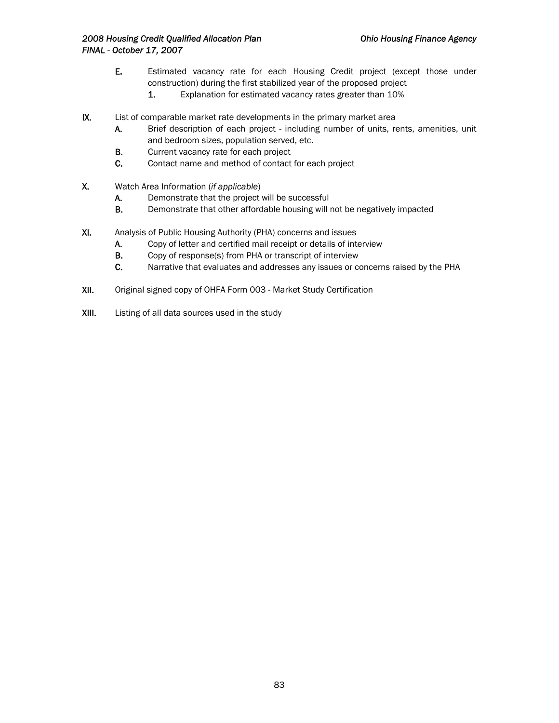- E. Estimated vacancy rate for each Housing Credit project (except those under construction) during the first stabilized year of the proposed project
	- 1. Explanation for estimated vacancy rates greater than 10%
- IX. List of comparable market rate developments in the primary market area
	- A. Brief description of each project including number of units, rents, amenities, unit and bedroom sizes, population served, etc.
	- B. Current vacancy rate for each project
	- C. Contact name and method of contact for each project
- X. Watch Area Information (*if applicable*)
	- A. Demonstrate that the project will be successful
	- B. Demonstrate that other affordable housing will not be negatively impacted
- XI. Analysis of Public Housing Authority (PHA) concerns and issues
	- A. Copy of letter and certified mail receipt or details of interview
	- B. Copy of response(s) from PHA or transcript of interview
	- C. Narrative that evaluates and addresses any issues or concerns raised by the PHA
- XII. Original signed copy of OHFA Form 003 Market Study Certification
- XIII. Listing of all data sources used in the study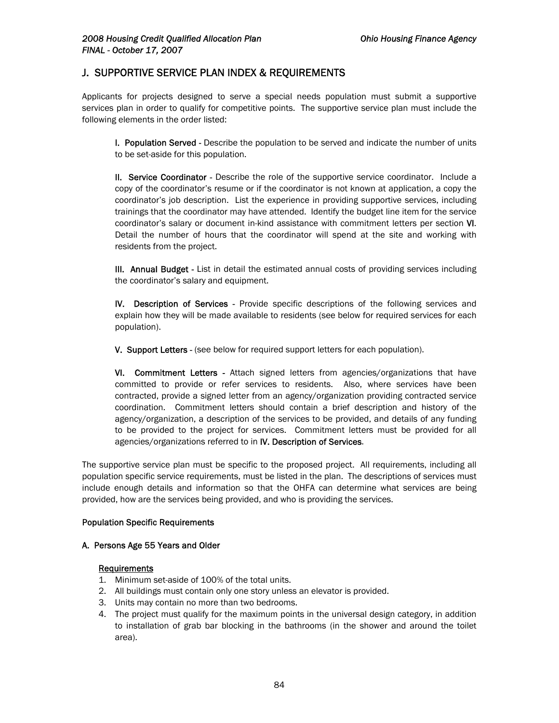## J. SUPPORTIVE SERVICE PLAN INDEX & REQUIREMENTS

Applicants for projects designed to serve a special needs population must submit a supportive services plan in order to qualify for competitive points. The supportive service plan must include the following elements in the order listed:

I. Population Served - Describe the population to be served and indicate the number of units to be set-aside for this population.

II. Service Coordinator - Describe the role of the supportive service coordinator. Include a copy of the coordinator's resume or if the coordinator is not known at application, a copy the coordinator's job description. List the experience in providing supportive services, including trainings that the coordinator may have attended. Identify the budget line item for the service coordinator's salary or document in-kind assistance with commitment letters per section VI. Detail the number of hours that the coordinator will spend at the site and working with residents from the project.

**III. Annual Budget** - List in detail the estimated annual costs of providing services including the coordinator's salary and equipment.

IV. Description of Services - Provide specific descriptions of the following services and explain how they will be made available to residents (see below for required services for each population).

V. Support Letters - (see below for required support letters for each population).

VI. Commitment Letters - Attach signed letters from agencies/organizations that have committed to provide or refer services to residents. Also, where services have been contracted, provide a signed letter from an agency/organization providing contracted service coordination. Commitment letters should contain a brief description and history of the agency/organization, a description of the services to be provided, and details of any funding to be provided to the project for services. Commitment letters must be provided for all agencies/organizations referred to in IV. Description of Services.

The supportive service plan must be specific to the proposed project. All requirements, including all population specific service requirements, must be listed in the plan. The descriptions of services must include enough details and information so that the OHFA can determine what services are being provided, how are the services being provided, and who is providing the services.

#### Population Specific Requirements

#### A. Persons Age 55 Years and Older

#### **Requirements**

- 1. Minimum set-aside of 100% of the total units.
- 2. All buildings must contain only one story unless an elevator is provided.
- 3. Units may contain no more than two bedrooms.
- 4. The project must qualify for the maximum points in the universal design category, in addition to installation of grab bar blocking in the bathrooms (in the shower and around the toilet area).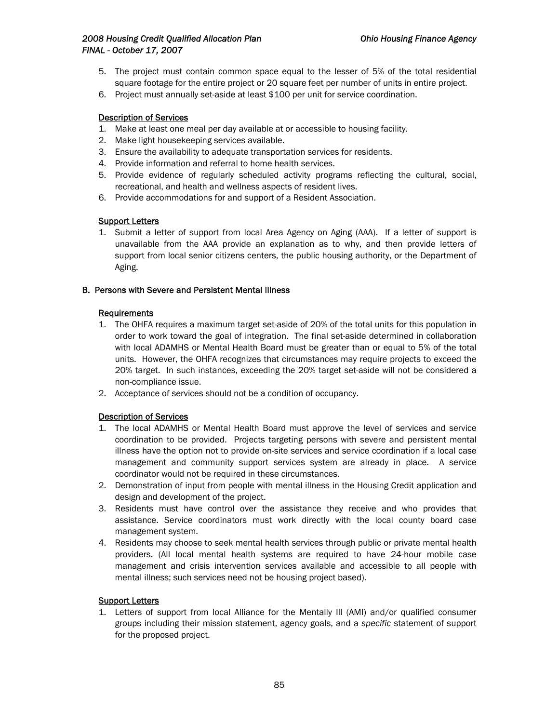- 5. The project must contain common space equal to the lesser of 5% of the total residential square footage for the entire project or 20 square feet per number of units in entire project.
- 6. Project must annually set-aside at least \$100 per unit for service coordination.

#### Description of Services

- 1. Make at least one meal per day available at or accessible to housing facility.
- 2. Make light housekeeping services available.
- 3. Ensure the availability to adequate transportation services for residents.
- 4. Provide information and referral to home health services.
- 5. Provide evidence of regularly scheduled activity programs reflecting the cultural, social, recreational, and health and wellness aspects of resident lives.
- 6. Provide accommodations for and support of a Resident Association.

#### **Support Letters**

1. Submit a letter of support from local Area Agency on Aging (AAA). If a letter of support is unavailable from the AAA provide an explanation as to why, and then provide letters of support from local senior citizens centers, the public housing authority, or the Department of Aging.

#### B. Persons with Severe and Persistent Mental Illness

#### Requirements

- 1. The OHFA requires a maximum target set-aside of 20% of the total units for this population in order to work toward the goal of integration. The final set-aside determined in collaboration with local ADAMHS or Mental Health Board must be greater than or equal to 5% of the total units. However, the OHFA recognizes that circumstances may require projects to exceed the 20% target. In such instances, exceeding the 20% target set-aside will not be considered a non-compliance issue.
- 2. Acceptance of services should not be a condition of occupancy.

### Description of Services

- 1. The local ADAMHS or Mental Health Board must approve the level of services and service coordination to be provided. Projects targeting persons with severe and persistent mental illness have the option not to provide on-site services and service coordination if a local case management and community support services system are already in place. A service coordinator would not be required in these circumstances.
- 2. Demonstration of input from people with mental illness in the Housing Credit application and design and development of the project.
- 3. Residents must have control over the assistance they receive and who provides that assistance. Service coordinators must work directly with the local county board case management system.
- 4. Residents may choose to seek mental health services through public or private mental health providers. (All local mental health systems are required to have 24-hour mobile case management and crisis intervention services available and accessible to all people with mental illness; such services need not be housing project based).

#### Support Letters

1. Letters of support from local Alliance for the Mentally Ill (AMI) and/or qualified consumer groups including their mission statement, agency goals, and a *specific* statement of support for the proposed project.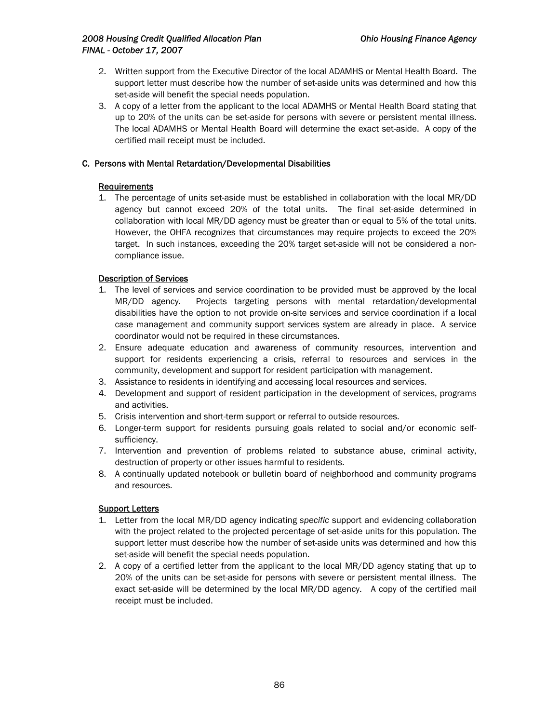- 2. Written support from the Executive Director of the local ADAMHS or Mental Health Board. The support letter must describe how the number of set-aside units was determined and how this set-aside will benefit the special needs population.
- 3. A copy of a letter from the applicant to the local ADAMHS or Mental Health Board stating that up to 20% of the units can be set-aside for persons with severe or persistent mental illness. The local ADAMHS or Mental Health Board will determine the exact set-aside. A copy of the certified mail receipt must be included.

#### C. Persons with Mental Retardation/Developmental Disabilities

#### **Requirements**

1. The percentage of units set-aside must be established in collaboration with the local MR/DD agency but cannot exceed 20% of the total units. The final set-aside determined in collaboration with local MR/DD agency must be greater than or equal to 5% of the total units. However, the OHFA recognizes that circumstances may require projects to exceed the 20% target. In such instances, exceeding the 20% target set-aside will not be considered a noncompliance issue.

### Description of Services

- 1. The level of services and service coordination to be provided must be approved by the local MR/DD agency. Projects targeting persons with mental retardation/developmental disabilities have the option to not provide on-site services and service coordination if a local case management and community support services system are already in place. A service coordinator would not be required in these circumstances.
- 2. Ensure adequate education and awareness of community resources, intervention and support for residents experiencing a crisis, referral to resources and services in the community, development and support for resident participation with management.
- 3. Assistance to residents in identifying and accessing local resources and services.
- 4. Development and support of resident participation in the development of services, programs and activities.
- 5. Crisis intervention and short-term support or referral to outside resources.
- 6. Longer-term support for residents pursuing goals related to social and/or economic selfsufficiency.
- 7. Intervention and prevention of problems related to substance abuse, criminal activity, destruction of property or other issues harmful to residents.
- 8. A continually updated notebook or bulletin board of neighborhood and community programs and resources.

### Support Letters

- 1. Letter from the local MR/DD agency indicating *specific* support and evidencing collaboration with the project related to the projected percentage of set-aside units for this population. The support letter must describe how the number of set-aside units was determined and how this set-aside will benefit the special needs population.
- 2. A copy of a certified letter from the applicant to the local MR/DD agency stating that up to 20% of the units can be set-aside for persons with severe or persistent mental illness. The exact set-aside will be determined by the local MR/DD agency. A copy of the certified mail receipt must be included.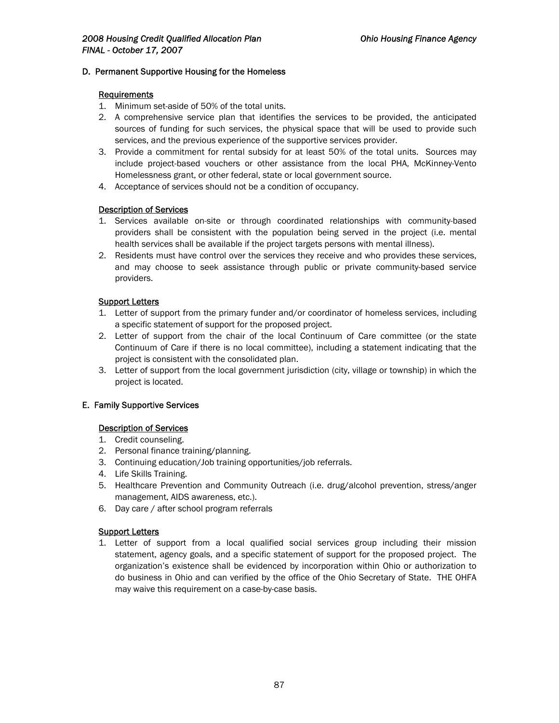#### D. Permanent Supportive Housing for the Homeless

#### Requirements

- 1. Minimum set-aside of 50% of the total units.
- 2. A comprehensive service plan that identifies the services to be provided, the anticipated sources of funding for such services, the physical space that will be used to provide such services, and the previous experience of the supportive services provider.
- 3. Provide a commitment for rental subsidy for at least 50% of the total units. Sources may include project-based vouchers or other assistance from the local PHA, McKinney-Vento Homelessness grant, or other federal, state or local government source.
- 4. Acceptance of services should not be a condition of occupancy.

#### Description of Services

- 1. Services available on-site or through coordinated relationships with community-based providers shall be consistent with the population being served in the project (i.e. mental health services shall be available if the project targets persons with mental illness).
- 2. Residents must have control over the services they receive and who provides these services, and may choose to seek assistance through public or private community-based service providers.

#### **Support Letters**

- 1. Letter of support from the primary funder and/or coordinator of homeless services, including a specific statement of support for the proposed project.
- 2. Letter of support from the chair of the local Continuum of Care committee (or the state Continuum of Care if there is no local committee), including a statement indicating that the project is consistent with the consolidated plan.
- 3. Letter of support from the local government jurisdiction (city, village or township) in which the project is located.

#### E. Family Supportive Services

#### Description of Services

- 1. Credit counseling.
- 2. Personal finance training/planning.
- 3. Continuing education/Job training opportunities/job referrals.
- 4. Life Skills Training.
- 5. Healthcare Prevention and Community Outreach (i.e. drug/alcohol prevention, stress/anger management, AIDS awareness, etc.).
- 6. Day care / after school program referrals

#### **Support Letters**

1. Letter of support from a local qualified social services group including their mission statement, agency goals, and a specific statement of support for the proposed project. The organization's existence shall be evidenced by incorporation within Ohio or authorization to do business in Ohio and can verified by the office of the Ohio Secretary of State. THE OHFA may waive this requirement on a case-by-case basis.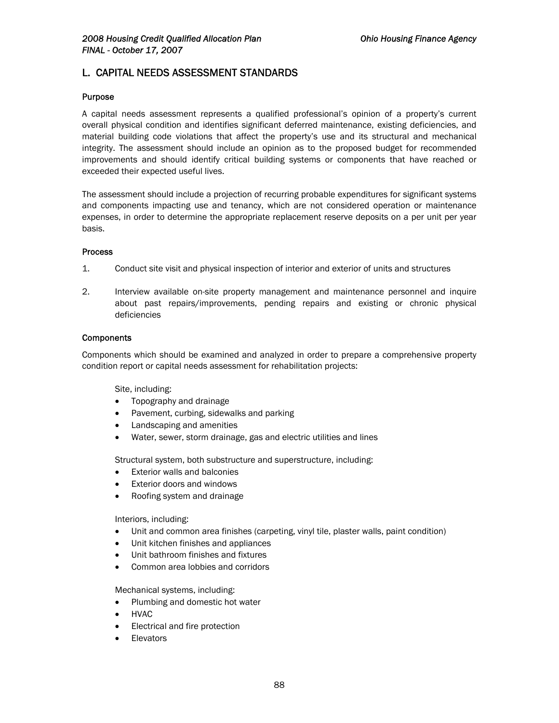## L. CAPITAL NEEDS ASSESSMENT STANDARDS

#### Purpose

A capital needs assessment represents a qualified professional's opinion of a property's current overall physical condition and identifies significant deferred maintenance, existing deficiencies, and material building code violations that affect the property's use and its structural and mechanical integrity. The assessment should include an opinion as to the proposed budget for recommended improvements and should identify critical building systems or components that have reached or exceeded their expected useful lives.

The assessment should include a projection of recurring probable expenditures for significant systems and components impacting use and tenancy, which are not considered operation or maintenance expenses, in order to determine the appropriate replacement reserve deposits on a per unit per year basis.

#### Process

- 1. Conduct site visit and physical inspection of interior and exterior of units and structures
- 2. Interview available on-site property management and maintenance personnel and inquire about past repairs/improvements, pending repairs and existing or chronic physical deficiencies

#### **Components**

Components which should be examined and analyzed in order to prepare a comprehensive property condition report or capital needs assessment for rehabilitation projects:

Site, including:

- Topography and drainage
- Pavement, curbing, sidewalks and parking
- Landscaping and amenities
- Water, sewer, storm drainage, gas and electric utilities and lines

Structural system, both substructure and superstructure, including:

- Exterior walls and balconies
- **Exterior doors and windows**
- Roofing system and drainage

Interiors, including:

- Unit and common area finishes (carpeting, vinyl tile, plaster walls, paint condition)
- Unit kitchen finishes and appliances
- Unit bathroom finishes and fixtures
- Common area lobbies and corridors

Mechanical systems, including:

- Plumbing and domestic hot water
- HVAC
- Electrical and fire protection
- **Elevators**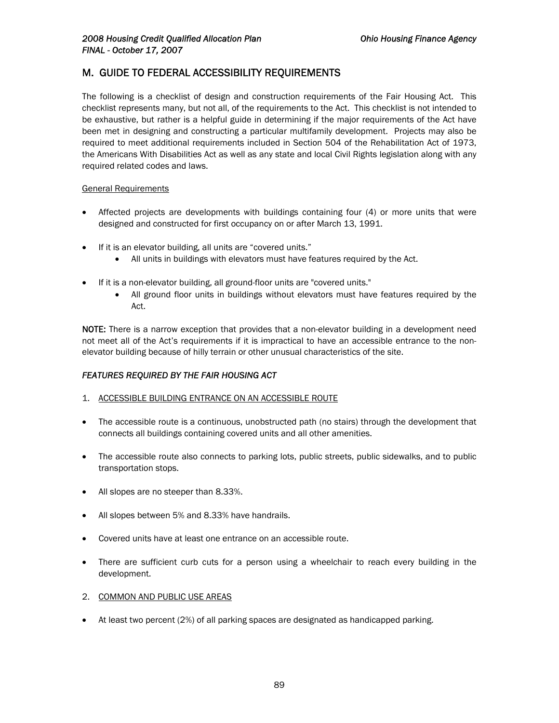# M. GUIDE TO FEDERAL ACCESSIBILITY REQUIREMENTS

The following is a checklist of design and construction requirements of the Fair Housing Act. This checklist represents many, but not all, of the requirements to the Act. This checklist is not intended to be exhaustive, but rather is a helpful guide in determining if the major requirements of the Act have been met in designing and constructing a particular multifamily development. Projects may also be required to meet additional requirements included in Section 504 of the Rehabilitation Act of 1973, the Americans With Disabilities Act as well as any state and local Civil Rights legislation along with any required related codes and laws.

#### General Requirements

- Affected projects are developments with buildings containing four (4) or more units that were designed and constructed for first occupancy on or after March 13, 1991.
- If it is an elevator building, all units are "covered units."
	- All units in buildings with elevators must have features required by the Act.
- If it is a non-elevator building, all ground-floor units are "covered units."
	- All ground floor units in buildings without elevators must have features required by the Act.

NOTE: There is a narrow exception that provides that a non-elevator building in a development need not meet all of the Act's requirements if it is impractical to have an accessible entrance to the nonelevator building because of hilly terrain or other unusual characteristics of the site.

#### *FEATURES REQUIRED BY THE FAIR HOUSING ACT*

- 1. ACCESSIBLE BUILDING ENTRANCE ON AN ACCESSIBLE ROUTE
- The accessible route is a continuous, unobstructed path (no stairs) through the development that connects all buildings containing covered units and all other amenities.
- The accessible route also connects to parking lots, public streets, public sidewalks, and to public transportation stops.
- All slopes are no steeper than 8.33%.
- All slopes between 5% and 8.33% have handrails.
- Covered units have at least one entrance on an accessible route.
- There are sufficient curb cuts for a person using a wheelchair to reach every building in the development.
- 2. COMMON AND PUBLIC USE AREAS
- At least two percent (2%) of all parking spaces are designated as handicapped parking.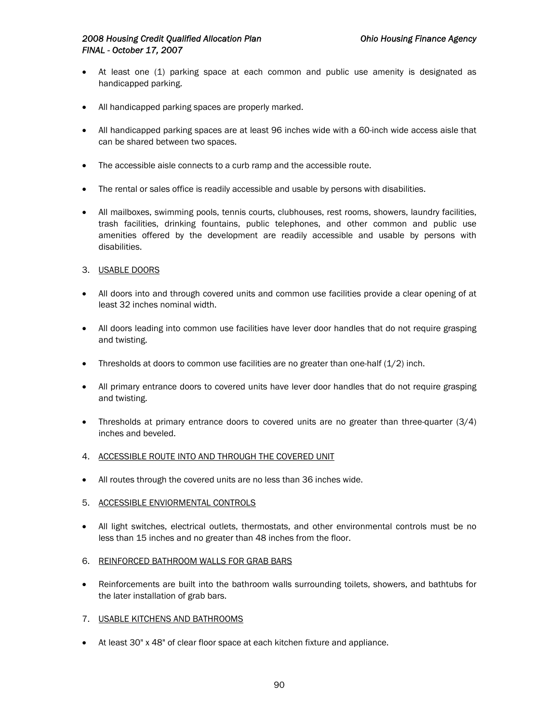- At least one (1) parking space at each common and public use amenity is designated as handicapped parking.
- All handicapped parking spaces are properly marked.
- All handicapped parking spaces are at least 96 inches wide with a 60-inch wide access aisle that can be shared between two spaces.
- The accessible aisle connects to a curb ramp and the accessible route.
- The rental or sales office is readily accessible and usable by persons with disabilities.
- All mailboxes, swimming pools, tennis courts, clubhouses, rest rooms, showers, laundry facilities, trash facilities, drinking fountains, public telephones, and other common and public use amenities offered by the development are readily accessible and usable by persons with disabilities.
- 3. USABLE DOORS
- All doors into and through covered units and common use facilities provide a clear opening of at least 32 inches nominal width.
- All doors leading into common use facilities have lever door handles that do not require grasping and twisting.
- Thresholds at doors to common use facilities are no greater than one-half  $(1/2)$  inch.
- All primary entrance doors to covered units have lever door handles that do not require grasping and twisting.
- Thresholds at primary entrance doors to covered units are no greater than three-quarter (3/4) inches and beveled.
- 4. ACCESSIBLE ROUTE INTO AND THROUGH THE COVERED UNIT
- All routes through the covered units are no less than 36 inches wide.
- 5. ACCESSIBLE ENVIORMENTAL CONTROLS
- All light switches, electrical outlets, thermostats, and other environmental controls must be no less than 15 inches and no greater than 48 inches from the floor.
- 6. REINFORCED BATHROOM WALLS FOR GRAB BARS
- Reinforcements are built into the bathroom walls surrounding toilets, showers, and bathtubs for the later installation of grab bars.
- 7. USABLE KITCHENS AND BATHROOMS
- At least 30" x 48" of clear floor space at each kitchen fixture and appliance.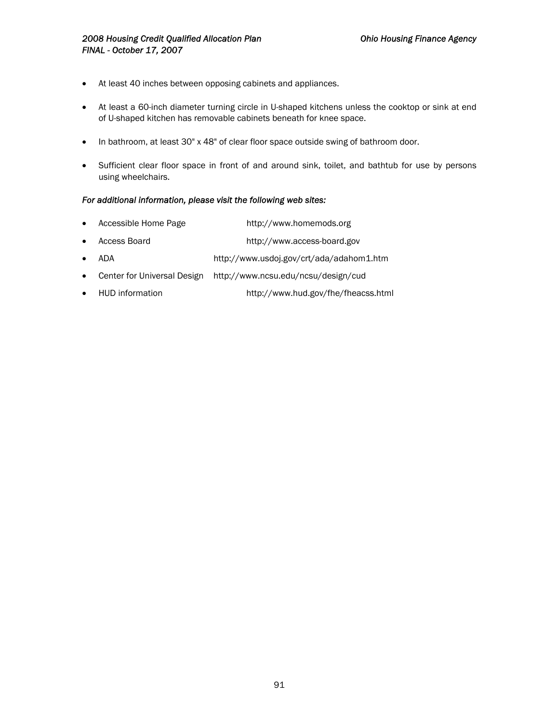- At least 40 inches between opposing cabinets and appliances.
- At least a 60-inch diameter turning circle in U-shaped kitchens unless the cooktop or sink at end of U-shaped kitchen has removable cabinets beneath for knee space.
- In bathroom, at least 30" x 48" of clear floor space outside swing of bathroom door.
- Sufficient clear floor space in front of and around sink, toilet, and bathtub for use by persons using wheelchairs.

#### *For additional information, please visit the following web sites:*

- Accessible Home Page http://www.homemods.org
- Access Board http://www.access-board.gov
- ADA http://www.usdoj.gov/crt/ada/adahom1.htm
- Center for Universal Design http://www.ncsu.edu/ncsu/design/cud
- HUD information http://www.hud.gov/fhe/fheacss.html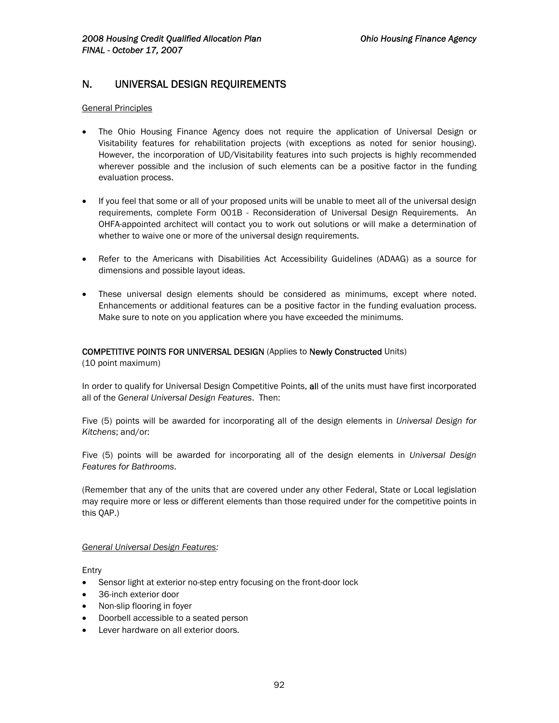## N. UNIVERSAL DESIGN REQUIREMENTS

#### General Principles

- The Ohio Housing Finance Agency does not require the application of Universal Design or Visitability features for rehabilitation projects (with exceptions as noted for senior housing). However, the incorporation of UD/Visitability features into such projects is highly recommended wherever possible and the inclusion of such elements can be a positive factor in the funding evaluation process.
- If you feel that some or all of your proposed units will be unable to meet all of the universal design requirements, complete Form 001B - Reconsideration of Universal Design Requirements. An OHFA-appointed architect will contact you to work out solutions or will make a determination of whether to waive one or more of the universal design requirements.
- Refer to the Americans with Disabilities Act Accessibility Guidelines (ADAAG) as a source for dimensions and possible layout ideas.
- These universal design elements should be considered as minimums, except where noted. Enhancements or additional features can be a positive factor in the funding evaluation process. Make sure to note on you application where you have exceeded the minimums.

### COMPETITIVE POINTS FOR UNIVERSAL DESIGN (Applies to Newly Constructed Units)

(10 point maximum)

In order to qualify for Universal Design Competitive Points, all of the units must have first incorporated all of the *General Universal Design Features*. Then:

Five (5) points will be awarded for incorporating all of the design elements in *Universal Design for Kitchens*; and/or:

Five (5) points will be awarded for incorporating all of the design elements in *Universal Design Features for Bathrooms*.

(Remember that any of the units that are covered under any other Federal, State or Local legislation may require more or less or different elements than those required under for the competitive points in this QAP.)

#### *General Universal Design Features:*

Entry

- Sensor light at exterior no-step entry focusing on the front-door lock
- 36-inch exterior door
- Non-slip flooring in foyer
- Doorbell accessible to a seated person
- Lever hardware on all exterior doors.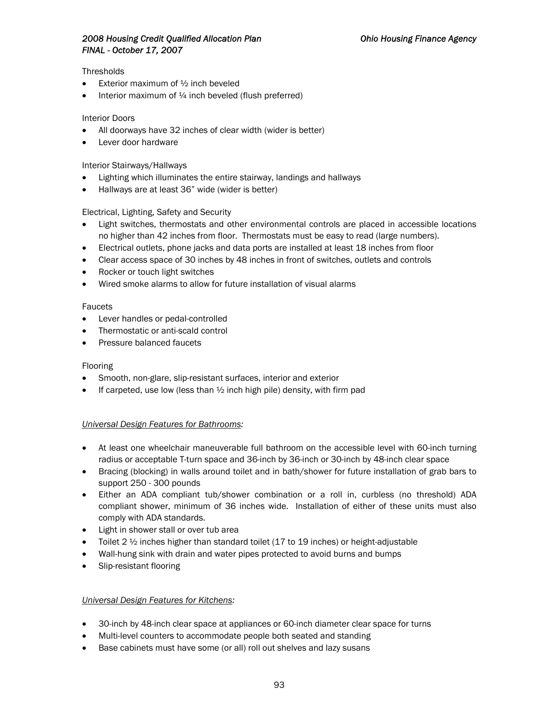### *2008 Housing Credit Qualified Allocation Plan Ohio Housing Finance Agency FINAL - October 17, 2007*

#### **Thresholds**

- Exterior maximum of  $\frac{1}{2}$  inch beveled
- Interior maximum of  $\frac{1}{4}$  inch beveled (flush preferred)

#### Interior Doors

- All doorways have 32 inches of clear width (wider is better)
- Lever door hardware

#### Interior Stairways/Hallways

- Lighting which illuminates the entire stairway, landings and hallways
- Hallways are at least 36" wide (wider is better)

#### Electrical, Lighting, Safety and Security

- Light switches, thermostats and other environmental controls are placed in accessible locations no higher than 42 inches from floor. Thermostats must be easy to read (large numbers).
- Electrical outlets, phone jacks and data ports are installed at least 18 inches from floor
- Clear access space of 30 inches by 48 inches in front of switches, outlets and controls
- Rocker or touch light switches
- Wired smoke alarms to allow for future installation of visual alarms

#### Faucets

- Lever handles or pedal-controlled
- Thermostatic or anti-scald control
- Pressure balanced faucets

#### Flooring

- Smooth, non-glare, slip-resistant surfaces, interior and exterior
- If carpeted, use low (less than  $\frac{1}{2}$  inch high pile) density, with firm pad

### *Universal Design Features for Bathrooms:*

- At least one wheelchair maneuverable full bathroom on the accessible level with 60-inch turning radius or acceptable T-turn space and 36-inch by 36-inch or 30-inch by 48-inch clear space
- Bracing (blocking) in walls around toilet and in bath/shower for future installation of grab bars to support 250 - 300 pounds
- Either an ADA compliant tub/shower combination or a roll in, curbless (no threshold) ADA compliant shower, minimum of 36 inches wide. Installation of either of these units must also comply with ADA standards.
- Light in shower stall or over tub area
- Toilet 2  $\frac{1}{2}$  inches higher than standard toilet (17 to 19 inches) or height-adjustable
- Wall-hung sink with drain and water pipes protected to avoid burns and bumps
- Slip-resistant flooring

#### *Universal Design Features for Kitchens:*

- 30-inch by 48-inch clear space at appliances or 60-inch diameter clear space for turns
- Multi-level counters to accommodate people both seated and standing
- Base cabinets must have some (or all) roll out shelves and lazy susans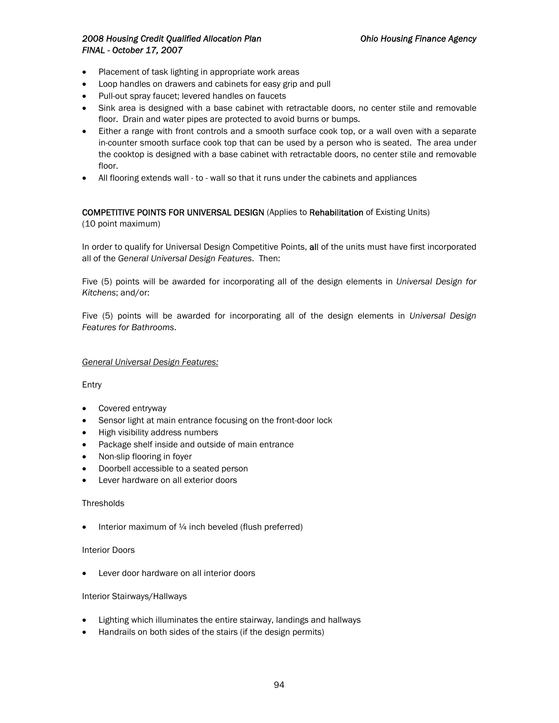### *2008 Housing Credit Qualified Allocation Plan Ohio Housing Finance Agency FINAL - October 17, 2007*

- Placement of task lighting in appropriate work areas
- Loop handles on drawers and cabinets for easy grip and pull
- Pull-out spray faucet; levered handles on faucets
- Sink area is designed with a base cabinet with retractable doors, no center stile and removable floor. Drain and water pipes are protected to avoid burns or bumps.
- Either a range with front controls and a smooth surface cook top, or a wall oven with a separate in-counter smooth surface cook top that can be used by a person who is seated. The area under the cooktop is designed with a base cabinet with retractable doors, no center stile and removable floor.
- All flooring extends wall to wall so that it runs under the cabinets and appliances

#### COMPETITIVE POINTS FOR UNIVERSAL DESIGN (Applies to Rehabilitation of Existing Units)

(10 point maximum)

In order to qualify for Universal Design Competitive Points, all of the units must have first incorporated all of the *General Universal Design Features*. Then:

Five (5) points will be awarded for incorporating all of the design elements in *Universal Design for Kitchens*; and/or:

Five (5) points will be awarded for incorporating all of the design elements in *Universal Design Features for Bathrooms*.

*General Universal Design Features:*

Entry

- Covered entryway
- Sensor light at main entrance focusing on the front-door lock
- High visibility address numbers
- Package shelf inside and outside of main entrance
- Non-slip flooring in foyer
- Doorbell accessible to a seated person
- Lever hardware on all exterior doors

#### **Thresholds**

• Interior maximum of  $\frac{1}{4}$  inch beveled (flush preferred)

#### Interior Doors

• Lever door hardware on all interior doors

#### Interior Stairways/Hallways

- Lighting which illuminates the entire stairway, landings and hallways
- Handrails on both sides of the stairs (if the design permits)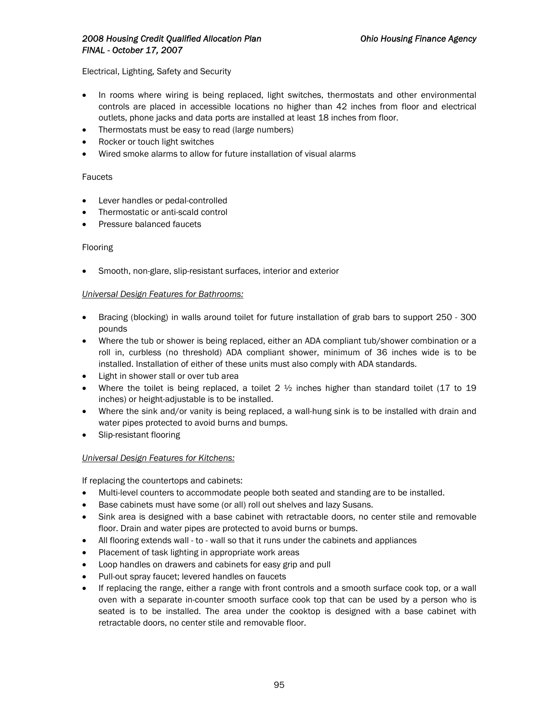### *2008 Housing Credit Qualified Allocation Plan Ohio Housing Finance Agency FINAL - October 17, 2007*

Electrical, Lighting, Safety and Security

- In rooms where wiring is being replaced, light switches, thermostats and other environmental controls are placed in accessible locations no higher than 42 inches from floor and electrical outlets, phone jacks and data ports are installed at least 18 inches from floor.
- Thermostats must be easy to read (large numbers)
- Rocker or touch light switches
- Wired smoke alarms to allow for future installation of visual alarms

#### Faucets

- Lever handles or pedal-controlled
- Thermostatic or anti-scald control
- Pressure balanced faucets

#### Flooring

• Smooth, non-glare, slip-resistant surfaces, interior and exterior

#### *Universal Design Features for Bathrooms:*

- Bracing (blocking) in walls around toilet for future installation of grab bars to support 250 300 pounds
- Where the tub or shower is being replaced, either an ADA compliant tub/shower combination or a roll in, curbless (no threshold) ADA compliant shower, minimum of 36 inches wide is to be installed. Installation of either of these units must also comply with ADA standards.
- Light in shower stall or over tub area
- Where the toilet is being replaced, a toilet  $2 \frac{1}{2}$  inches higher than standard toilet (17 to 19 inches) or height-adjustable is to be installed.
- Where the sink and/or vanity is being replaced, a wall-hung sink is to be installed with drain and water pipes protected to avoid burns and bumps.
- Slip-resistant flooring

#### *Universal Design Features for Kitchens:*

If replacing the countertops and cabinets:

- Multi-level counters to accommodate people both seated and standing are to be installed.
- Base cabinets must have some (or all) roll out shelves and lazy Susans.
- Sink area is designed with a base cabinet with retractable doors, no center stile and removable floor. Drain and water pipes are protected to avoid burns or bumps.
- All flooring extends wall to wall so that it runs under the cabinets and appliances
- Placement of task lighting in appropriate work areas
- Loop handles on drawers and cabinets for easy grip and pull
- Pull-out spray faucet; levered handles on faucets
- If replacing the range, either a range with front controls and a smooth surface cook top, or a wall oven with a separate in-counter smooth surface cook top that can be used by a person who is seated is to be installed. The area under the cooktop is designed with a base cabinet with retractable doors, no center stile and removable floor.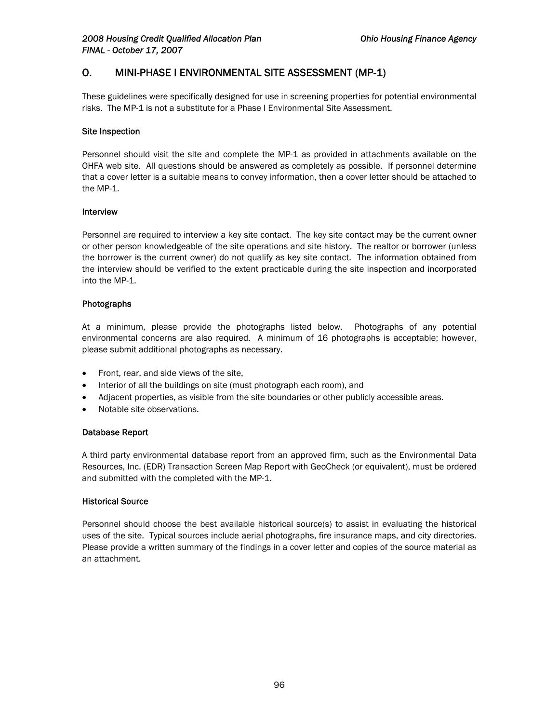# O. MINI-PHASE I ENVIRONMENTAL SITE ASSESSMENT (MP-1)

These guidelines were specifically designed for use in screening properties for potential environmental risks. The MP-1 is not a substitute for a Phase I Environmental Site Assessment.

#### Site Inspection

Personnel should visit the site and complete the MP-1 as provided in attachments available on the OHFA web site. All questions should be answered as completely as possible. If personnel determine that a cover letter is a suitable means to convey information, then a cover letter should be attached to the MP-1.

#### Interview

Personnel are required to interview a key site contact. The key site contact may be the current owner or other person knowledgeable of the site operations and site history. The realtor or borrower (unless the borrower is the current owner) do not qualify as key site contact. The information obtained from the interview should be verified to the extent practicable during the site inspection and incorporated into the MP-1.

#### Photographs

At a minimum, please provide the photographs listed below. Photographs of any potential environmental concerns are also required. A minimum of 16 photographs is acceptable; however, please submit additional photographs as necessary.

- Front, rear, and side views of the site,
- Interior of all the buildings on site (must photograph each room), and
- Adjacent properties, as visible from the site boundaries or other publicly accessible areas.
- Notable site observations.

#### Database Report

A third party environmental database report from an approved firm, such as the Environmental Data Resources, Inc. (EDR) Transaction Screen Map Report with GeoCheck (or equivalent), must be ordered and submitted with the completed with the MP-1.

#### Historical Source

Personnel should choose the best available historical source(s) to assist in evaluating the historical uses of the site. Typical sources include aerial photographs, fire insurance maps, and city directories. Please provide a written summary of the findings in a cover letter and copies of the source material as an attachment.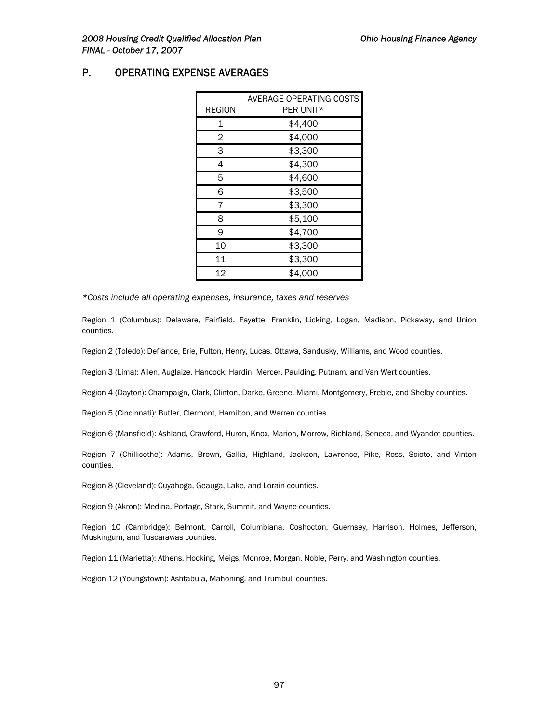## P. OPERATING EXPENSE AVERAGES

|               | AVERAGE OPERATING COSTS |
|---------------|-------------------------|
| <b>REGION</b> | PER UNIT*               |
| 1             | \$4,400                 |
| 2             | \$4,000                 |
| 3             | \$3,300                 |
| 4             | \$4,300                 |
| 5             | \$4,600                 |
| 6             | \$3,500                 |
| 7             | \$3,300                 |
| 8             | \$5,100                 |
| 9             | \$4,700                 |
| 10            | \$3,300                 |
| 11            | \$3,300                 |
| 12            | \$4,000                 |

*\*Costs include all operating expenses, insurance, taxes and reserves* 

Region 1 (Columbus): Delaware, Fairfield, Fayette, Franklin, Licking, Logan, Madison, Pickaway, and Union counties.

Region 2 (Toledo): Defiance, Erie, Fulton, Henry, Lucas, Ottawa, Sandusky, Williams, and Wood counties.

Region 3 (Lima): Allen, Auglaize, Hancock, Hardin, Mercer, Paulding, Putnam, and Van Wert counties.

Region 4 (Dayton): Champaign, Clark, Clinton, Darke, Greene, Miami, Montgomery, Preble, and Shelby counties.

Region 5 (Cincinnati): Butler, Clermont, Hamilton, and Warren counties.

Region 6 (Mansfield): Ashland, Crawford, Huron, Knox, Marion, Morrow, Richland, Seneca, and Wyandot counties.

Region 7 (Chillicothe): Adams, Brown, Gallia, Highland, Jackson, Lawrence, Pike, Ross, Scioto, and Vinton counties.

Region 8 (Cleveland): Cuyahoga, Geauga, Lake, and Lorain counties.

Region 9 (Akron): Medina, Portage, Stark, Summit, and Wayne counties.

Region 10 (Cambridge): Belmont, Carroll, Columbiana, Coshocton, Guernsey, Harrison, Holmes, Jefferson, Muskingum, and Tuscarawas counties.

Region 11 (Marietta): Athens, Hocking, Meigs, Monroe, Morgan, Noble, Perry, and Washington counties.

Region 12 (Youngstown): Ashtabula, Mahoning, and Trumbull counties.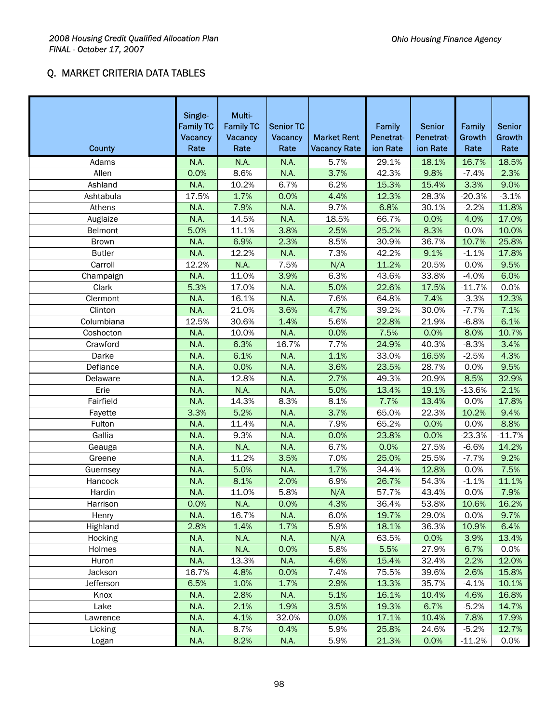# Q. MARKET CRITERIA DATA TABLES

| <b>County</b> | Single-<br><b>Family TC</b><br>Vacancy<br>Rate | Multi-<br><b>Family TC</b><br>Vacancy<br>Rate | <b>Senior TC</b><br>Vacancy<br>Rate | <b>Market Rent</b><br><b>Vacancy Rate</b> | Family<br>Penetrat-<br>ion Rate | Senior<br>Penetrat-<br>ion Rate | Family<br>Growth<br>Rate | <b>Senior</b><br>Growth<br>Rate |
|---------------|------------------------------------------------|-----------------------------------------------|-------------------------------------|-------------------------------------------|---------------------------------|---------------------------------|--------------------------|---------------------------------|
| Adams         | N.A.                                           | <b>N.A.</b>                                   | N.A.                                | 5.7%                                      | 29.1%                           | 18.1%                           | 16.7%                    | 18.5%                           |
| Allen         | 0.0%                                           | 8.6%                                          | N.A.                                | 3.7%                                      | 42.3%                           | 9.8%                            | $-7.4%$                  | 2.3%                            |
| Ashland       | N.A.                                           | 10.2%                                         | 6.7%                                | 6.2%                                      | 15.3%                           | 15.4%                           | 3.3%                     | 9.0%                            |
| Ashtabula     | 17.5%                                          | 1.7%                                          | 0.0%                                | 4.4%                                      | 12.3%                           | 28.3%                           | $-20.3%$                 | $-3.1%$                         |
| Athens        | N.A.                                           | 7.9%                                          | N.A.                                | 9.7%                                      | 6.8%                            | 30.1%                           | $-2.2%$                  | 11.8%                           |
| Auglaize      | N.A.                                           | 14.5%                                         | N.A.                                | 18.5%                                     | 66.7%                           | 0.0%                            | 4.0%                     | 17.0%                           |
| Belmont       | 5.0%                                           | 11.1%                                         | 3.8%                                | 2.5%                                      | 25.2%                           | 8.3%                            | 0.0%                     | 10.0%                           |
| <b>Brown</b>  | N.A.                                           | 6.9%                                          | 2.3%                                | 8.5%                                      | 30.9%                           | 36.7%                           | 10.7%                    | 25.8%                           |
| <b>Butler</b> | N.A.                                           | 12.2%                                         | N.A.                                | 7.3%                                      | 42.2%                           | 9.1%                            | $-1.1%$                  | 17.8%                           |
| Carroll       | 12.2%                                          | <b>N.A.</b>                                   | 7.5%                                | N/A                                       | 11.2%                           | 20.5%                           | 0.0%                     | 9.5%                            |
| Champaign     | N.A.                                           | 11.0%                                         | 3.9%                                | 6.3%                                      | 43.6%                           | 33.8%                           | $-4.0%$                  | 6.0%                            |
| Clark         | 5.3%                                           | 17.0%                                         | N.A.                                | 5.0%                                      | 22.6%                           | 17.5%                           | $-11.7%$                 | 0.0%                            |
| Clermont      | N.A.                                           | 16.1%                                         | N.A.                                | 7.6%                                      | 64.8%                           | 7.4%                            | $-3.3%$                  | 12.3%                           |
| Clinton       | N.A.                                           | 21.0%                                         | 3.6%                                | 4.7%                                      | 39.2%                           | 30.0%                           | $-7.7%$                  | 7.1%                            |
| Columbiana    | 12.5%                                          | 30.6%                                         | 1.4%                                | 5.6%                                      | 22.8%                           | 21.9%                           | $-6.8%$                  | 6.1%                            |
| Coshocton     | N.A.                                           | 10.0%                                         | N.A.                                | 0.0%                                      | 7.5%                            | 0.0%                            | 8.0%                     | 10.7%                           |
| Crawford      | N.A.                                           | 6.3%                                          | 16.7%                               | 7.7%                                      | 24.9%                           | 40.3%                           | $-8.3%$                  | 3.4%                            |
| Darke         | N.A.                                           | 6.1%                                          | N.A.                                | 1.1%                                      | 33.0%                           | 16.5%                           | $-2.5%$                  | 4.3%                            |
| Defiance      | N.A.                                           | 0.0%                                          | N.A.                                | 3.6%                                      | 23.5%                           | 28.7%                           | 0.0%                     | 9.5%                            |
| Delaware      | N.A.                                           | 12.8%                                         | N.A.                                | 2.7%                                      | 49.3%                           | 20.9%                           | 8.5%                     | 32.9%                           |
| Erie          | N.A.                                           | <b>N.A.</b>                                   | N.A.                                | 5.0%                                      | 13.4%                           | 19.1%                           | $-13.6%$                 | 2.1%                            |
| Fairfield     | N.A.                                           | 14.3%                                         | 8.3%                                | 8.1%                                      | 7.7%                            | 13.4%                           | 0.0%                     | 17.8%                           |
| Fayette       | 3.3%                                           | 5.2%                                          | N.A.                                | 3.7%                                      | 65.0%                           | 22.3%                           | 10.2%                    | 9.4%                            |
| Fulton        | N.A.                                           | 11.4%                                         | N.A.                                | 7.9%                                      | 65.2%                           | 0.0%                            | 0.0%                     | 8.8%                            |
| Gallia        | N.A.                                           | 9.3%                                          | N.A.                                | 0.0%                                      | 23.8%                           | 0.0%                            | $-23.3%$                 | $-11.7%$                        |
| Geauga        | N.A.                                           | N.A.                                          | N.A.                                | 6.7%                                      | 0.0%                            | 27.5%                           | $-6.6%$                  | 14.2%                           |
| Greene        | N.A.                                           | 11.2%                                         | 3.5%                                | 7.0%                                      | 25.0%                           | 25.5%                           | $-7.7%$                  | 9.2%                            |
| Guernsey      | N.A.                                           | 5.0%                                          | N.A.                                | 1.7%                                      | 34.4%                           | 12.8%                           | 0.0%                     | 7.5%                            |
| Hancock       | N.A.                                           | 8.1%                                          | 2.0%                                | 6.9%                                      | 26.7%                           | 54.3%                           | $-1.1%$                  | 11.1%                           |
| Hardin        | N.A.                                           | 11.0%                                         | 5.8%                                | N/A                                       | 57.7%                           | 43.4%                           | 0.0%                     | 7.9%                            |
| Harrison      | 0.0%                                           | N.A.                                          | 0.0%                                | 4.3%                                      | 36.4%                           | 53.8%                           | 10.6%                    | 16.2%                           |
| Henry         | N.A.                                           | 16.7%                                         | N.A.                                | 6.0%                                      | 19.7%                           | 29.0%                           | 0.0%                     | 9.7%                            |
| Highland      | 2.8%                                           | 1.4%                                          | 1.7%                                | 5.9%                                      | 18.1%                           | 36.3%                           | 10.9%                    | 6.4%                            |
| Hocking       | N.A.                                           | N.A.                                          | N.A.                                | N/A                                       | 63.5%                           | 0.0%                            | 3.9%                     | 13.4%                           |
| Holmes        | N.A.                                           | N.A.                                          | 0.0%                                | 5.8%                                      | 5.5%                            | 27.9%                           | 6.7%                     | 0.0%                            |
| Huron         | N.A.                                           | 13.3%                                         | N.A.                                | 4.6%                                      | 15.4%                           | 32.4%                           | 2.2%                     | 12.0%                           |
| Jackson       | 16.7%                                          | 4.8%                                          | 0.0%                                | 7.4%                                      | 75.5%                           | 39.6%                           | 2.6%                     | 15.8%                           |
| Jefferson     | 6.5%                                           | 1.0%                                          | 1.7%                                | 2.9%                                      | 13.3%                           | 35.7%                           | $-4.1%$                  | 10.1%                           |
| Knox          | N.A.                                           | 2.8%                                          | N.A.                                | 5.1%                                      | 16.1%                           | 10.4%                           | 4.6%                     | 16.8%                           |
| Lake          | N.A.                                           | 2.1%                                          | 1.9%                                | 3.5%                                      | 19.3%                           | 6.7%                            | $-5.2%$                  | 14.7%                           |
| Lawrence      | N.A.                                           | 4.1%                                          | 32.0%                               | 0.0%                                      | 17.1%                           | 10.4%                           | 7.8%                     | 17.9%                           |
| Licking       | N.A.                                           | 8.7%                                          | 0.4%                                | 5.9%                                      | 25.8%                           | 24.6%                           | $-5.2%$                  | 12.7%                           |
| Logan         | N.A.                                           | 8.2%                                          | N.A.                                | 5.9%                                      | 21.3%                           | 0.0%                            | $-11.2%$                 | 0.0%                            |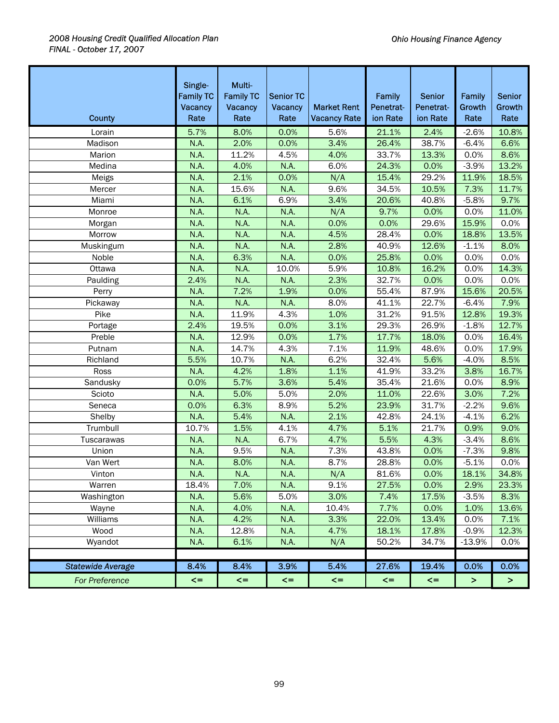| <b>County</b>            | Single-<br><b>Family TC</b><br>Vacancy<br>Rate | Multi-<br><b>Family TC</b><br>Vacancy<br>Rate | <b>Senior TC</b><br>Vacancy<br>Rate | <b>Market Rent</b><br><b>Vacancy Rate</b> | Family<br>Penetrat-<br>ion Rate | <b>Senior</b><br>Penetrat-<br>ion Rate | Family<br>Growth<br>Rate | <b>Senior</b><br>Growth<br>Rate |
|--------------------------|------------------------------------------------|-----------------------------------------------|-------------------------------------|-------------------------------------------|---------------------------------|----------------------------------------|--------------------------|---------------------------------|
| Lorain                   | 5.7%                                           | 8.0%                                          | 0.0%                                | 5.6%                                      | 21.1%                           | 2.4%                                   | $-2.6%$                  | 10.8%                           |
| Madison                  | N.A.                                           | 2.0%                                          | 0.0%                                | 3.4%                                      | 26.4%                           | 38.7%                                  | $-6.4%$                  | 6.6%                            |
| Marion                   | N.A.                                           | 11.2%                                         | 4.5%                                | 4.0%                                      | 33.7%                           | 13.3%                                  | 0.0%                     | 8.6%                            |
| Medina                   | N.A.                                           | 4.0%                                          | N.A.                                | 6.0%                                      | 24.3%                           | 0.0%                                   | $-3.9%$                  | 13.2%                           |
| Meigs                    | N.A.                                           | 2.1%                                          | 0.0%                                | N/A                                       | 15.4%                           | 29.2%                                  | 11.9%                    | 18.5%                           |
| Mercer                   | N.A.                                           | 15.6%                                         | N.A.                                | 9.6%                                      | 34.5%                           | 10.5%                                  | 7.3%                     | 11.7%                           |
| Miami                    | N.A.                                           | 6.1%                                          | 6.9%                                | 3.4%                                      | 20.6%                           | 40.8%                                  | $-5.8%$                  | 9.7%                            |
| Monroe                   | N.A.                                           | N.A.                                          | N.A.                                | N/A                                       | 9.7%                            | 0.0%                                   | 0.0%                     | 11.0%                           |
| Morgan                   | N.A.                                           | N.A.                                          | N.A.                                | 0.0%                                      | 0.0%                            | 29.6%                                  | 15.9%                    | 0.0%                            |
| Morrow                   | N.A.                                           | N.A.                                          | N.A.                                | 4.5%                                      | 28.4%                           | 0.0%                                   | 18.8%                    | 13.5%                           |
| Muskingum                | N.A.                                           | <b>N.A.</b>                                   | N.A.                                | 2.8%                                      | 40.9%                           | 12.6%                                  | $-1.1%$                  | 8.0%                            |
| Noble                    | N.A.                                           | 6.3%                                          | N.A.                                | 0.0%                                      | 25.8%                           | 0.0%                                   | 0.0%                     | 0.0%                            |
| Ottawa                   | N.A.                                           | N.A.                                          | 10.0%                               | 5.9%                                      | 10.8%                           | 16.2%                                  | 0.0%                     | 14.3%                           |
| Paulding                 | 2.4%                                           | N.A.                                          | N.A.                                | 2.3%                                      | 32.7%                           | 0.0%                                   | 0.0%                     | 0.0%                            |
| Perry                    | N.A.                                           | 7.2%                                          | 1.9%                                | 0.0%                                      | 55.4%                           | 87.9%                                  | 15.6%                    | 20.5%                           |
| Pickaway                 | N.A.                                           | <b>N.A.</b>                                   | N.A.                                | 8.0%                                      | 41.1%                           | 22.7%                                  | $-6.4%$                  | 7.9%                            |
| Pike                     | N.A.                                           | 11.9%                                         | 4.3%                                | 1.0%                                      | 31.2%                           | 91.5%                                  | 12.8%                    | 19.3%                           |
| Portage                  | 2.4%                                           | 19.5%                                         | 0.0%                                | 3.1%                                      | 29.3%                           | 26.9%                                  | $-1.8%$                  | 12.7%                           |
| Preble                   | N.A.                                           | 12.9%                                         | 0.0%                                | 1.7%                                      | 17.7%                           | 18.0%                                  | 0.0%                     | 16.4%                           |
| Putnam                   | N.A.                                           | 14.7%                                         | 4.3%                                | 7.1%                                      | 11.9%                           | 48.6%                                  | 0.0%                     | 17.9%                           |
| Richland                 | 5.5%                                           | 10.7%                                         | N.A.                                | 6.2%                                      | 32.4%                           | 5.6%                                   | $-4.0%$                  | 8.5%                            |
| Ross                     | N.A.                                           | 4.2%                                          | 1.8%                                | 1.1%                                      | 41.9%                           | 33.2%                                  | 3.8%                     | 16.7%                           |
| Sandusky                 | 0.0%                                           | 5.7%                                          | 3.6%                                | 5.4%                                      | 35.4%                           | 21.6%                                  | 0.0%                     | 8.9%                            |
| Scioto                   | N.A.                                           | 5.0%                                          | 5.0%                                | 2.0%                                      | 11.0%                           | 22.6%                                  | 3.0%                     | 7.2%                            |
| Seneca                   | 0.0%                                           | 6.3%                                          | 8.9%                                | 5.2%                                      | 23.9%                           | 31.7%                                  | $-2.2%$                  | 9.6%                            |
| Shelby                   | N.A.                                           | 5.4%                                          | N.A.                                | 2.1%                                      | 42.8%                           | 24.1%                                  | $-4.1%$                  | 6.2%                            |
| Trumbull                 | 10.7%                                          | 1.5%                                          | 4.1%                                | 4.7%                                      | 5.1%                            | 21.7%                                  | 0.9%                     | 9.0%                            |
| Tuscarawas               | N.A.                                           | N.A.                                          | 6.7%                                | 4.7%                                      | 5.5%                            | 4.3%                                   | $-3.4%$                  | 8.6%                            |
| Union                    | N.A.                                           | 9.5%                                          | N.A.                                | 7.3%                                      | 43.8%                           | 0.0%                                   | $-7.3%$                  | 9.8%                            |
| Van Wert                 | N.A.                                           | 8.0%                                          | N.A.                                | 8.7%                                      | 28.8%                           | 0.0%                                   | $-5.1%$                  | 0.0%                            |
| Vinton                   | N.A.                                           | N.A.                                          | N.A.                                | N/A                                       | 81.6%                           | 0.0%                                   | 18.1%                    | 34.8%                           |
| Warren                   | 18.4%                                          | 7.0%                                          | N.A.                                | 9.1%                                      | 27.5%                           | 0.0%                                   | 2.9%                     | 23.3%                           |
| Washington               | N.A.                                           | 5.6%                                          | 5.0%                                | 3.0%                                      | 7.4%                            | 17.5%                                  | $-3.5%$                  | 8.3%                            |
| Wayne                    | N.A.                                           | 4.0%                                          | N.A.                                | 10.4%                                     | 7.7%                            | 0.0%                                   | 1.0%                     | 13.6%                           |
| Williams                 | N.A.                                           | 4.2%                                          | N.A.                                | 3.3%                                      | 22.0%                           | 13.4%                                  | 0.0%                     | 7.1%                            |
| Wood                     | N.A.                                           | 12.8%                                         | N.A.                                | 4.7%                                      | 18.1%                           | 17.8%                                  | $-0.9%$                  | 12.3%                           |
| Wyandot                  | N.A.                                           | 6.1%                                          | N.A.                                | N/A                                       | 50.2%                           | 34.7%                                  | $-13.9%$                 | 0.0%                            |
|                          |                                                |                                               |                                     |                                           |                                 |                                        |                          |                                 |
| <b>Statewide Average</b> | 8.4%                                           | 8.4%                                          | 3.9%                                | 5.4%                                      | 27.6%                           | 19.4%                                  | 0.0%                     | 0.0%                            |
| <b>For Preference</b>    | $\leq$                                         | $\leq$                                        | $\leq$                              | $\leq$                                    | $\leq$                          | $\leq$                                 | $\, >$                   | $\geq$                          |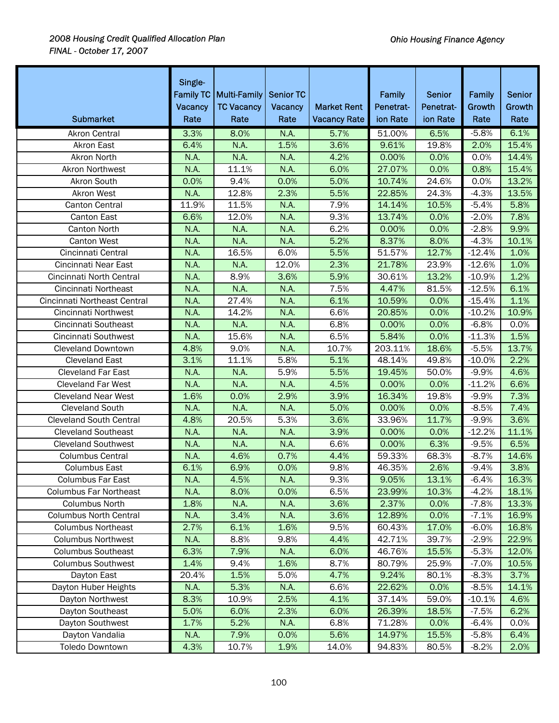| <b>Submarket</b>               | Single-<br>Vacancy<br>Rate | Family TC   Multi-Family<br><b>TC Vacancy</b><br>Rate | <b>Senior TC</b><br>Vacancy<br>Rate | <b>Market Rent</b><br><b>Vacancy Rate</b> | <b>Family</b><br>Penetrat-<br>ion Rate | <b>Senior</b><br>Penetrat-<br>ion Rate | Family<br>Growth<br>Rate | <b>Senior</b><br>Growth<br>Rate |
|--------------------------------|----------------------------|-------------------------------------------------------|-------------------------------------|-------------------------------------------|----------------------------------------|----------------------------------------|--------------------------|---------------------------------|
| <b>Akron Central</b>           | 3.3%                       | 8.0%                                                  | <b>N.A.</b>                         | 5.7%                                      | 51.00%                                 | 6.5%                                   | $-5.8%$                  | 6.1%                            |
| Akron East                     | 6.4%                       | N.A.                                                  | 1.5%                                | 3.6%                                      | 9.61%                                  | 19.8%                                  | 2.0%                     | 15.4%                           |
| Akron North                    | N.A.                       | N.A.                                                  | N.A.                                | 4.2%                                      | 0.00%                                  | 0.0%                                   | 0.0%                     | 14.4%                           |
| <b>Akron Northwest</b>         | N.A.                       | 11.1%                                                 | N.A.                                | 6.0%                                      | 27.07%                                 | 0.0%                                   | 0.8%                     | 15.4%                           |
| Akron South                    | 0.0%                       | 9.4%                                                  | 0.0%                                | 5.0%                                      | 10.74%                                 | 24.6%                                  | 0.0%                     | 13.2%                           |
| Akron West                     | N.A.                       | 12.8%                                                 | 2.3%                                | 5.5%                                      | 22.85%                                 | 24.3%                                  | $-4.3%$                  | 13.5%                           |
| <b>Canton Central</b>          | 11.9%                      | 11.5%                                                 | N.A.                                | 7.9%                                      | 14.14%                                 | 10.5%                                  | $-5.4%$                  | 5.8%                            |
| Canton East                    | 6.6%                       | 12.0%                                                 | N.A.                                | 9.3%                                      | 13.74%                                 | 0.0%                                   | $-2.0%$                  | 7.8%                            |
| <b>Canton North</b>            | N.A.                       | N.A.                                                  | N.A.                                | 6.2%                                      | 0.00%                                  | 0.0%                                   | $-2.8%$                  | 9.9%                            |
| Canton West                    | N.A.                       | N.A.                                                  | N.A.                                | 5.2%                                      | 8.37%                                  | 8.0%                                   | $-4.3%$                  | 10.1%                           |
| Cincinnati Central             | N.A.                       | 16.5%                                                 | 6.0%                                | 5.5%                                      | 51.57%                                 | 12.7%                                  | $-12.4%$                 | 1.0%                            |
| Cincinnati Near East           | N.A.                       | N.A.                                                  | 12.0%                               | 2.3%                                      | 21.78%                                 | 23.9%                                  | $-12.6%$                 | 1.0%                            |
| Cincinnati North Central       | N.A.                       | 8.9%                                                  | 3.6%                                | 5.9%                                      | 30.61%                                 | 13.2%                                  | $-10.9%$                 | 1.2%                            |
| Cincinnati Northeast           | N.A.                       | N.A.                                                  | N.A.                                | 7.5%                                      | 4.47%                                  | 81.5%                                  | $-12.5%$                 | 6.1%                            |
| Cincinnati Northeast Central   | N.A.                       | 27.4%                                                 | N.A.                                | 6.1%                                      | 10.59%                                 | 0.0%                                   | $-15.4%$                 | 1.1%                            |
| <b>Cincinnati Northwest</b>    | N.A.                       | 14.2%                                                 | N.A.                                | 6.6%                                      | 20.85%                                 | 0.0%                                   | $-10.2%$                 | 10.9%                           |
| Cincinnati Southeast           | N.A.                       | N.A.                                                  | N.A.                                | 6.8%                                      | 0.00%                                  | 0.0%                                   | $-6.8%$                  | 0.0%                            |
| Cincinnati Southwest           | N.A.                       | 15.6%                                                 | N.A.                                | 6.5%                                      | 5.84%                                  | 0.0%                                   | $-11.3%$                 | 1.5%                            |
| <b>Cleveland Downtown</b>      | 4.8%                       | 9.0%                                                  | N.A.                                | 10.7%                                     | 203.11%                                | 18.6%                                  | $-5.5%$                  | 13.7%                           |
| <b>Cleveland East</b>          | 3.1%                       | 11.1%                                                 | 5.8%                                | 5.1%                                      | 48.14%                                 | 49.8%                                  | $-10.0%$                 | 2.2%                            |
| <b>Cleveland Far East</b>      | N.A.                       | N.A.                                                  | 5.9%                                | 5.5%                                      | 19.45%                                 | 50.0%                                  | $-9.9%$                  | 4.6%                            |
| <b>Cleveland Far West</b>      | N.A.                       | N.A.                                                  | N.A.                                | 4.5%                                      | 0.00%                                  | 0.0%                                   | $-11.2%$                 | 6.6%                            |
| <b>Cleveland Near West</b>     | 1.6%                       | 0.0%                                                  | 2.9%                                | 3.9%                                      | 16.34%                                 | 19.8%                                  | $-9.9%$                  | 7.3%                            |
| <b>Cleveland South</b>         | N.A.                       | N.A.                                                  | N.A.                                | 5.0%                                      | 0.00%                                  | 0.0%                                   | $-8.5%$                  | 7.4%                            |
| <b>Cleveland South Central</b> | 4.8%                       | 20.5%                                                 | 5.3%                                | 3.6%                                      | 33.96%                                 | 11.7%                                  | $-9.9%$                  | 3.6%                            |
| <b>Cleveland Southeast</b>     | N.A.                       | N.A.                                                  | N.A.                                | 3.9%                                      | 0.00%                                  | 0.0%                                   | $-12.2%$                 | 11.1%                           |
| <b>Cleveland Southwest</b>     | N.A.                       | N.A.                                                  | N.A.                                | 6.6%                                      | 0.00%                                  | 6.3%                                   | $-9.5%$                  | 6.5%                            |
| <b>Columbus Central</b>        | N.A.                       | 4.6%                                                  | 0.7%                                | 4.4%                                      | 59.33%                                 | 68.3%                                  | $-8.7%$                  | 14.6%                           |
| <b>Columbus East</b>           | 6.1%                       | 6.9%                                                  | 0.0%                                | 9.8%                                      | 46.35%                                 | 2.6%                                   | $-9.4%$                  | 3.8%                            |
| <b>Columbus Far East</b>       | N.A.                       | 4.5%                                                  | N.A.                                | 9.3%                                      | 9.05%                                  | 13.1%                                  | $-6.4%$                  | 16.3%                           |
| <b>Columbus Far Northeast</b>  | N.A.                       | 8.0%                                                  | 0.0%                                | 6.5%                                      | 23.99%                                 | 10.3%                                  | $-4.2%$                  | 18.1%                           |
| Columbus North                 | 1.8%                       | N.A.                                                  | N.A.                                | 3.6%                                      | 2.37%                                  | 0.0%                                   | $-7.8%$                  | 13.3%                           |
| <b>Columbus North Central</b>  | N.A.                       | 3.4%                                                  | N.A.                                | 3.6%                                      | 12.89%                                 | 0.0%                                   | $-7.1%$                  | 16.9%                           |
| <b>Columbus Northeast</b>      | 2.7%                       | 6.1%                                                  | 1.6%                                | 9.5%                                      | 60.43%                                 | 17.0%                                  | $-6.0%$                  | 16.8%                           |
| Columbus Northwest             | N.A.                       | 8.8%                                                  | 9.8%                                | 4.4%                                      | 42.71%                                 | 39.7%                                  | $-2.9%$                  | 22.9%                           |
| <b>Columbus Southeast</b>      | 6.3%                       | 7.9%                                                  | N.A.                                | 6.0%                                      | 46.76%                                 | 15.5%                                  | $-5.3%$                  | 12.0%                           |
| <b>Columbus Southwest</b>      | 1.4%                       | 9.4%                                                  | 1.6%                                | 8.7%                                      | 80.79%                                 | 25.9%                                  | $-7.0%$                  | 10.5%                           |
| Dayton East                    | 20.4%                      | 1.5%                                                  | 5.0%                                | 4.7%                                      | 9.24%                                  | 80.1%                                  | $-8.3%$                  | 3.7%                            |
| Dayton Huber Heights           | N.A.                       | 5.3%                                                  | N.A.                                | 6.6%                                      | 22.62%                                 | 0.0%                                   | $-8.5%$                  | 14.1%                           |
| Dayton Northwest               | 8.3%                       | 10.9%                                                 | 2.5%                                | 4.1%                                      | 37.14%                                 | 59.0%                                  | $-10.1%$                 | 4.6%                            |
| Dayton Southeast               | 5.0%                       | 6.0%                                                  | 2.3%                                | 6.0%                                      | 26.39%                                 | 18.5%                                  | $-7.5%$                  | 6.2%                            |
| Dayton Southwest               | 1.7%                       | 5.2%                                                  | N.A.                                | 6.8%                                      | 71.28%                                 | 0.0%                                   | $-6.4%$                  | 0.0%                            |
| Dayton Vandalia                | N.A.                       | 7.9%                                                  | 0.0%                                | 5.6%                                      | 14.97%                                 | 15.5%                                  | $-5.8%$                  | 6.4%                            |
| <b>Toledo Downtown</b>         | 4.3%                       | 10.7%                                                 | 1.9%                                | 14.0%                                     | 94.83%                                 | 80.5%                                  | $-8.2%$                  | 2.0%                            |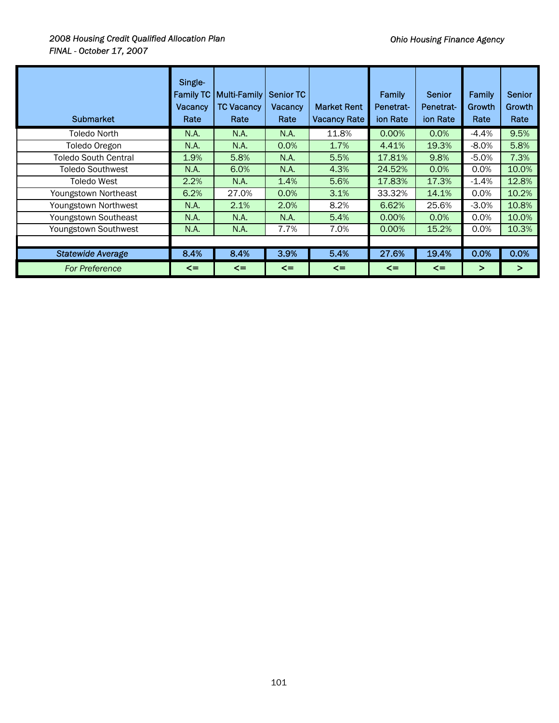## *2008 Housing Credit Qualified Allocation Plan FINAL - October 17, 2007*

| <b>Submarket</b>         | Single-<br><b>Family TC</b><br><b>Vacancy</b><br>Rate | <b>Multi-Family</b><br><b>TC Vacancy</b><br>Rate | <b>Senior TC</b><br>Vacancy<br>Rate | <b>Market Rent</b><br><b>Vacancy Rate</b> | Family<br>Penetrat-<br>ion Rate | <b>Senior</b><br>Penetrat-<br>ion Rate | <b>Family</b><br>Growth<br>Rate | <b>Senior</b><br>Growth<br>Rate |
|--------------------------|-------------------------------------------------------|--------------------------------------------------|-------------------------------------|-------------------------------------------|---------------------------------|----------------------------------------|---------------------------------|---------------------------------|
| <b>Toledo North</b>      | N.A.                                                  | N.A.                                             | N.A.                                | 11.8%                                     | 0.00%                           | 0.0%                                   | $-4.4%$                         | 9.5%                            |
| Toledo Oregon            | N.A.                                                  | N.A.                                             | 0.0%                                | 1.7%                                      | 4.41%                           | 19.3%                                  | $-8.0%$                         | 5.8%                            |
| Toledo South Central     | 1.9%                                                  | 5.8%                                             | N.A.                                | 5.5%                                      | 17.81%                          | 9.8%                                   | $-5.0%$                         | 7.3%                            |
| Toledo Southwest         | N.A.                                                  | 6.0%                                             | N.A.                                | 4.3%                                      | 24.52%                          | 0.0%                                   | 0.0%                            | 10.0%                           |
| <b>Toledo West</b>       | 2.2%                                                  | N.A.                                             | 1.4%                                | 5.6%                                      | 17.83%                          | 17.3%                                  | $-1.4%$                         | 12.8%                           |
| Youngstown Northeast     | 6.2%                                                  | 27.0%                                            | 0.0%                                | 3.1%                                      | 33.32%                          | 14.1%                                  | 0.0%                            | 10.2%                           |
| Youngstown Northwest     | N.A.                                                  | 2.1%                                             | 2.0%                                | 8.2%                                      | 6.62%                           | 25.6%                                  | $-3.0%$                         | 10.8%                           |
| Youngstown Southeast     | N.A.                                                  | N.A.                                             | N.A.                                | 5.4%                                      | 0.00%                           | 0.0%                                   | 0.0%                            | 10.0%                           |
| Youngstown Southwest     | N.A.                                                  | N.A.                                             | 7.7%                                | 7.0%                                      | $0.00\%$                        | 15.2%                                  | 0.0%                            | 10.3%                           |
|                          |                                                       |                                                  |                                     |                                           |                                 |                                        |                                 |                                 |
| <b>Statewide Average</b> | 8.4%                                                  | 8.4%                                             | 3.9%                                | 5.4%                                      | 27.6%                           | 19.4%                                  | 0.0%                            | 0.0%                            |
| <b>For Preference</b>    | $\leq$                                                | $\leq$                                           | $\leq$                              | $\leq$                                    | $\leq$                          | $\leq$                                 | ⋗                               | ⋗                               |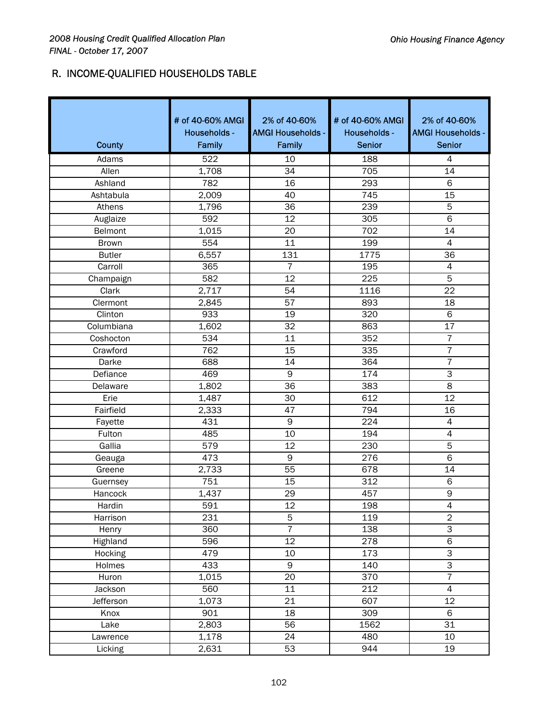# R. INCOME-QUALIFIED HOUSEHOLDS TABLE

| County        | # of 40-60% AMGI<br>Households -<br>Family | 2% of 40-60%<br><b>AMGI Households -</b><br>Family | # of 40-60% AMGI<br>Households -<br><b>Senior</b> | 2% of 40-60%<br><b>AMGI Households -</b><br><b>Senior</b> |
|---------------|--------------------------------------------|----------------------------------------------------|---------------------------------------------------|-----------------------------------------------------------|
| Adams         | 522                                        | 10                                                 | 188                                               | $\overline{4}$                                            |
| Allen         | 1,708                                      | 34                                                 | 705                                               | 14                                                        |
| Ashland       | 782                                        | 16                                                 | 293                                               | 6                                                         |
| Ashtabula     | 2,009                                      | 40                                                 | 745                                               | 15                                                        |
| Athens        | 1,796                                      | 36                                                 | 239                                               | 5                                                         |
| Auglaize      | 592                                        | 12                                                 | 305                                               | $\overline{6}$                                            |
| Belmont       | 1,015                                      | 20                                                 | 702                                               | 14                                                        |
| <b>Brown</b>  | 554                                        | 11                                                 | 199                                               | 4                                                         |
| <b>Butler</b> | 6,557                                      | 131                                                | 1775                                              | 36                                                        |
| Carroll       | 365                                        | $\overline{7}$                                     | 195                                               | 4                                                         |
| Champaign     | 582                                        | $\overline{12}$                                    | 225                                               | $\overline{5}$                                            |
| Clark         | 2,717                                      | 54                                                 | 1116                                              | 22                                                        |
| Clermont      | 2,845                                      | 57                                                 | 893                                               | 18                                                        |
| Clinton       | 933                                        | 19                                                 | 320                                               | 6                                                         |
| Columbiana    | 1,602                                      | 32                                                 | 863                                               | 17                                                        |
| Coshocton     | $\overline{534}$                           | 11                                                 | 352                                               | $\overline{7}$                                            |
| Crawford      | 762                                        | 15                                                 | 335                                               | $\overline{7}$                                            |
| Darke         | 688                                        | 14                                                 | 364                                               | $\overline{7}$                                            |
| Defiance      | 469                                        | $\mathsf 9$                                        | 174                                               | $\overline{\omega}$                                       |
| Delaware      | 1,802                                      | 36                                                 | 383                                               | $\overline{8}$                                            |
| Erie          | 1,487                                      | 30                                                 | 612                                               | 12                                                        |
| Fairfield     | 2,333                                      | 47                                                 | 794                                               | 16                                                        |
| Fayette       | 431                                        | 9                                                  | 224                                               | 4                                                         |
| Fulton        | 485                                        | 10                                                 | 194                                               | 4                                                         |
| Gallia        | 579                                        | 12                                                 | 230                                               | $\overline{5}$                                            |
| Geauga        | 473                                        | $\mathsf 9$                                        | 276                                               | 6                                                         |
| Greene        | 2,733                                      | 55                                                 | 678                                               | 14                                                        |
| Guernsey      | 751                                        | 15                                                 | 312                                               | 6                                                         |
| Hancock       | 1,437                                      | 29                                                 | 457                                               | 9                                                         |
| Hardin        | 591                                        | 12                                                 | 198                                               | $\overline{\mathcal{L}}$                                  |
| Harrison      | 231                                        | 5                                                  | 119                                               | $\overline{2}$                                            |
| Henry         | 360                                        | $\overline{7}$                                     | 138                                               | $\overline{3}$                                            |
| Highland      | 596                                        | 12                                                 | 278                                               | $\overline{6}$                                            |
| Hocking       | 479                                        | 10                                                 | 173                                               | $\overline{3}$                                            |
| Holmes        | 433                                        | 9                                                  | 140                                               | $\overline{3}$                                            |
| Huron         | 1,015                                      | 20                                                 | 370                                               | $\overline{7}$                                            |
| Jackson       | 560                                        | 11                                                 | 212                                               | $\overline{4}$                                            |
| Jefferson     | 1,073                                      | $\overline{21}$                                    | 607                                               | $\overline{12}$                                           |
| Knox          | 901                                        | 18                                                 | 309                                               | 6                                                         |
| Lake          | 2,803                                      | 56                                                 | 1562                                              | 31                                                        |
| Lawrence      | 1,178                                      | 24                                                 | 480                                               | 10                                                        |
| Licking       | 2,631                                      | 53                                                 | 944                                               | $\overline{19}$                                           |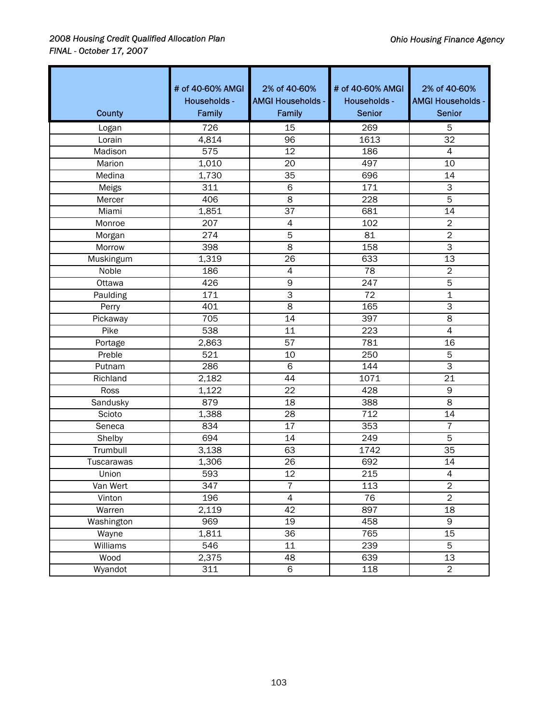| County            | # of 40-60% AMGI<br>Households -<br>Family | 2% of 40-60%<br><b>AMGI Households -</b><br>Family | # of 40-60% AMGI<br>Households -<br><b>Senior</b> | 2% of 40-60%<br><b>AMGI Households -</b><br><b>Senior</b> |
|-------------------|--------------------------------------------|----------------------------------------------------|---------------------------------------------------|-----------------------------------------------------------|
| Logan             | 726                                        | $\overline{15}$                                    | 269                                               | 5                                                         |
| Lorain            | 4,814                                      | 96                                                 | 1613                                              | 32                                                        |
| Madison           | 575                                        | 12                                                 | 186                                               | $\overline{4}$                                            |
| Marion            | 1,010                                      | 20                                                 | 497                                               | 10                                                        |
| Medina            | 1,730                                      | 35                                                 | 696                                               | 14                                                        |
| Meigs             | 311                                        | $\overline{6}$                                     | 171                                               | $\overline{\omega}$                                       |
| Mercer            | 406                                        | $\overline{8}$                                     | $\overline{228}$                                  | 5                                                         |
| Miami             | 1,851                                      | 37                                                 | 681                                               | $\overline{14}$                                           |
| Monroe            | 207                                        | $\pmb{4}$                                          | 102                                               | $\overline{2}$                                            |
| Morgan            | 274                                        | 5                                                  | 81                                                | $\overline{2}$                                            |
| Morrow            | 398                                        | 8                                                  | 158                                               | $\overline{\omega}$                                       |
| Muskingum         | 1,319                                      | 26                                                 | 633                                               | $\overline{13}$                                           |
| Noble             | 186                                        | 4                                                  | 78                                                | $\overline{2}$                                            |
| Ottawa            | 426                                        | 9                                                  | 247                                               | $\overline{5}$                                            |
| Paulding          | 171                                        | $\overline{3}$                                     | $\overline{72}$                                   | 1                                                         |
| Perry             | 401                                        | 8                                                  | 165                                               | 3                                                         |
| Pickaway          | 705                                        | 14                                                 | 397                                               | 8                                                         |
| Pike              | 538                                        | 11                                                 | 223                                               | $\overline{4}$                                            |
| Portage           | 2,863                                      | 57                                                 | 781                                               | 16                                                        |
| Preble            | 521                                        | 10                                                 | 250                                               | 5                                                         |
| Putnam            | 286                                        | 6                                                  | 144                                               | 3                                                         |
| Richland          | 2,182                                      | 44                                                 | 1071                                              | 21                                                        |
| Ross              | 1,122                                      | $\overline{22}$                                    | 428                                               | $\overline{9}$                                            |
| Sandusky          | 879                                        | 18                                                 | 388                                               | $\overline{\infty}$                                       |
| Scioto            | 1,388                                      | 28                                                 | 712                                               | 14                                                        |
| Seneca            | 834                                        | 17                                                 | 353                                               | $\overline{7}$                                            |
| Shelby            | 694                                        | 14                                                 | 249                                               | 5                                                         |
| Trumbull          | 3,138                                      | 63                                                 | 1742                                              | 35                                                        |
| <b>Tuscarawas</b> | 1,306                                      | 26                                                 | 692                                               | 14                                                        |
| Union             | 593                                        | 12                                                 | 215                                               | $\overline{4}$                                            |
| Van Wert          | 347                                        | $\overline{7}$                                     | 113                                               | $\overline{2}$                                            |
| Vinton            | 196                                        | $\overline{4}$                                     | 76                                                | $\overline{2}$                                            |
| Warren            | 2,119                                      | 42                                                 | 897                                               | 18                                                        |
| Washington        | 969                                        | 19                                                 | 458                                               | 9                                                         |
| Wayne             | 1,811                                      | 36                                                 | 765                                               | 15                                                        |
| Williams          | 546                                        | 11                                                 | 239                                               | 5                                                         |
| Wood              | 2,375                                      | 48                                                 | 639                                               | 13                                                        |
| Wyandot           | 311                                        | 6                                                  | 118                                               | $\overline{2}$                                            |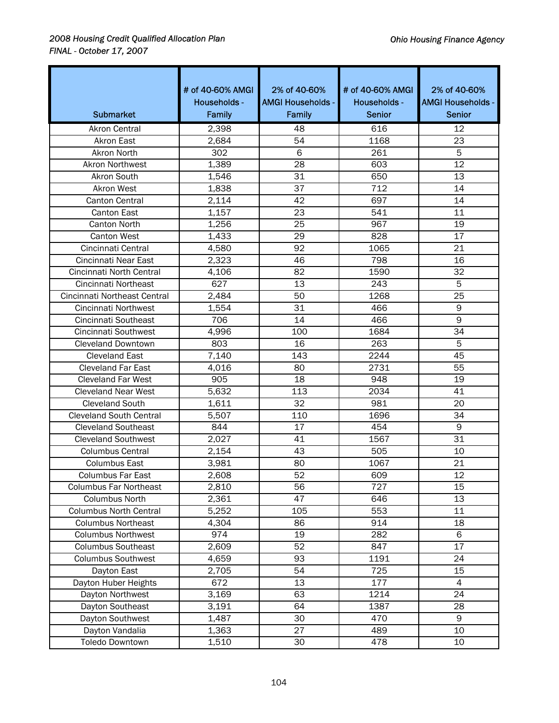| <b>Submarket</b>               | # of 40-60% AMGI<br>Households -<br>Family | 2% of 40-60%<br><b>AMGI Households -</b><br>Family | # of 40-60% AMGI<br>Households -<br><b>Senior</b> | 2% of 40-60%<br><b>AMGI Households -</b><br><b>Senior</b> |
|--------------------------------|--------------------------------------------|----------------------------------------------------|---------------------------------------------------|-----------------------------------------------------------|
| <b>Akron Central</b>           | 2,398                                      | 48                                                 | 616                                               | 12                                                        |
| <b>Akron East</b>              | 2,684                                      | 54                                                 | 1168                                              | 23                                                        |
| <b>Akron North</b>             | 302                                        | 6                                                  | 261                                               | 5                                                         |
| <b>Akron Northwest</b>         | 1,389                                      | 28                                                 | 603                                               | 12                                                        |
| <b>Akron South</b>             | 1,546                                      | 31                                                 | 650                                               | 13                                                        |
| <b>Akron West</b>              | 1,838                                      | 37                                                 | 712                                               | 14                                                        |
| <b>Canton Central</b>          | 2,114                                      | 42                                                 | 697                                               | 14                                                        |
| <b>Canton East</b>             | 1,157                                      | 23                                                 | 541                                               | 11                                                        |
| <b>Canton North</b>            | 1,256                                      | 25                                                 | 967                                               | 19                                                        |
| <b>Canton West</b>             | 1,433                                      | 29                                                 | 828                                               | 17                                                        |
| Cincinnati Central             | 4,580                                      | 92                                                 | 1065                                              | 21                                                        |
| Cincinnati Near East           | 2,323                                      | 46                                                 | 798                                               | 16                                                        |
| Cincinnati North Central       | 4,106                                      | 82                                                 | 1590                                              | 32                                                        |
| Cincinnati Northeast           | 627                                        | 13                                                 | 243                                               | 5                                                         |
| Cincinnati Northeast Central   | 2,484                                      | 50                                                 | 1268                                              | 25                                                        |
| Cincinnati Northwest           | 1,554                                      | 31                                                 | 466                                               | 9                                                         |
| Cincinnati Southeast           | 706                                        | 14                                                 | 466                                               | $\overline{9}$                                            |
| Cincinnati Southwest           | 4,996                                      | 100                                                | 1684                                              | 34                                                        |
| <b>Cleveland Downtown</b>      | 803                                        | 16                                                 | 263                                               | 5                                                         |
| <b>Cleveland East</b>          | 7,140                                      | 143                                                | 2244                                              | 45                                                        |
| <b>Cleveland Far East</b>      | 4,016                                      | 80                                                 | 2731                                              | 55                                                        |
| <b>Cleveland Far West</b>      | 905                                        | 18                                                 | 948                                               | 19                                                        |
| <b>Cleveland Near West</b>     | 5,632                                      | 113                                                | 2034                                              | 41                                                        |
| <b>Cleveland South</b>         | 1,611                                      | 32                                                 | 981                                               | 20                                                        |
| <b>Cleveland South Central</b> | 5,507                                      | 110                                                | 1696                                              | 34                                                        |
| <b>Cleveland Southeast</b>     | 844                                        | 17                                                 | 454                                               | 9                                                         |
| <b>Cleveland Southwest</b>     | 2,027                                      | 41                                                 | 1567                                              | 31                                                        |
| <b>Columbus Central</b>        | 2,154                                      | 43                                                 | 505                                               | 10                                                        |
| <b>Columbus East</b>           | 3,981                                      | 80                                                 | 1067                                              | 21                                                        |
| <b>Columbus Far East</b>       | 2,608                                      | 52                                                 | 609                                               | 12                                                        |
| <b>Columbus Far Northeast</b>  | 2,810                                      | 56                                                 | 727                                               | 15                                                        |
| Columbus North                 | 2,361                                      | 47                                                 | 646                                               | 13                                                        |
| <b>Columbus North Central</b>  | 5,252                                      | 105                                                | 553                                               | 11                                                        |
| <b>Columbus Northeast</b>      | 4,304                                      | 86                                                 | 914                                               | 18                                                        |
| <b>Columbus Northwest</b>      | 974                                        | 19                                                 | 282                                               | 6                                                         |
| <b>Columbus Southeast</b>      | 2,609                                      | 52                                                 | 847                                               | 17                                                        |
| <b>Columbus Southwest</b>      | 4,659                                      | 93                                                 | 1191                                              | 24                                                        |
| Dayton East                    | 2,705                                      | 54                                                 | 725                                               | 15                                                        |
| Dayton Huber Heights           | 672                                        | 13                                                 | 177                                               | 4                                                         |
| Dayton Northwest               | 3,169                                      | 63                                                 | 1214                                              | 24                                                        |
| Dayton Southeast               | 3,191                                      | 64                                                 | 1387                                              | 28                                                        |
| Dayton Southwest               | 1,487                                      | 30                                                 | 470                                               | 9                                                         |
| Dayton Vandalia                | 1,363                                      | 27                                                 | 489                                               | 10                                                        |
| <b>Toledo Downtown</b>         | 1,510                                      | 30                                                 | 478                                               | 10                                                        |